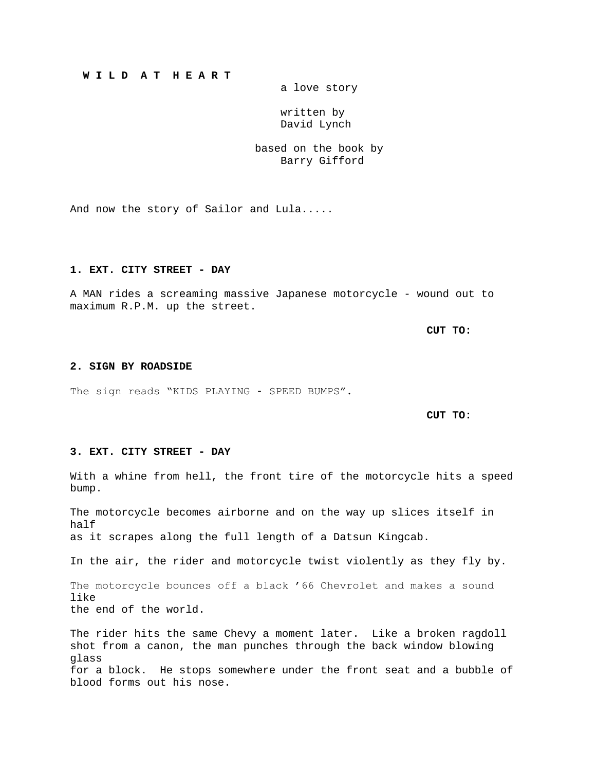# **W I L D A T H E A R T**

a love story

 written by David Lynch

based on the book by Barry Gifford

And now the story of Sailor and Lula.....

#### **1. EXT. CITY STREET - DAY**

A MAN rides a screaming massive Japanese motorcycle - wound out to maximum R.P.M. up the street.

**CUT TO:**

#### **2. SIGN BY ROADSIDE**

The sign reads "KIDS PLAYING - SPEED BUMPS".

**CUT TO:**

## **3. EXT. CITY STREET - DAY**

With a whine from hell, the front tire of the motorcycle hits a speed bump.

The motorcycle becomes airborne and on the way up slices itself in half as it scrapes along the full length of a Datsun Kingcab.

In the air, the rider and motorcycle twist violently as they fly by.

The motorcycle bounces off a black '66 Chevrolet and makes a sound like the end of the world.

The rider hits the same Chevy a moment later. Like a broken ragdoll shot from a canon, the man punches through the back window blowing glass for a block. He stops somewhere under the front seat and a bubble of blood forms out his nose.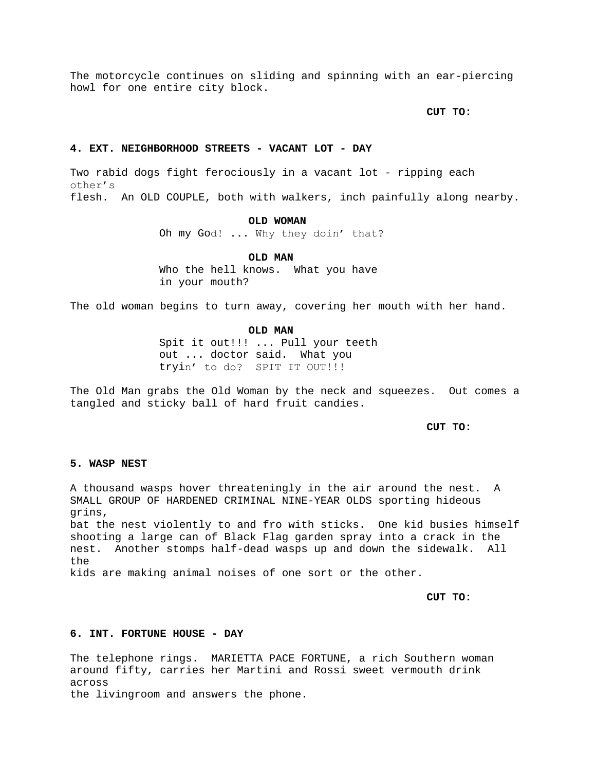The motorcycle continues on sliding and spinning with an ear-piercing howl for one entire city block.

**CUT TO:**

#### **4. EXT. NEIGHBORHOOD STREETS - VACANT LOT - DAY**

Two rabid dogs fight ferociously in a vacant lot - ripping each other's flesh. An OLD COUPLE, both with walkers, inch painfully along nearby.

#### **OLD WOMAN**

Oh my God! ... Why they doin' that?

**OLD MAN**

Who the hell knows. What you have in your mouth?

The old woman begins to turn away, covering her mouth with her hand.

### **OLD MAN**

Spit it out!!! ... Pull your teeth out ... doctor said. What you tryin' to do? SPIT IT OUT!!!

The Old Man grabs the Old Woman by the neck and squeezes. Out comes a tangled and sticky ball of hard fruit candies.

**CUT TO:**

## **5. WASP NEST**

A thousand wasps hover threateningly in the air around the nest. A SMALL GROUP OF HARDENED CRIMINAL NINE-YEAR OLDS sporting hideous grins,

bat the nest violently to and fro with sticks. One kid busies himself shooting a large can of Black Flag garden spray into a crack in the nest. Another stomps half-dead wasps up and down the sidewalk. All the

kids are making animal noises of one sort or the other.

**CUT TO:**

# **6. INT. FORTUNE HOUSE - DAY**

The telephone rings. MARIETTA PACE FORTUNE, a rich Southern woman around fifty, carries her Martini and Rossi sweet vermouth drink across

the livingroom and answers the phone.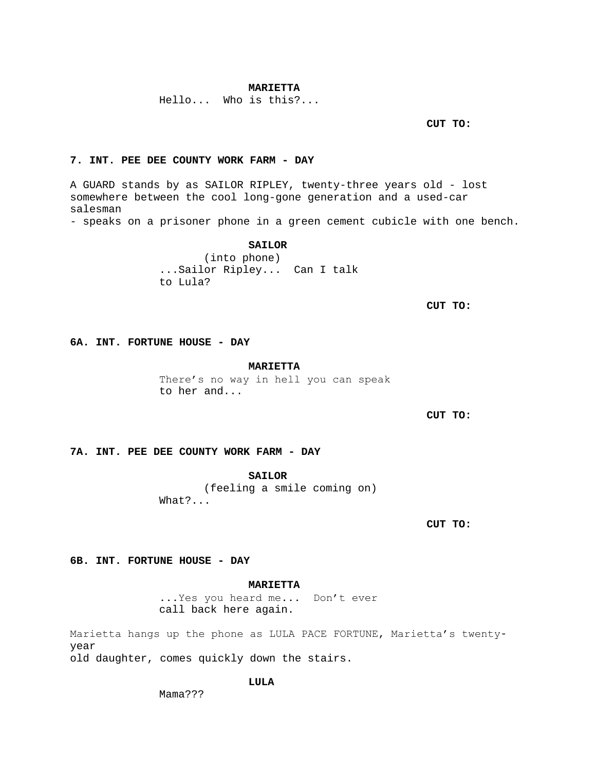## **MARIETTA**

Hello... Who is this?...

**CUT TO:**

# **7. INT. PEE DEE COUNTY WORK FARM - DAY**

A GUARD stands by as SAILOR RIPLEY, twenty-three years old - lost somewhere between the cool long-gone generation and a used-car salesman

- speaks on a prisoner phone in a green cement cubicle with one bench.

# **SAILOR**

(into phone) ...Sailor Ripley... Can I talk to Lula?

**CUT TO:**

**6A. INT. FORTUNE HOUSE - DAY**

#### **MARIETTA**

There's no way in hell you can speak to her and...

**CUT TO:**

### **7A. INT. PEE DEE COUNTY WORK FARM - DAY**

**SAILOR**

(feeling a smile coming on) What?...

**CUT TO:**

**6B. INT. FORTUNE HOUSE - DAY**

# **MARIETTA**

...Yes you heard me... Don't ever call back here again.

Marietta hangs up the phone as LULA PACE FORTUNE, Marietta's twentyyear old daughter, comes quickly down the stairs.

# **LULA**

Mama???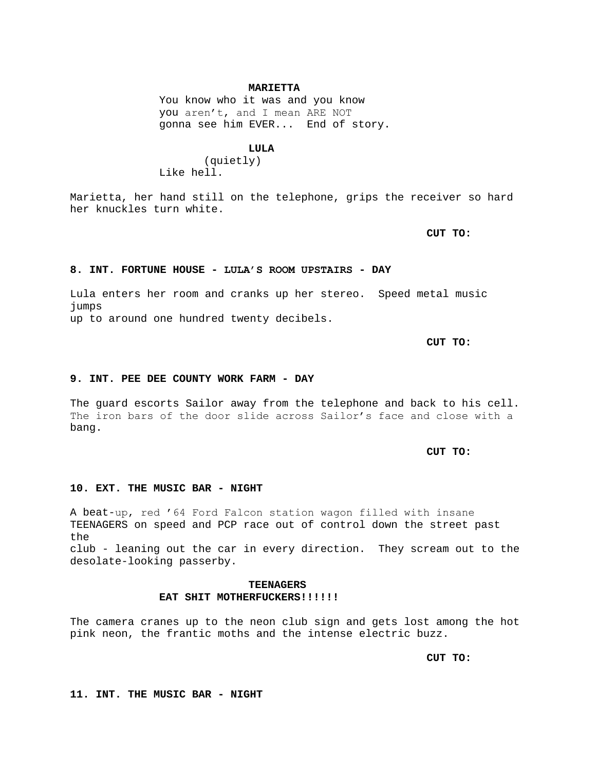### **MARIETTA**

You know who it was and you know you aren't, and I mean ARE NOT gonna see him EVER... End of story.

#### **LULA**

(quietly) Like hell.

Marietta, her hand still on the telephone, grips the receiver so hard her knuckles turn white.

**CUT TO:**

#### **8. INT. FORTUNE HOUSE - LULA'S ROOM UPSTAIRS - DAY**

Lula enters her room and cranks up her stereo. Speed metal music jumps up to around one hundred twenty decibels.

**CUT TO:**

#### **9. INT. PEE DEE COUNTY WORK FARM - DAY**

The guard escorts Sailor away from the telephone and back to his cell. The iron bars of the door slide across Sailor's face and close with a bang.

**CUT TO:**

# **10. EXT. THE MUSIC BAR - NIGHT**

A beat-up, red '64 Ford Falcon station wagon filled with insane TEENAGERS on speed and PCP race out of control down the street past the club - leaning out the car in every direction. They scream out to the desolate-looking passerby.

# **TEENAGERS EAT SHIT MOTHERFUCKERS!!!!!!**

The camera cranes up to the neon club sign and gets lost among the hot pink neon, the frantic moths and the intense electric buzz.

**CUT TO:**

**11. INT. THE MUSIC BAR - NIGHT**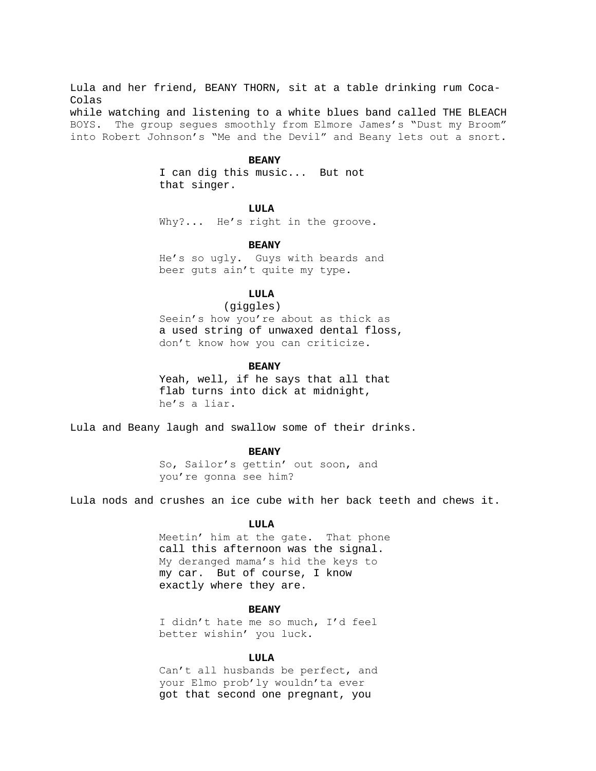Lula and her friend, BEANY THORN, sit at a table drinking rum Coca-Colas while watching and listening to a white blues band called THE BLEACH BOYS. The group segues smoothly from Elmore James's "Dust my Broom" into Robert Johnson's "Me and the Devil" and Beany lets out a snort.

#### **BEANY**

I can dig this music... But not that singer.

## **LULA**

Why?... He's right in the groove.

### **BEANY**

He's so ugly. Guys with beards and beer guts ain't quite my type.

# **LULA**

 (giggles) Seein's how you're about as thick as a used string of unwaxed dental floss, don't know how you can criticize.

#### **BEANY**

Yeah, well, if he says that all that flab turns into dick at midnight, he's a liar.

Lula and Beany laugh and swallow some of their drinks.

#### **BEANY**

So, Sailor's gettin' out soon, and you're gonna see him?

Lula nods and crushes an ice cube with her back teeth and chews it.

### **LULA**

Meetin' him at the gate. That phone call this afternoon was the signal. My deranged mama's hid the keys to my car. But of course, I know exactly where they are.

## **BEANY**

I didn't hate me so much, I'd feel better wishin' you luck.

### **LULA**

Can't all husbands be perfect, and your Elmo prob'ly wouldn'ta ever got that second one pregnant, you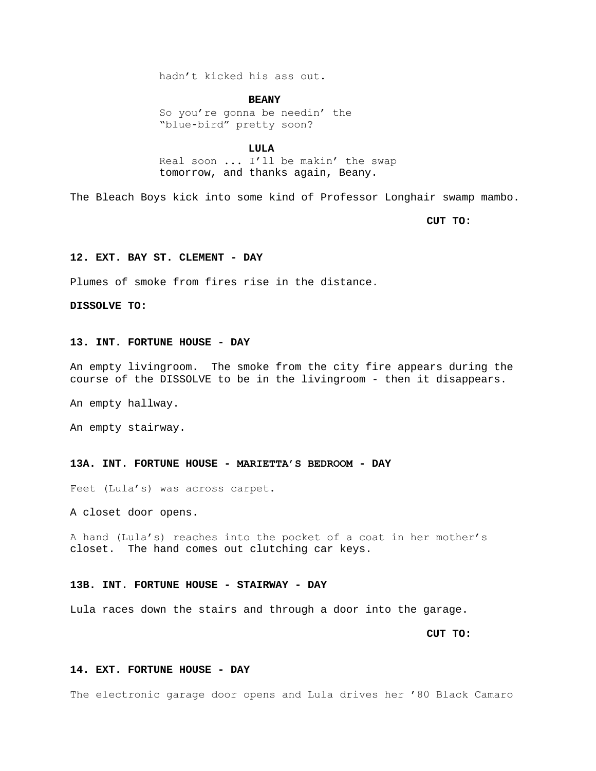hadn't kicked his ass out.

#### **BEANY**

So you're gonna be needin' the "blue-bird" pretty soon?

#### **LULA**

Real soon ... I'll be makin' the swap tomorrow, and thanks again, Beany.

The Bleach Boys kick into some kind of Professor Longhair swamp mambo.

**CUT TO:**

## **12. EXT. BAY ST. CLEMENT - DAY**

Plumes of smoke from fires rise in the distance.

**DISSOLVE TO:**

# **13. INT. FORTUNE HOUSE - DAY**

An empty livingroom. The smoke from the city fire appears during the course of the DISSOLVE to be in the livingroom - then it disappears.

An empty hallway.

An empty stairway.

## **13A. INT. FORTUNE HOUSE - MARIETTA'S BEDROOM - DAY**

Feet (Lula's) was across carpet.

A closet door opens.

A hand (Lula's) reaches into the pocket of a coat in her mother's closet. The hand comes out clutching car keys.

## **13B. INT. FORTUNE HOUSE - STAIRWAY - DAY**

Lula races down the stairs and through a door into the garage.

**CUT TO:**

## **14. EXT. FORTUNE HOUSE - DAY**

The electronic garage door opens and Lula drives her '80 Black Camaro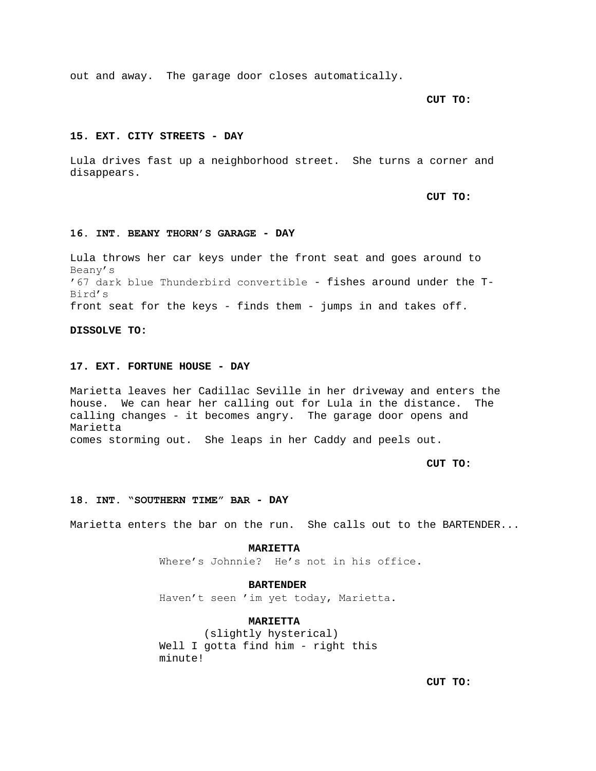out and away. The garage door closes automatically.

**CUT TO:**

### **15. EXT. CITY STREETS - DAY**

Lula drives fast up a neighborhood street. She turns a corner and disappears.

**CUT TO:**

#### **16. INT. BEANY THORN'S GARAGE - DAY**

Lula throws her car keys under the front seat and goes around to Beany's '67 dark blue Thunderbird convertible - fishes around under the T-Bird's front seat for the keys - finds them - jumps in and takes off.

**DISSOLVE TO:**

## **17. EXT. FORTUNE HOUSE - DAY**

Marietta leaves her Cadillac Seville in her driveway and enters the house. We can hear her calling out for Lula in the distance. The calling changes - it becomes angry. The garage door opens and Marietta comes storming out. She leaps in her Caddy and peels out.

**CUT TO:**

#### **18. INT. "SOUTHERN TIME" BAR - DAY**

Marietta enters the bar on the run. She calls out to the BARTENDER...

**MARIETTA** Where's Johnnie? He's not in his office.

# **BARTENDER**

Haven't seen 'im yet today, Marietta.

# **MARIETTA**

(slightly hysterical) Well I gotta find him - right this minute!

**CUT TO:**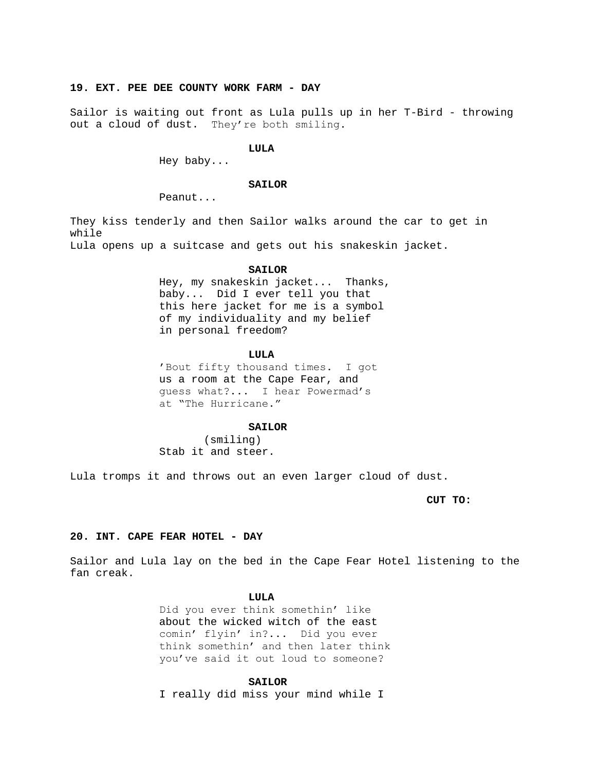# **19. EXT. PEE DEE COUNTY WORK FARM - DAY**

Sailor is waiting out front as Lula pulls up in her T-Bird - throwing out a cloud of dust. They're both smiling.

#### **LULA**

Hey baby...

### **SAILOR**

Peanut...

They kiss tenderly and then Sailor walks around the car to get in while

Lula opens up a suitcase and gets out his snakeskin jacket.

#### **SAILOR**

Hey, my snakeskin jacket... Thanks, baby... Did I ever tell you that this here jacket for me is a symbol of my individuality and my belief in personal freedom?

#### **LULA**

'Bout fifty thousand times. I got us a room at the Cape Fear, and guess what?... I hear Powermad's at "The Hurricane."

### **SAILOR**

(smiling) Stab it and steer.

Lula tromps it and throws out an even larger cloud of dust.

**CUT TO:**

## **20. INT. CAPE FEAR HOTEL - DAY**

Sailor and Lula lay on the bed in the Cape Fear Hotel listening to the fan creak.

#### **LULA**

Did you ever think somethin' like about the wicked witch of the east comin' flyin' in?... Did you ever think somethin' and then later think you've said it out loud to someone?

#### **SAILOR**

I really did miss your mind while I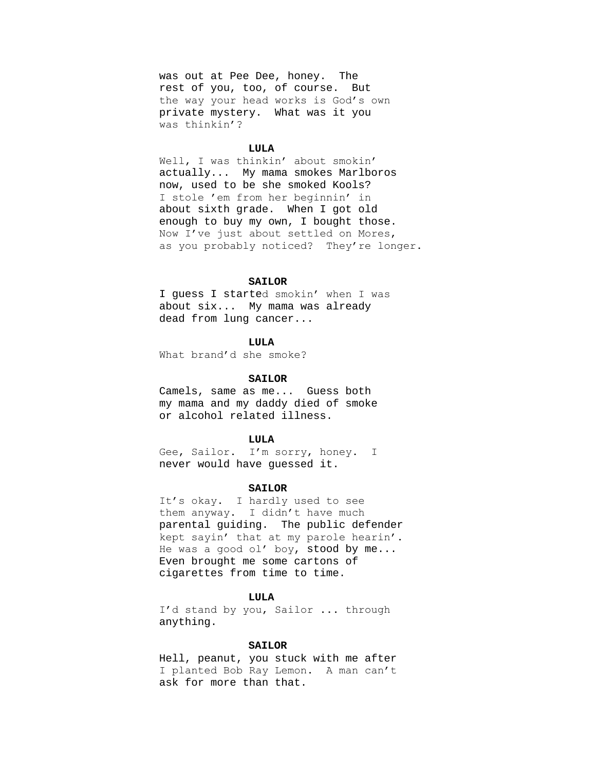was out at Pee Dee, honey. The rest of you, too, of course. But the way your head works is God's own private mystery. What was it you was thinkin'?

#### **LULA**

Well, I was thinkin' about smokin' actually... My mama smokes Marlboros now, used to be she smoked Kools? I stole 'em from her beginnin' in about sixth grade. When I got old enough to buy my own, I bought those. Now I've just about settled on Mores, as you probably noticed? They're longer.

## SATLOR

I guess I started smokin' when I was about six... My mama was already dead from lung cancer...

### **LULA**

What brand'd she smoke?

### **SAILOR**

Camels, same as me... Guess both my mama and my daddy died of smoke or alcohol related illness.

### **LULA**

Gee, Sailor. I'm sorry, honey. I never would have guessed it.

### **SAILOR**

It's okay. I hardly used to see them anyway. I didn't have much parental guiding. The public defender kept sayin' that at my parole hearin'. He was a good ol' boy, stood by me... Even brought me some cartons of cigarettes from time to time.

#### **LULA**

I'd stand by you, Sailor ... through anything.

#### **SAILOR**

Hell, peanut, you stuck with me after I planted Bob Ray Lemon. A man can't ask for more than that.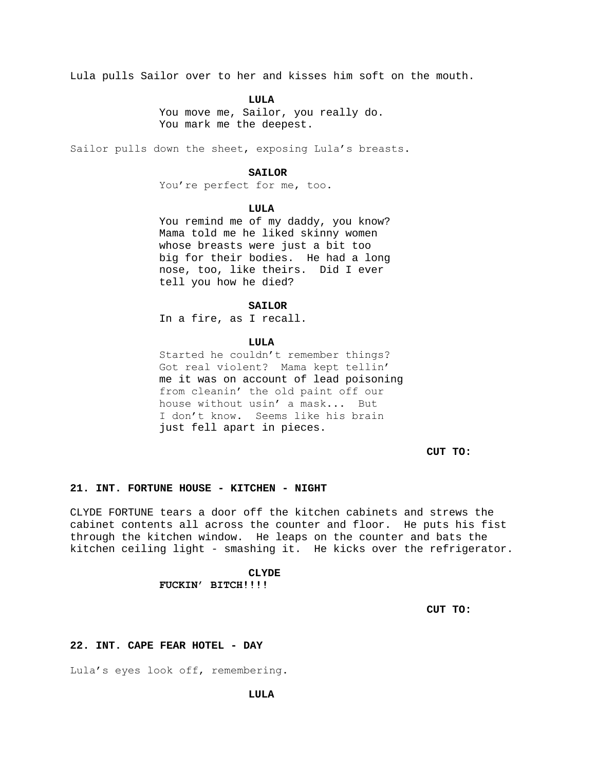Lula pulls Sailor over to her and kisses him soft on the mouth.

**LULA**

You move me, Sailor, you really do. You mark me the deepest.

Sailor pulls down the sheet, exposing Lula's breasts.

#### **SAILOR**

You're perfect for me, too.

#### **LULA**

You remind me of my daddy, you know? Mama told me he liked skinny women whose breasts were just a bit too big for their bodies. He had a long nose, too, like theirs. Did I ever tell you how he died?

#### **SAILOR**

In a fire, as I recall.

#### **LULA**

Started he couldn't remember things? Got real violent? Mama kept tellin' me it was on account of lead poisoning from cleanin' the old paint off our house without usin' a mask... But I don't know. Seems like his brain just fell apart in pieces.

**CUT TO:**

## **21. INT. FORTUNE HOUSE - KITCHEN - NIGHT**

CLYDE FORTUNE tears a door off the kitchen cabinets and strews the cabinet contents all across the counter and floor. He puts his fist through the kitchen window. He leaps on the counter and bats the kitchen ceiling light - smashing it. He kicks over the refrigerator.

#### **CLYDE**

# **FUCKIN' BITCH!!!!**

**CUT TO:**

#### **22. INT. CAPE FEAR HOTEL - DAY**

Lula's eyes look off, remembering.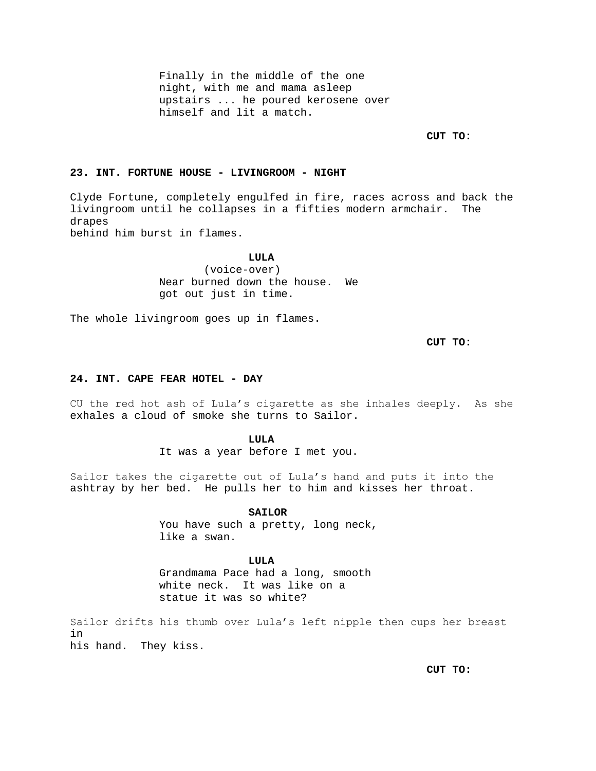Finally in the middle of the one night, with me and mama asleep upstairs ... he poured kerosene over himself and lit a match.

**CUT TO:**

# **23. INT. FORTUNE HOUSE - LIVINGROOM - NIGHT**

Clyde Fortune, completely engulfed in fire, races across and back the livingroom until he collapses in a fifties modern armchair. The drapes behind him burst in flames.

**LULA**

(voice-over) Near burned down the house. We got out just in time.

The whole livingroom goes up in flames.

**CUT TO:**

#### **24. INT. CAPE FEAR HOTEL - DAY**

CU the red hot ash of Lula's cigarette as she inhales deeply. As she exhales a cloud of smoke she turns to Sailor.

### **LULA**

It was a year before I met you.

Sailor takes the cigarette out of Lula's hand and puts it into the ashtray by her bed. He pulls her to him and kisses her throat.

#### **SAILOR**

You have such a pretty, long neck, like a swan.

# **LULA**

Grandmama Pace had a long, smooth white neck. It was like on a statue it was so white?

Sailor drifts his thumb over Lula's left nipple then cups her breast in his hand. They kiss.

**CUT TO:**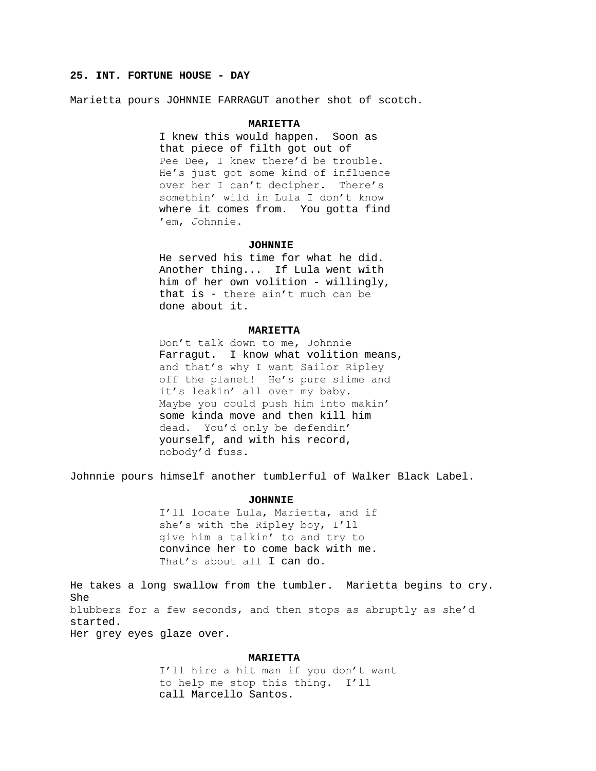# **25. INT. FORTUNE HOUSE - DAY**

Marietta pours JOHNNIE FARRAGUT another shot of scotch.

#### **MARIETTA**

I knew this would happen. Soon as that piece of filth got out of Pee Dee, I knew there'd be trouble. He's just got some kind of influence over her I can't decipher. There's somethin' wild in Lula I don't know where it comes from. You gotta find 'em, Johnnie.

#### **JOHNNIE**

He served his time for what he did. Another thing... If Lula went with him of her own volition - willingly, that is - there ain't much can be done about it.

## **MARIETTA**

Don't talk down to me, Johnnie Farragut. I know what volition means, and that's why I want Sailor Ripley off the planet! He's pure slime and it's leakin' all over my baby. Maybe you could push him into makin' some kinda move and then kill him dead. You'd only be defendin' yourself, and with his record, nobody'd fuss.

Johnnie pours himself another tumblerful of Walker Black Label.

#### **JOHNNIE**

I'll locate Lula, Marietta, and if she's with the Ripley boy, I'll give him a talkin' to and try to convince her to come back with me. That's about all I can do.

He takes a long swallow from the tumbler. Marietta begins to cry. She blubbers for a few seconds, and then stops as abruptly as she'd started. Her grey eyes glaze over.

### **MARIETTA**

I'll hire a hit man if you don't want to help me stop this thing. I'll call Marcello Santos.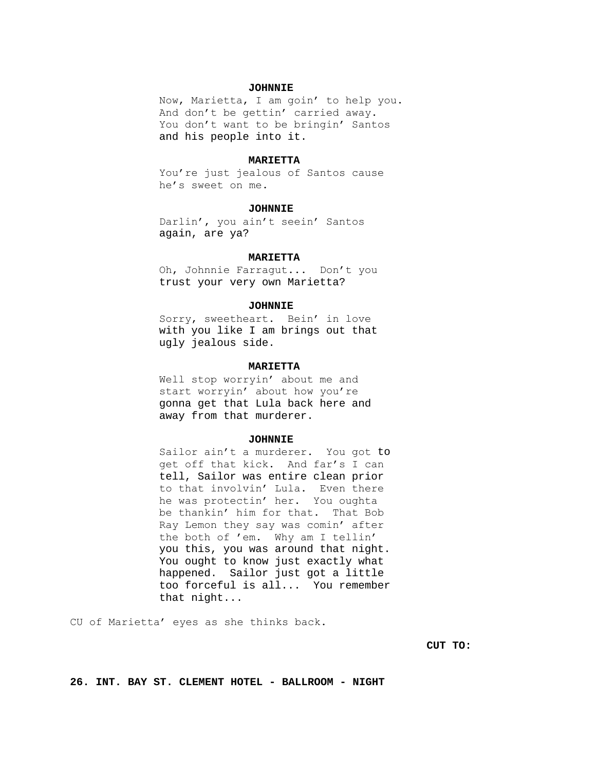### **JOHNNIE**

Now, Marietta, I am goin' to help you. And don't be gettin' carried away. You don't want to be bringin' Santos and his people into it.

#### **MARIETTA**

You're just jealous of Santos cause he's sweet on me.

### **JOHNNIE**

Darlin', you ain't seein' Santos again, are ya?

#### **MARIETTA**

Oh, Johnnie Farragut... Don't you trust your very own Marietta?

#### **JOHNNIE**

Sorry, sweetheart. Bein' in love with you like I am brings out that ugly jealous side.

#### **MARIETTA**

Well stop worryin' about me and start worryin' about how you're gonna get that Lula back here and away from that murderer.

#### **JOHNNIE**

Sailor ain't a murderer. You got to get off that kick. And far's I can tell, Sailor was entire clean prior to that involvin' Lula. Even there he was protectin' her. You oughta be thankin' him for that. That Bob Ray Lemon they say was comin' after the both of 'em. Why am I tellin' you this, you was around that night. You ought to know just exactly what happened. Sailor just got a little too forceful is all... You remember that night...

CU of Marietta' eyes as she thinks back.

**CUT TO:**

**26. INT. BAY ST. CLEMENT HOTEL - BALLROOM - NIGHT**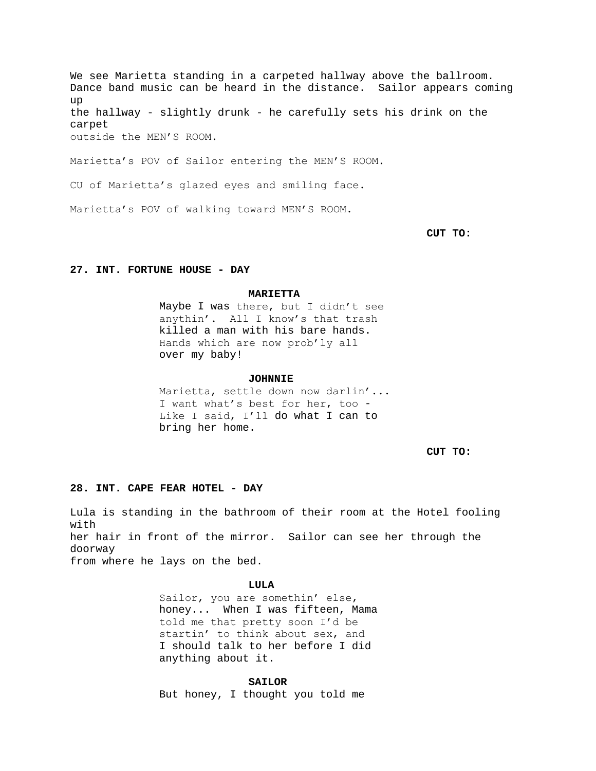We see Marietta standing in a carpeted hallway above the ballroom. Dance band music can be heard in the distance. Sailor appears coming up the hallway - slightly drunk - he carefully sets his drink on the carpet outside the MEN'S ROOM.

Marietta's POV of Sailor entering the MEN'S ROOM.

CU of Marietta's glazed eyes and smiling face.

Marietta's POV of walking toward MEN'S ROOM.

**CUT TO:**

#### **27. INT. FORTUNE HOUSE - DAY**

#### **MARIETTA**

Maybe I was there, but I didn't see anythin'. All I know's that trash killed a man with his bare hands. Hands which are now prob'ly all over my baby!

#### **JOHNNIE**

Marietta, settle down now darlin'... I want what's best for her, too - Like I said, I'll do what I can to bring her home.

**CUT TO:**

### **28. INT. CAPE FEAR HOTEL - DAY**

Lula is standing in the bathroom of their room at the Hotel fooling with her hair in front of the mirror. Sailor can see her through the doorway from where he lays on the bed.

### **LULA**

Sailor, you are somethin' else, honey... When I was fifteen, Mama told me that pretty soon I'd be startin' to think about sex, and I should talk to her before I did anything about it.

### **SAILOR**

But honey, I thought you told me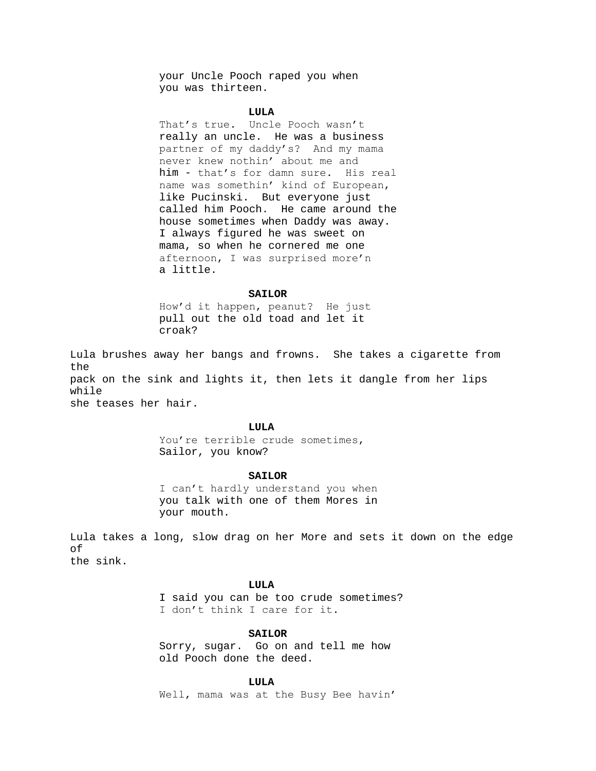your Uncle Pooch raped you when you was thirteen.

# **LULA**

That's true. Uncle Pooch wasn't really an uncle. He was a business partner of my daddy's? And my mama never knew nothin' about me and him - that's for damn sure. His real name was somethin' kind of European, like Pucinski. But everyone just called him Pooch. He came around the house sometimes when Daddy was away. I always figured he was sweet on mama, so when he cornered me one afternoon, I was surprised more'n a little.

#### **SAILOR**

How'd it happen, peanut? He just pull out the old toad and let it croak?

Lula brushes away her bangs and frowns. She takes a cigarette from the pack on the sink and lights it, then lets it dangle from her lips while she teases her hair.

### **LULA**

You're terrible crude sometimes, Sailor, you know?

#### **SAILOR**

I can't hardly understand you when you talk with one of them Mores in your mouth.

Lula takes a long, slow drag on her More and sets it down on the edge of the sink.

### **LULA**

I said you can be too crude sometimes? I don't think I care for it.

# **SAILOR**

Sorry, sugar. Go on and tell me how old Pooch done the deed.

#### **LULA**

Well, mama was at the Busy Bee havin'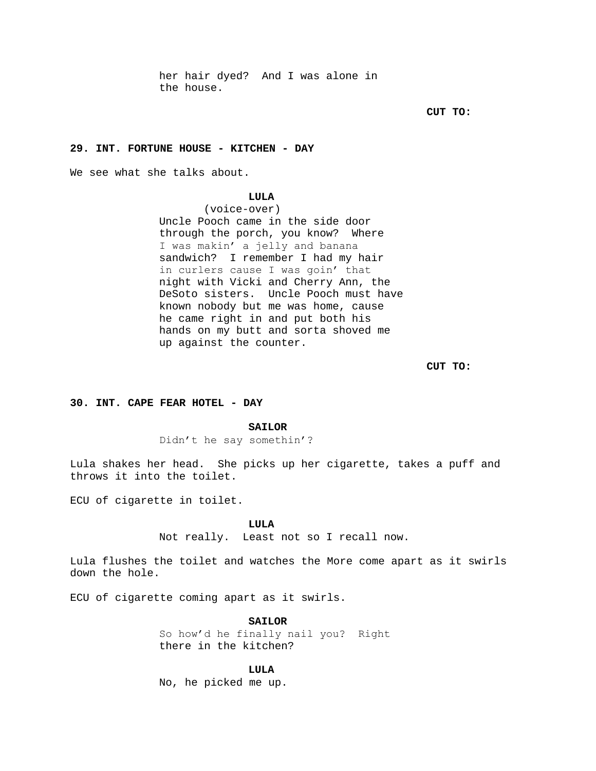her hair dyed? And I was alone in the house.

**CUT TO:**

#### **29. INT. FORTUNE HOUSE - KITCHEN - DAY**

We see what she talks about.

# **LULA**

(voice-over) Uncle Pooch came in the side door through the porch, you know? Where I was makin' a jelly and banana sandwich? I remember I had my hair in curlers cause I was goin' that night with Vicki and Cherry Ann, the DeSoto sisters. Uncle Pooch must have known nobody but me was home, cause he came right in and put both his hands on my butt and sorta shoved me up against the counter.

**CUT TO:**

### **30. INT. CAPE FEAR HOTEL - DAY**

## **SAILOR**

Didn't he say somethin'?

Lula shakes her head. She picks up her cigarette, takes a puff and throws it into the toilet.

ECU of cigarette in toilet.

**LULA**

Not really. Least not so I recall now.

Lula flushes the toilet and watches the More come apart as it swirls down the hole.

ECU of cigarette coming apart as it swirls.

**SAILOR**

So how'd he finally nail you? Right there in the kitchen?

**LULA**

No, he picked me up.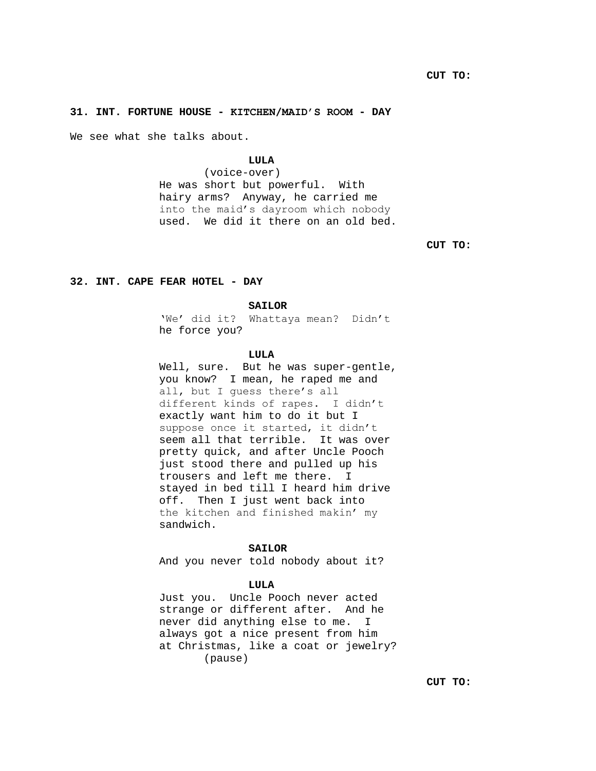# **31. INT. FORTUNE HOUSE - KITCHEN/MAID'S ROOM - DAY**

We see what she talks about.

# **LULA**

(voice-over) He was short but powerful. With hairy arms? Anyway, he carried me into the maid's dayroom which nobody used. We did it there on an old bed.

**CUT TO:**

## **32. INT. CAPE FEAR HOTEL - DAY**

#### **SAILOR**

'We' did it? Whattaya mean? Didn't he force you?

#### **LULA**

Well, sure. But he was super-gentle, you know? I mean, he raped me and all, but I guess there's all different kinds of rapes. I didn't exactly want him to do it but I suppose once it started, it didn't seem all that terrible. It was over pretty quick, and after Uncle Pooch just stood there and pulled up his trousers and left me there. I stayed in bed till I heard him drive off. Then I just went back into the kitchen and finished makin' my sandwich.

#### **SAILOR**

And you never told nobody about it?

### **LULA**

Just you. Uncle Pooch never acted strange or different after. And he never did anything else to me. I always got a nice present from him at Christmas, like a coat or jewelry? (pause)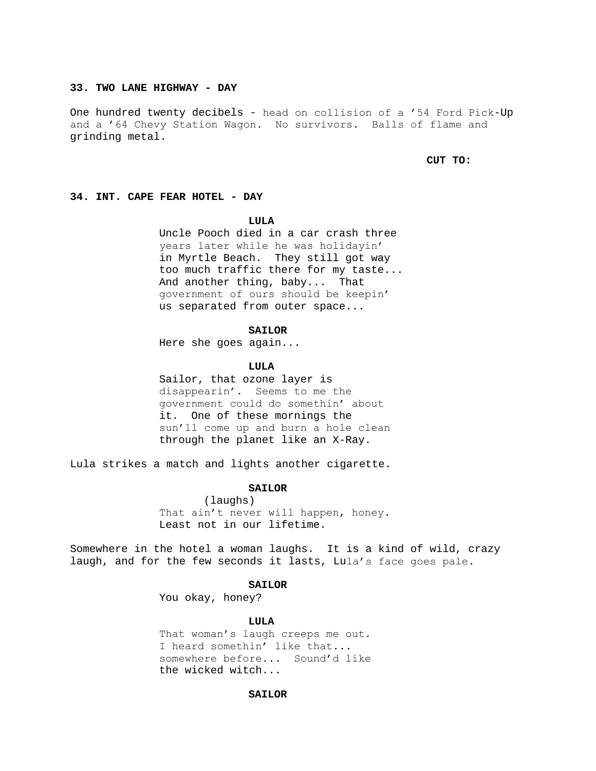# **33. TWO LANE HIGHWAY - DAY**

One hundred twenty decibels - head on collision of a '54 Ford Pick-Up and a '64 Chevy Station Wagon. No survivors. Balls of flame and grinding metal.

## **CUT TO:**

#### **34. INT. CAPE FEAR HOTEL - DAY**

#### **LULA**

Uncle Pooch died in a car crash three years later while he was holidayin' in Myrtle Beach. They still got way too much traffic there for my taste... And another thing, baby... That government of ours should be keepin' us separated from outer space...

### **SAILOR**

Here she goes again...

### **LULA**

Sailor, that ozone layer is disappearin'. Seems to me the government could do somethin' about it. One of these mornings the sun'll come up and burn a hole clean through the planet like an X-Ray.

Lula strikes a match and lights another cigarette.

### **SAILOR**

(laughs) That ain't never will happen, honey. Least not in our lifetime.

Somewhere in the hotel a woman laughs. It is a kind of wild, crazy laugh, and for the few seconds it lasts, Lula's face goes pale.

#### **SAILOR**

You okay, honey?

### **LULA**

That woman's laugh creeps me out. I heard somethin' like that... somewhere before... Sound'd like the wicked witch...

## **SAILOR**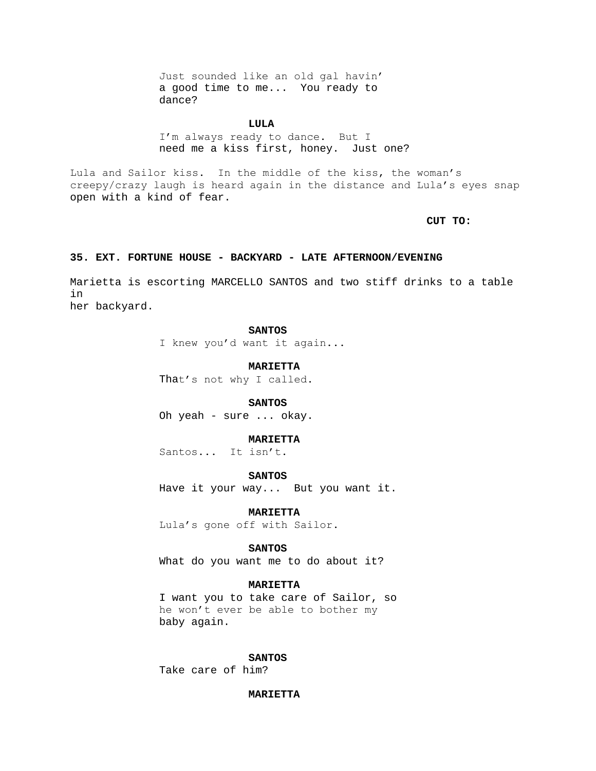Just sounded like an old gal havin' a good time to me... You ready to dance?

**LULA**

I'm always ready to dance. But I need me a kiss first, honey. Just one?

Lula and Sailor kiss. In the middle of the kiss, the woman's creepy/crazy laugh is heard again in the distance and Lula's eyes snap open with a kind of fear.

**CUT TO:**

## **35. EXT. FORTUNE HOUSE - BACKYARD - LATE AFTERNOON/EVENING**

Marietta is escorting MARCELLO SANTOS and two stiff drinks to a table in her backyard.

**SANTOS**

I knew you'd want it again...

**MARIETTA**

That's not why I called.

**SANTOS**

Oh yeah - sure ... okay.

# **MARIETTA**

Santos... It isn't.

**SANTOS**

Have it your way... But you want it.

**MARIETTA**

Lula's gone off with Sailor.

#### **SANTOS**

What do you want me to do about it?

## **MARIETTA**

I want you to take care of Sailor, so he won't ever be able to bother my baby again.

#### **SANTOS**

Take care of him?

### **MARIETTA**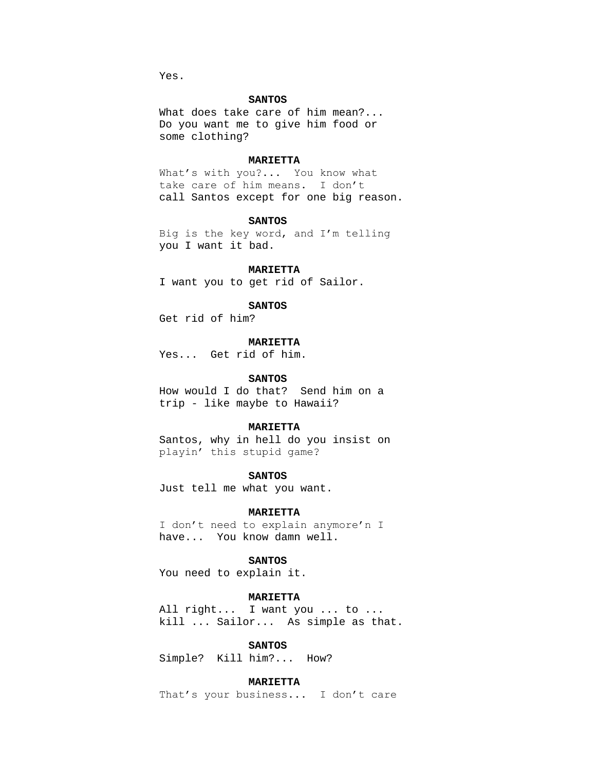Yes.

### **SANTOS**

What does take care of him mean?... Do you want me to give him food or some clothing?

## **MARIETTA**

What's with you?... You know what take care of him means. I don't call Santos except for one big reason.

#### **SANTOS**

Big is the key word, and I'm telling you I want it bad.

#### **MARIETTA**

I want you to get rid of Sailor.

### **SANTOS**

Get rid of him?

# **MARIETTA**

Yes... Get rid of him.

### **SANTOS**

How would I do that? Send him on a trip - like maybe to Hawaii?

### **MARIETTA**

Santos, why in hell do you insist on playin' this stupid game?

### **SANTOS**

Just tell me what you want.

#### **MARIETTA**

I don't need to explain anymore'n I have... You know damn well.

#### **SANTOS**

You need to explain it.

## **MARIETTA**

All right... I want you ... to ... kill ... Sailor... As simple as that.

#### **SANTOS**

Simple? Kill him?... How?

## **MARIETTA**

That's your business... I don't care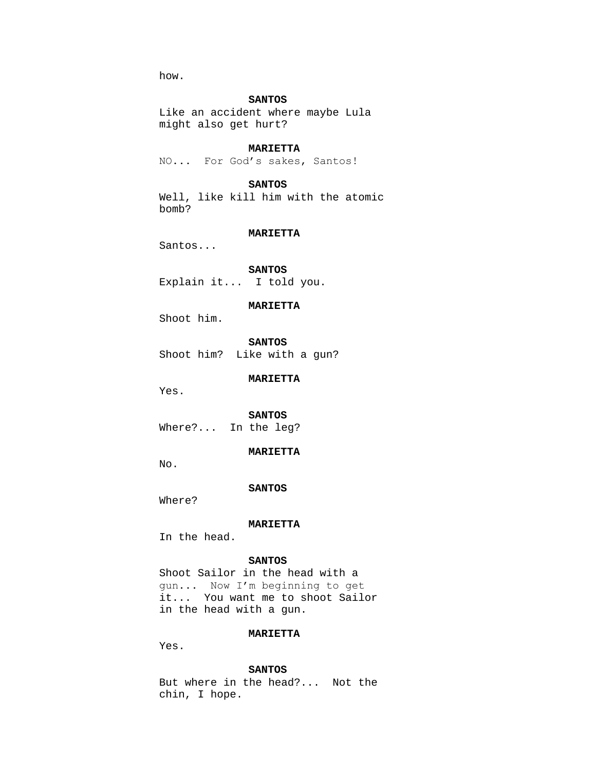how.

## **SANTOS**

Like an accident where maybe Lula might also get hurt?

#### **MARIETTA**

NO... For God's sakes, Santos!

## **SANTOS**

Well, like kill him with the atomic bomb?

## **MARIETTA**

Santos...

**SANTOS** Explain it... I told you.

## **MARIETTA**

Shoot him.

**SANTOS** Shoot him? Like with a gun?

**MARIETTA**

Yes.

**SANTOS** Where?... In the leg?

# **MARIETTA**

No.

### **SANTOS**

Where?

### **MARIETTA**

In the head.

## **SANTOS**

Shoot Sailor in the head with a gun... Now I'm beginning to get it... You want me to shoot Sailor in the head with a gun.

## **MARIETTA**

Yes.

#### **SANTOS**

But where in the head?... Not the chin, I hope.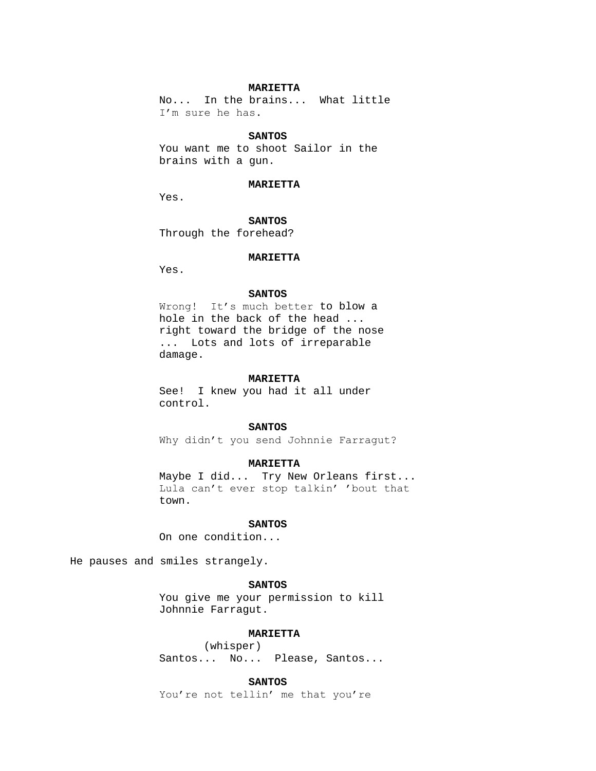## **MARIETTA**

No... In the brains... What little I'm sure he has.

### **SANTOS**

You want me to shoot Sailor in the brains with a gun.

#### **MARIETTA**

Yes.

**SANTOS**

Through the forehead?

# **MARIETTA**

Yes.

### **SANTOS**

Wrong! It's much better to blow a hole in the back of the head ... right toward the bridge of the nose ... Lots and lots of irreparable damage.

#### **MARIETTA**

See! I knew you had it all under control.

## **SANTOS**

Why didn't you send Johnnie Farragut?

### **MARIETTA**

Maybe I did... Try New Orleans first... Lula can't ever stop talkin' 'bout that town.

### **SANTOS**

On one condition...

He pauses and smiles strangely.

# **SANTOS**

You give me your permission to kill Johnnie Farragut.

## **MARIETTA**

(whisper) Santos... No... Please, Santos...

### **SANTOS**

You're not tellin' me that you're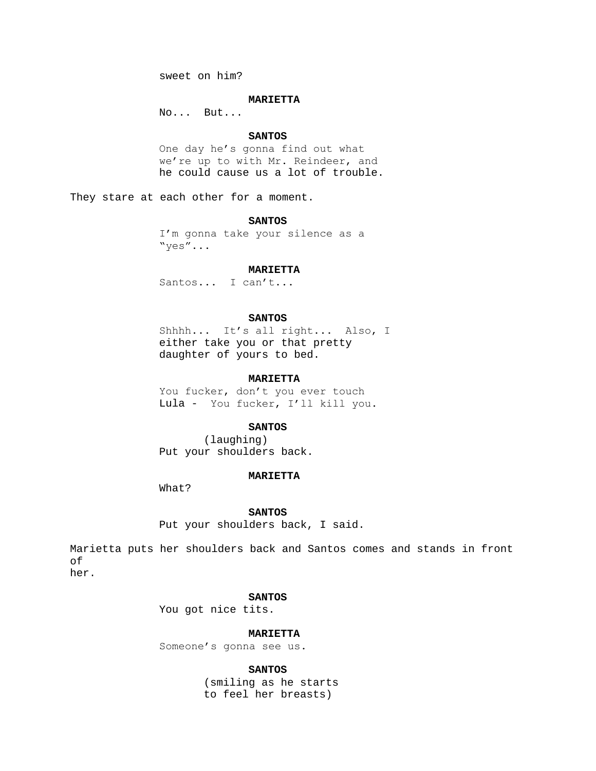sweet on him?

### **MARIETTA**

No... But...

### **SANTOS**

One day he's gonna find out what we're up to with Mr. Reindeer, and he could cause us a lot of trouble.

They stare at each other for a moment.

### **SANTOS**

I'm gonna take your silence as a "yes"...

#### **MARIETTA**

Santos... I can't...

### **SANTOS**

Shhhh... It's all right... Also, I either take you or that pretty daughter of yours to bed.

### **MARIETTA**

You fucker, don't you ever touch Lula - You fucker, I'll kill you.

### **SANTOS**

(laughing) Put your shoulders back.

#### **MARIETTA**

What?

**SANTOS**

Put your shoulders back, I said.

Marietta puts her shoulders back and Santos comes and stands in front of her.

## **SANTOS**

You got nice tits.

## **MARIETTA**

Someone's gonna see us.

**SANTOS**

(smiling as he starts to feel her breasts)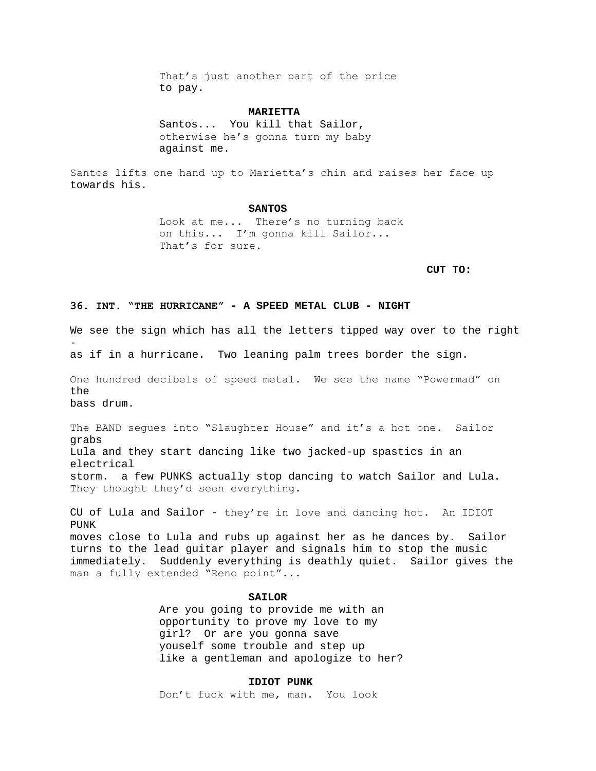That's just another part of the price to pay.

### **MARIETTA**

Santos... You kill that Sailor, otherwise he's gonna turn my baby against me.

Santos lifts one hand up to Marietta's chin and raises her face up towards his.

#### **SANTOS**

Look at me... There's no turning back on this... I'm gonna kill Sailor... That's for sure.

**CUT TO:**

## **36. INT. "THE HURRICANE" - A SPEED METAL CLUB - NIGHT**

We see the sign which has all the letters tipped way over to the right -

as if in a hurricane. Two leaning palm trees border the sign.

One hundred decibels of speed metal. We see the name "Powermad" on the bass drum.

The BAND segues into "Slaughter House" and it's a hot one. Sailor grabs Lula and they start dancing like two jacked-up spastics in an electrical storm. a few PUNKS actually stop dancing to watch Sailor and Lula. They thought they'd seen everything.

CU of Lula and Sailor - they're in love and dancing hot. An IDIOT PUNK moves close to Lula and rubs up against her as he dances by. Sailor turns to the lead guitar player and signals him to stop the music immediately. Suddenly everything is deathly quiet. Sailor gives the man a fully extended "Reno point"...

### **SAILOR**

Are you going to provide me with an opportunity to prove my love to my girl? Or are you gonna save youself some trouble and step up like a gentleman and apologize to her?

## **IDIOT PUNK**

Don't fuck with me, man. You look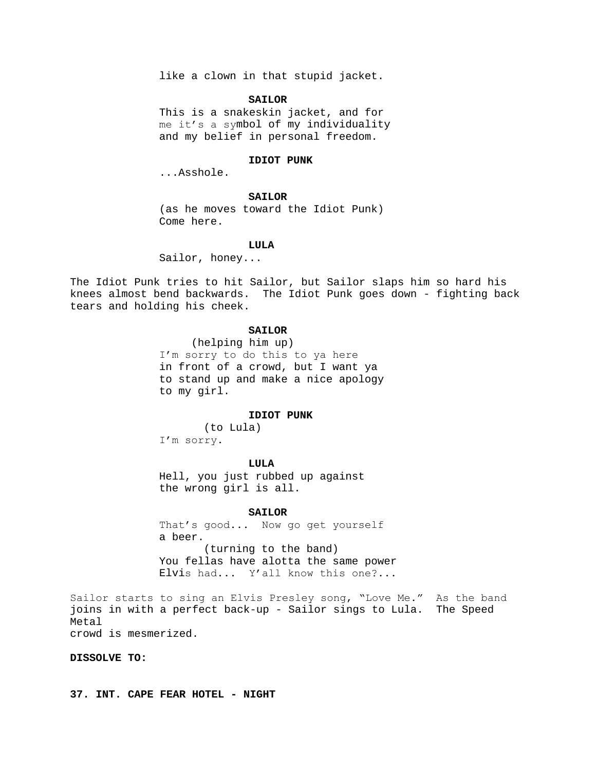like a clown in that stupid jacket.

#### **SAILOR**

This is a snakeskin jacket, and for me it's a symbol of my individuality and my belief in personal freedom.

# **IDIOT PUNK**

...Asshole.

## **SAILOR**

(as he moves toward the Idiot Punk) Come here.

#### **LULA**

Sailor, honey...

The Idiot Punk tries to hit Sailor, but Sailor slaps him so hard his knees almost bend backwards. The Idiot Punk goes down - fighting back tears and holding his cheek.

# **SAILOR**

 (helping him up) I'm sorry to do this to ya here in front of a crowd, but I want ya to stand up and make a nice apology to my girl.

## **IDIOT PUNK**

(to Lula) I'm sorry.

#### **LULA**

Hell, you just rubbed up against the wrong girl is all.

### **SAILOR**

That's good... Now go get yourself a beer. (turning to the band) You fellas have alotta the same power Elvis had... Y'all know this one?...

Sailor starts to sing an Elvis Presley song, "Love Me." As the band joins in with a perfect back-up - Sailor sings to Lula. The Speed Metal crowd is mesmerized.

**DISSOLVE TO:**

**37. INT. CAPE FEAR HOTEL - NIGHT**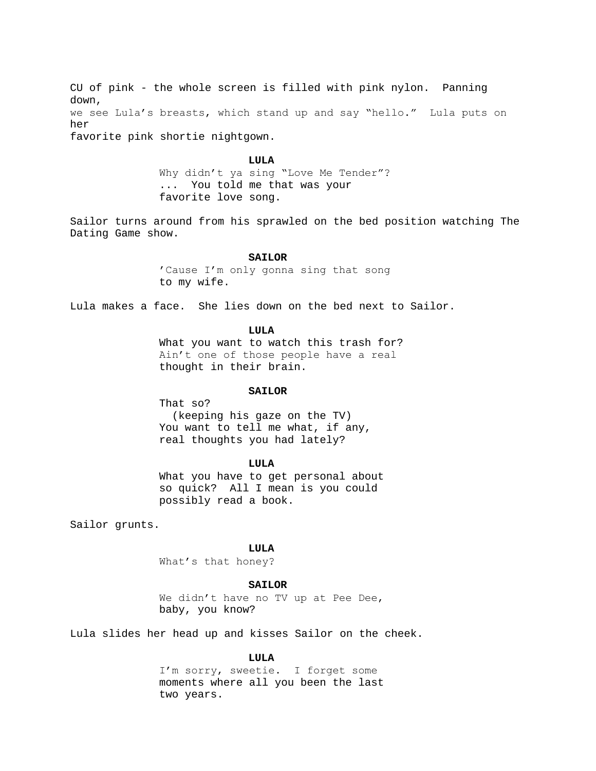CU of pink - the whole screen is filled with pink nylon. Panning down, we see Lula's breasts, which stand up and say "hello." Lula puts on her favorite pink shortie nightgown.

#### **LULA**

Why didn't ya sing "Love Me Tender"? ... You told me that was your favorite love song.

Sailor turns around from his sprawled on the bed position watching The Dating Game show.

### **SAILOR**

'Cause I'm only gonna sing that song to my wife.

Lula makes a face. She lies down on the bed next to Sailor.

### **LULA**

What you want to watch this trash for? Ain't one of those people have a real thought in their brain.

## **SAILOR**

That so? (keeping his gaze on the TV) You want to tell me what, if any, real thoughts you had lately?

### **LULA**

What you have to get personal about so quick? All I mean is you could possibly read a book.

Sailor grunts.

## **LULA**

What's that honey?

#### **SAILOR**

We didn't have no TV up at Pee Dee, baby, you know?

Lula slides her head up and kisses Sailor on the cheek.

## **LULA**

I'm sorry, sweetie. I forget some moments where all you been the last two years.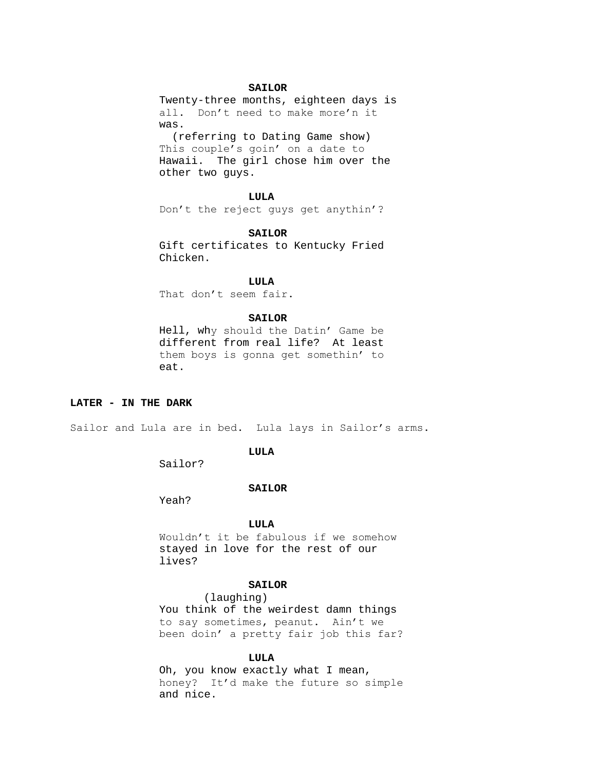## **SAILOR**

Twenty-three months, eighteen days is all. Don't need to make more'n it was.

 (referring to Dating Game show) This couple's goin' on a date to Hawaii. The girl chose him over the other two guys.

#### **LULA**

Don't the reject guys get anythin'?

### **SAILOR**

Gift certificates to Kentucky Fried Chicken.

# **LULA**

That don't seem fair.

### **SAILOR**

Hell, why should the Datin' Game be different from real life? At least them boys is gonna get somethin' to eat.

### **LATER - IN THE DARK**

Sailor and Lula are in bed. Lula lays in Sailor's arms.

## **LULA**

Sailor?

#### **SAILOR**

Yeah?

#### **LULA**

Wouldn't it be fabulous if we somehow stayed in love for the rest of our lives?

# **SAILOR**

(laughing)

You think of the weirdest damn things to say sometimes, peanut. Ain't we been doin' a pretty fair job this far?

### **LULA**

Oh, you know exactly what I mean, honey? It'd make the future so simple and nice.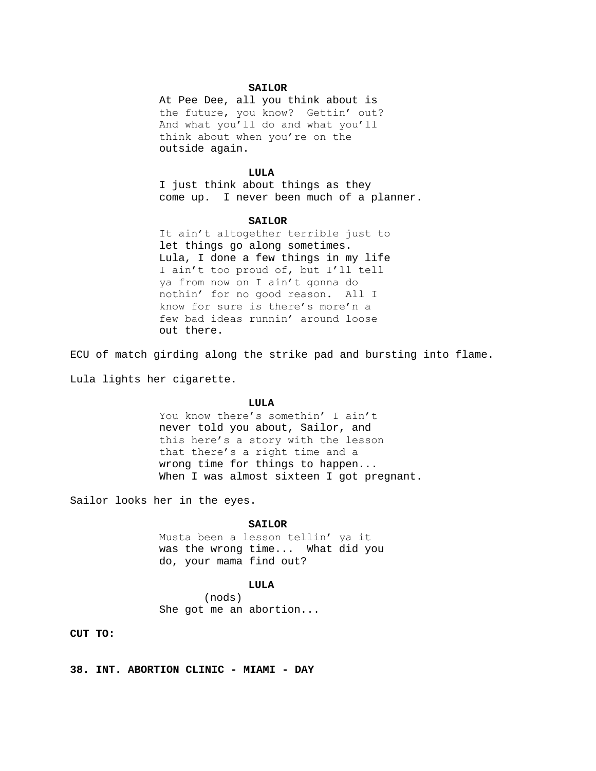#### **SAILOR**

At Pee Dee, all you think about is the future, you know? Gettin' out? And what you'll do and what you'll think about when you're on the outside again.

#### **LULA**

I just think about things as they come up. I never been much of a planner.

#### **SAILOR**

It ain't altogether terrible just to let things go along sometimes. Lula, I done a few things in my life I ain't too proud of, but I'll tell ya from now on I ain't gonna do nothin' for no good reason. All I know for sure is there's more'n a few bad ideas runnin' around loose out there.

ECU of match girding along the strike pad and bursting into flame.

Lula lights her cigarette.

#### **LULA**

You know there's somethin' I ain't never told you about, Sailor, and this here's a story with the lesson that there's a right time and a wrong time for things to happen... When I was almost sixteen I got pregnant.

Sailor looks her in the eyes.

# **SAILOR**

Musta been a lesson tellin' ya it was the wrong time... What did you do, your mama find out?

#### **LULA**

(nods) She got me an abortion...

**CUT TO:**

**38. INT. ABORTION CLINIC - MIAMI - DAY**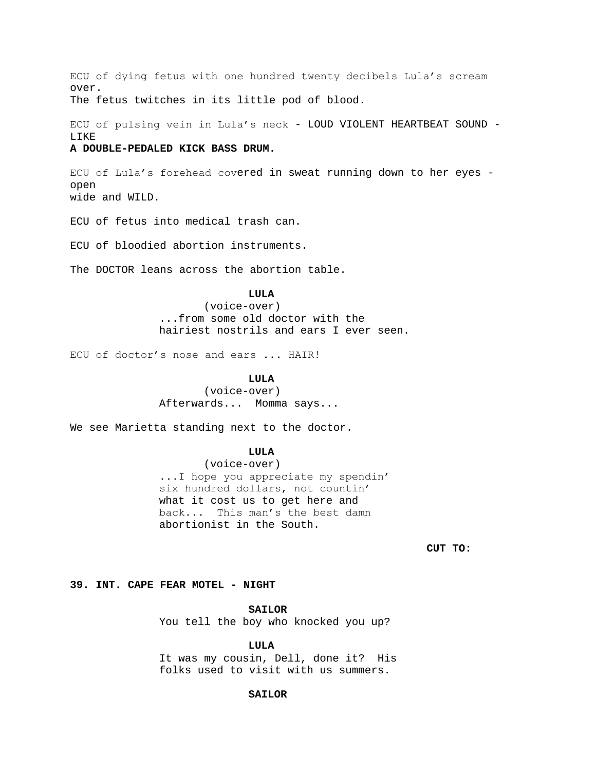ECU of dying fetus with one hundred twenty decibels Lula's scream over. The fetus twitches in its little pod of blood.

ECU of pulsing vein in Lula's neck - LOUD VIOLENT HEARTBEAT SOUND - LIKE

## **A DOUBLE-PEDALED KICK BASS DRUM.**

ECU of Lula's forehead covered in sweat running down to her eyes open wide and WILD.

ECU of fetus into medical trash can.

ECU of bloodied abortion instruments.

The DOCTOR leans across the abortion table.

# **LULA**

(voice-over) ...from some old doctor with the hairiest nostrils and ears I ever seen.

ECU of doctor's nose and ears ... HAIR!

#### **LULA**

(voice-over) Afterwards... Momma says...

We see Marietta standing next to the doctor.

# **LULA**

(voice-over) ...I hope you appreciate my spendin' six hundred dollars, not countin' what it cost us to get here and back... This man's the best damn abortionist in the South.

**CUT TO:**

**39. INT. CAPE FEAR MOTEL - NIGHT**

**SAILOR**

You tell the boy who knocked you up?

**LULA**

It was my cousin, Dell, done it? His folks used to visit with us summers.

### **SAILOR**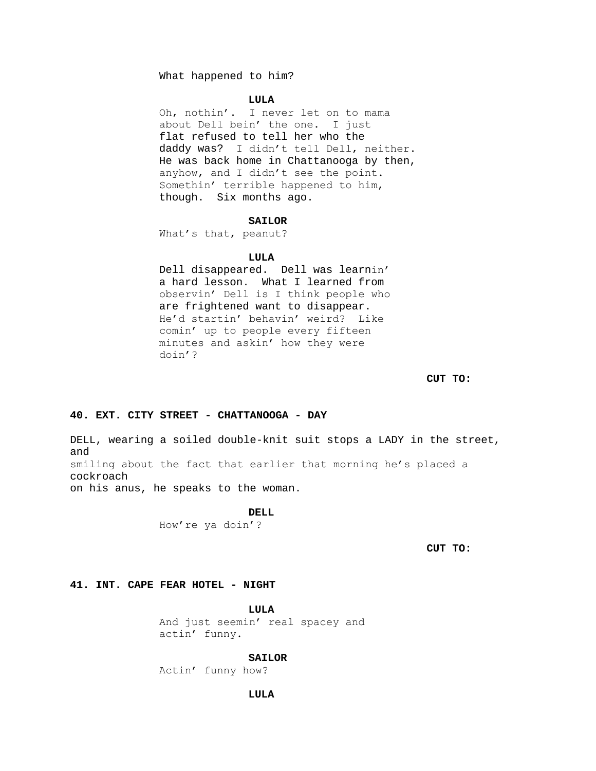What happened to him?

#### **LULA**

Oh, nothin'. I never let on to mama about Dell bein' the one. I just flat refused to tell her who the daddy was? I didn't tell Dell, neither. He was back home in Chattanooga by then, anyhow, and I didn't see the point. Somethin' terrible happened to him, though. Six months ago.

### **SAILOR**

What's that, peanut?

### **LULA**

Dell disappeared. Dell was learnin' a hard lesson. What I learned from observin' Dell is I think people who are frightened want to disappear. He'd startin' behavin' weird? Like comin' up to people every fifteen minutes and askin' how they were doin'?

# **CUT TO:**

# **40. EXT. CITY STREET - CHATTANOOGA - DAY**

DELL, wearing a soiled double-knit suit stops a LADY in the street, and smiling about the fact that earlier that morning he's placed a cockroach on his anus, he speaks to the woman.

DELL.

How're ya doin'?

**CUT TO:**

#### **41. INT. CAPE FEAR HOTEL - NIGHT**

**LULA**

And just seemin' real spacey and actin' funny.

### **SAILOR**

Actin' funny how?

### **LULA**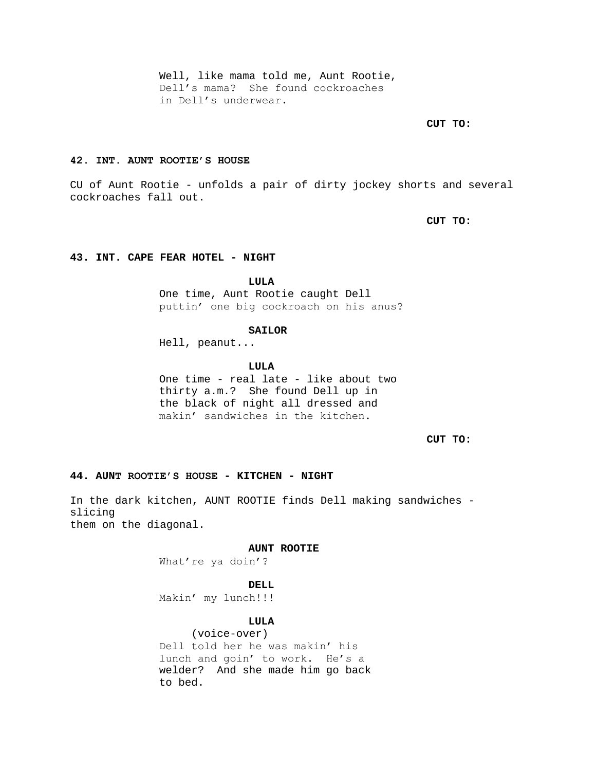Well, like mama told me, Aunt Rootie, Dell's mama? She found cockroaches in Dell's underwear.

**CUT TO:**

# **42. INT. AUNT ROOTIE'S HOUSE**

CU of Aunt Rootie - unfolds a pair of dirty jockey shorts and several cockroaches fall out.

**CUT TO:**

# **43. INT. CAPE FEAR HOTEL - NIGHT**

**LULA**

One time, Aunt Rootie caught Dell puttin' one big cockroach on his anus?

### **SAILOR**

Hell, peanut...

### **LULA**

One time - real late - like about two thirty a.m.? She found Dell up in the black of night all dressed and makin' sandwiches in the kitchen.

**CUT TO:**

## **44. AUNT ROOTIE'S HOUSE - KITCHEN - NIGHT**

In the dark kitchen, AUNT ROOTIE finds Dell making sandwiches slicing them on the diagonal.

### **AUNT ROOTIE**

What're ya doin'?

### **DELL**

Makin' my lunch!!!

## **LULA**

 (voice-over) Dell told her he was makin' his lunch and goin' to work. He's a welder? And she made him go back to bed.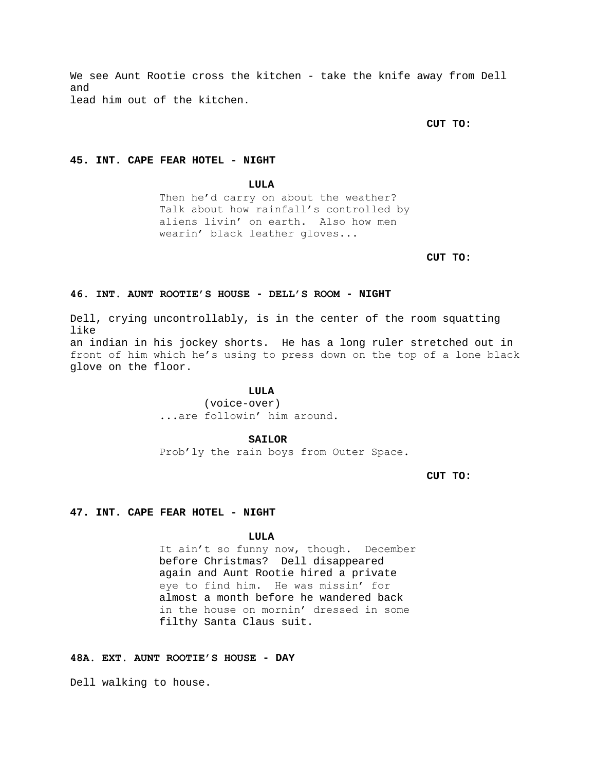We see Aunt Rootie cross the kitchen - take the knife away from Dell and lead him out of the kitchen.

# **CUT TO:**

# **45. INT. CAPE FEAR HOTEL - NIGHT**

**LULA**

Then he'd carry on about the weather? Talk about how rainfall's controlled by aliens livin' on earth. Also how men wearin' black leather gloves...

**CUT TO:**

### **46. INT. AUNT ROOTIE'S HOUSE - DELL'S ROOM - NIGHT**

Dell, crying uncontrollably, is in the center of the room squatting like an indian in his jockey shorts. He has a long ruler stretched out in front of him which he's using to press down on the top of a lone black glove on the floor.

# **LULA**

(voice-over) ...are followin' him around.

### **SAILOR**

Prob'ly the rain boys from Outer Space.

**CUT TO:**

## **47. INT. CAPE FEAR HOTEL - NIGHT**

### **LULA**

It ain't so funny now, though. December before Christmas? Dell disappeared again and Aunt Rootie hired a private eye to find him. He was missin' for almost a month before he wandered back in the house on mornin' dressed in some filthy Santa Claus suit.

# **48A. EXT. AUNT ROOTIE'S HOUSE - DAY**

Dell walking to house.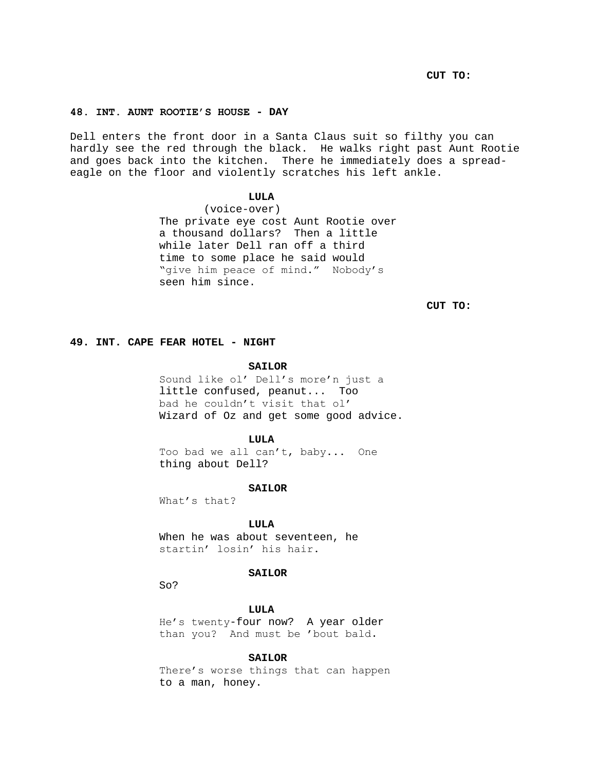**CUT TO:**

# **48. INT. AUNT ROOTIE'S HOUSE - DAY**

Dell enters the front door in a Santa Claus suit so filthy you can hardly see the red through the black. He walks right past Aunt Rootie and goes back into the kitchen. There he immediately does a spreadeagle on the floor and violently scratches his left ankle.

# **LULA**

(voice-over) The private eye cost Aunt Rootie over a thousand dollars? Then a little while later Dell ran off a third time to some place he said would "give him peace of mind." Nobody's seen him since.

**CUT TO:**

## **49. INT. CAPE FEAR HOTEL - NIGHT**

#### **SAILOR**

Sound like ol' Dell's more'n just a little confused, peanut... Too bad he couldn't visit that ol' Wizard of Oz and get some good advice.

#### **LULA**

Too bad we all can't, baby... One thing about Dell?

#### **SAILOR**

What's that?

## **LULA**

When he was about seventeen, he startin' losin' his hair.

#### **SAILOR**

So?

## **LULA**

He's twenty-four now? A year older than you? And must be 'bout bald.

#### **SAILOR**

There's worse things that can happen to a man, honey.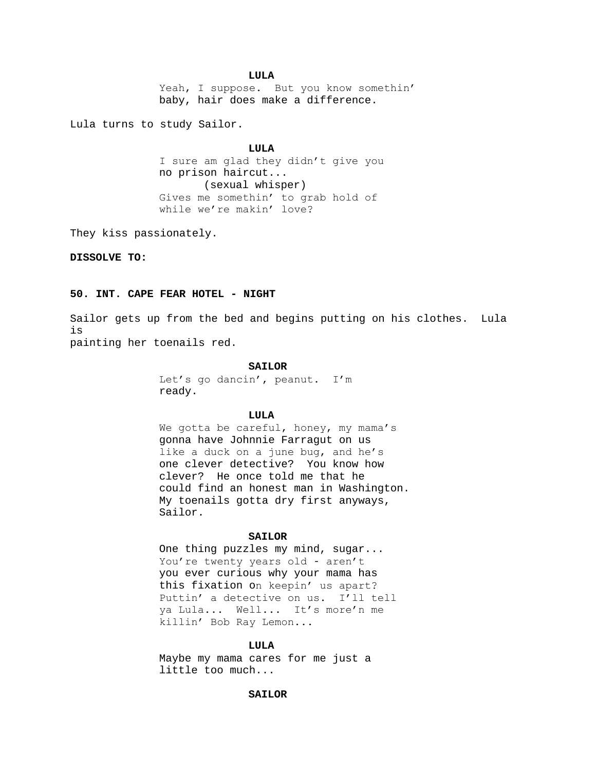#### **LULA**

Yeah, I suppose. But you know somethin' baby, hair does make a difference.

Lula turns to study Sailor.

#### **LULA**

I sure am glad they didn't give you no prison haircut... (sexual whisper) Gives me somethin' to grab hold of while we're makin' love?

They kiss passionately.

# **DISSOLVE TO:**

## **50. INT. CAPE FEAR HOTEL - NIGHT**

Sailor gets up from the bed and begins putting on his clothes. Lula is painting her toenails red.

#### **SAILOR**

Let's go dancin', peanut. I'm ready.

## **LULA**

We gotta be careful, honey, my mama's gonna have Johnnie Farragut on us like a duck on a june bug, and he's one clever detective? You know how clever? He once told me that he could find an honest man in Washington. My toenails gotta dry first anyways, Sailor.

## **SAILOR**

One thing puzzles my mind, sugar... You're twenty years old - aren't you ever curious why your mama has this fixation on keepin' us apart? Puttin' a detective on us. I'll tell ya Lula... Well... It's more'n me killin' Bob Ray Lemon...

#### **LULA**

Maybe my mama cares for me just a little too much...

## **SAILOR**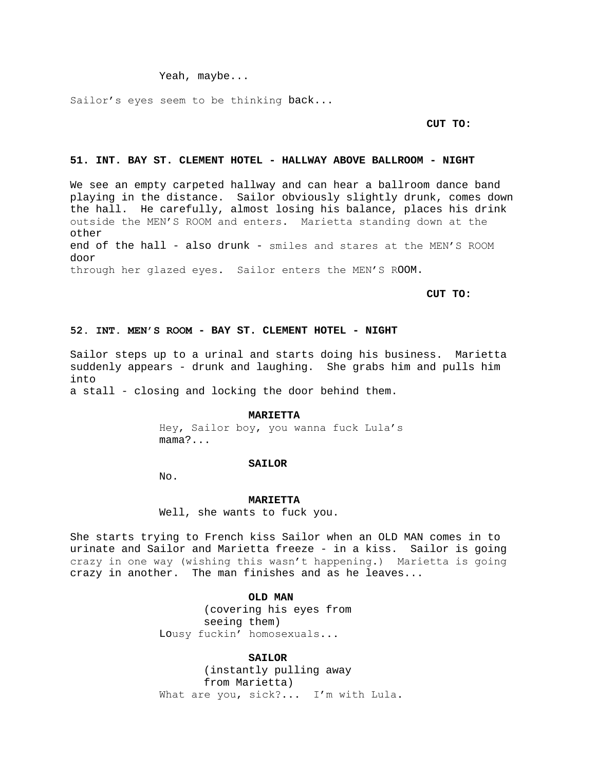Yeah, maybe...

Sailor's eyes seem to be thinking back...

## **CUT TO:**

## **51. INT. BAY ST. CLEMENT HOTEL - HALLWAY ABOVE BALLROOM - NIGHT**

We see an empty carpeted hallway and can hear a ballroom dance band playing in the distance. Sailor obviously slightly drunk, comes down the hall. He carefully, almost losing his balance, places his drink outside the MEN'S ROOM and enters. Marietta standing down at the other end of the hall - also drunk - smiles and stares at the MEN'S ROOM door through her glazed eyes. Sailor enters the MEN'S ROOM.

**CUT TO:**

#### **52. INT. MEN'S ROOM - BAY ST. CLEMENT HOTEL - NIGHT**

Sailor steps up to a urinal and starts doing his business. Marietta suddenly appears - drunk and laughing. She grabs him and pulls him into

a stall - closing and locking the door behind them.

#### **MARIETTA**

Hey, Sailor boy, you wanna fuck Lula's mama?...

# **SAILOR**

No.

#### **MARIETTA**

Well, she wants to fuck you.

She starts trying to French kiss Sailor when an OLD MAN comes in to urinate and Sailor and Marietta freeze - in a kiss. Sailor is going crazy in one way (wishing this wasn't happening.) Marietta is going crazy in another. The man finishes and as he leaves...

#### **OLD MAN**

(covering his eyes from seeing them) Lousy fuckin' homosexuals...

#### **SAILOR**

(instantly pulling away from Marietta) What are you, sick?... I'm with Lula.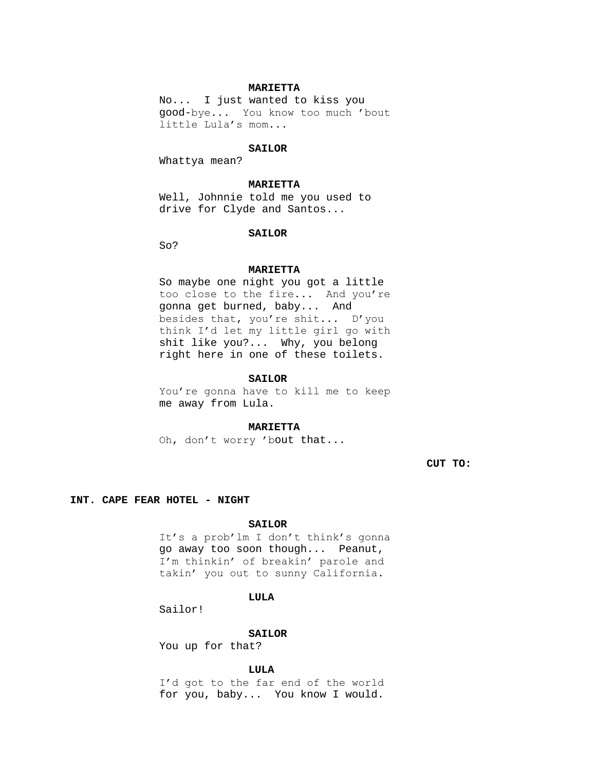### **MARIETTA**

No... I just wanted to kiss you good-bye... You know too much 'bout little Lula's mom...

## **SAILOR**

Whattya mean?

#### **MARIETTA**

Well, Johnnie told me you used to drive for Clyde and Santos...

#### **SAILOR**

So?

#### **MARIETTA**

So maybe one night you got a little too close to the fire... And you're gonna get burned, baby... And besides that, you're shit... D'you think I'd let my little girl go with shit like you?... Why, you belong right here in one of these toilets.

#### **SAILOR**

You're gonna have to kill me to keep me away from Lula.

### **MARIETTA**

Oh, don't worry 'bout that...

**CUT TO:**

#### **INT. CAPE FEAR HOTEL - NIGHT**

#### **SAILOR**

It's a prob'lm I don't think's gonna go away too soon though... Peanut, I'm thinkin' of breakin' parole and takin' you out to sunny California.

## **LULA**

Sailor!

#### **SAILOR**

You up for that?

#### **LULA**

I'd got to the far end of the world for you, baby... You know I would.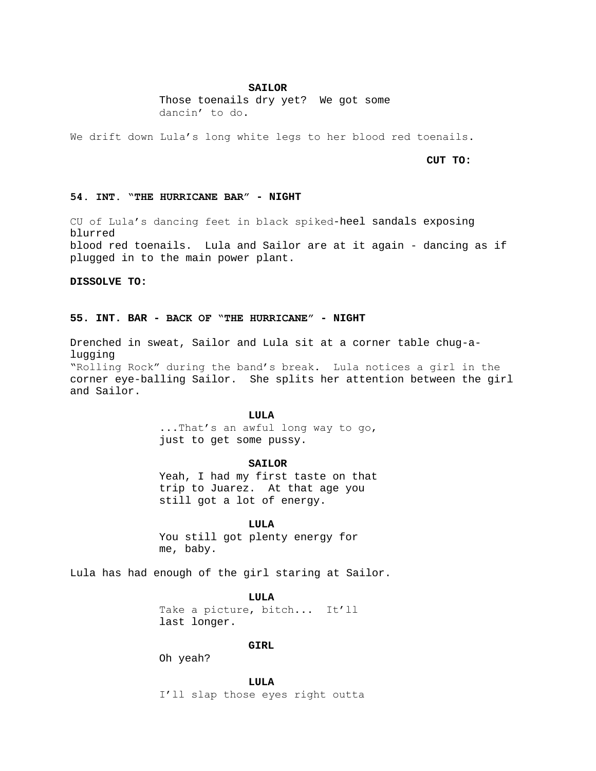### **SAILOR**

Those toenails dry yet? We got some dancin' to do.

We drift down Lula's long white legs to her blood red toenails.

**CUT TO:**

### **54. INT. "THE HURRICANE BAR" - NIGHT**

CU of Lula's dancing feet in black spiked-heel sandals exposing blurred blood red toenails. Lula and Sailor are at it again - dancing as if plugged in to the main power plant.

**DISSOLVE TO:**

# **55. INT. BAR - BACK OF "THE HURRICANE" - NIGHT**

Drenched in sweat, Sailor and Lula sit at a corner table chug-alugging "Rolling Rock" during the band's break. Lula notices a girl in the corner eye-balling Sailor. She splits her attention between the girl and Sailor.

## **LULA**

...That's an awful long way to go, just to get some pussy.

# **SAILOR**

Yeah, I had my first taste on that trip to Juarez. At that age you still got a lot of energy.

# **LULA**

You still got plenty energy for me, baby.

Lula has had enough of the girl staring at Sailor.

**LULA** Take a picture, bitch... It'll last longer.

# **GIRL**

Oh yeah?

**LULA**

I'll slap those eyes right outta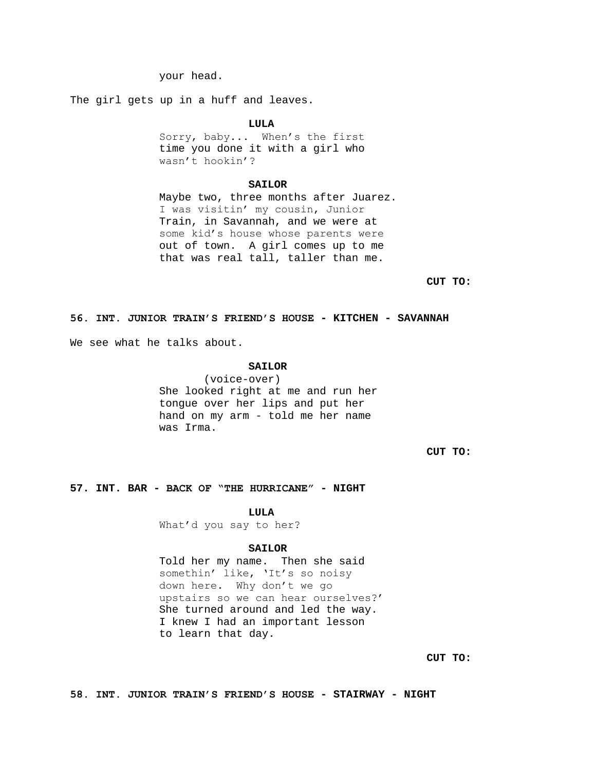your head.

The girl gets up in a huff and leaves.

**LULA**

Sorry, baby... When's the first time you done it with a girl who wasn't hookin'?

#### **SAILOR**

Maybe two, three months after Juarez. I was visitin' my cousin, Junior Train, in Savannah, and we were at some kid's house whose parents were out of town. A girl comes up to me that was real tall, taller than me.

**CUT TO:**

## **56. INT. JUNIOR TRAIN'S FRIEND'S HOUSE - KITCHEN - SAVANNAH**

We see what he talks about.

### **SAILOR**

(voice-over) She looked right at me and run her tongue over her lips and put her hand on my arm - told me her name was Irma.

**CUT TO:**

# **57. INT. BAR - BACK OF "THE HURRICANE" - NIGHT**

**LULA**

What'd you say to her?

#### **SAILOR**

Told her my name. Then she said somethin' like, 'It's so noisy down here. Why don't we go upstairs so we can hear ourselves?' She turned around and led the way. I knew I had an important lesson to learn that day.

**CUT TO:**

**58. INT. JUNIOR TRAIN'S FRIEND'S HOUSE - STAIRWAY - NIGHT**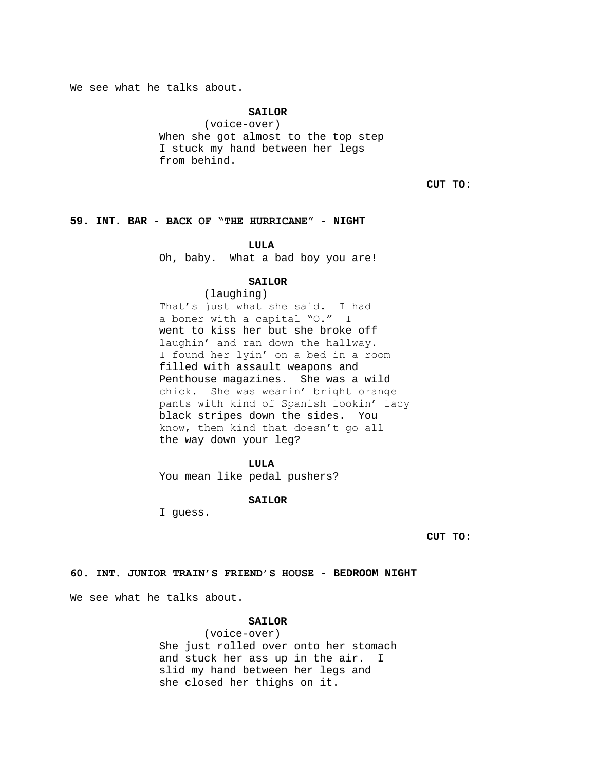We see what he talks about.

# **SAILOR**

(voice-over) When she got almost to the top step I stuck my hand between her legs from behind.

**CUT TO:**

# **59. INT. BAR - BACK OF "THE HURRICANE" - NIGHT**

## **LULA**

Oh, baby. What a bad boy you are!

## **SAILOR**

(laughing) That's just what she said. I had a boner with a capital "O." I went to kiss her but she broke off laughin' and ran down the hallway. I found her lyin' on a bed in a room filled with assault weapons and Penthouse magazines. She was a wild chick. She was wearin' bright orange pants with kind of Spanish lookin' lacy black stripes down the sides. You know, them kind that doesn't go all the way down your leg?

## **LULA**

You mean like pedal pushers?

#### **SAILOR**

I guess.

**CUT TO:**

# **60. INT. JUNIOR TRAIN'S FRIEND'S HOUSE - BEDROOM NIGHT**

We see what he talks about.

## **SAILOR**

(voice-over) She just rolled over onto her stomach and stuck her ass up in the air. I slid my hand between her legs and she closed her thighs on it.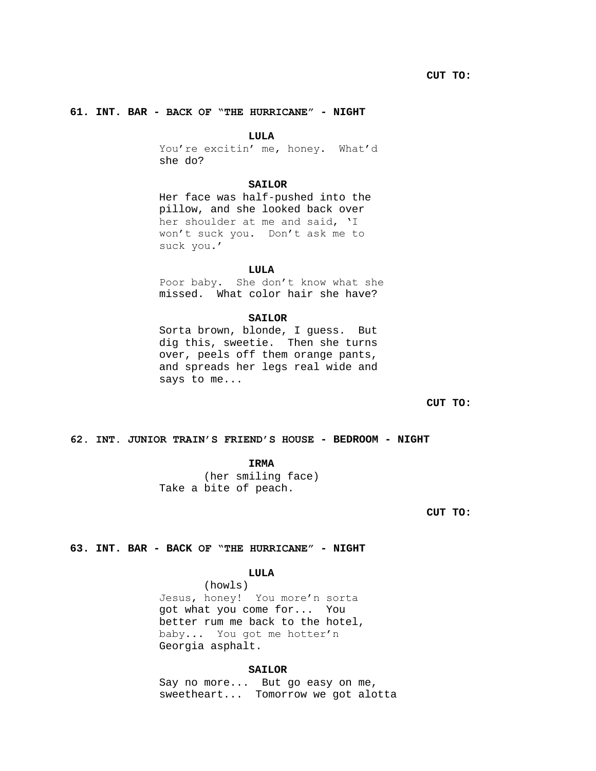# **61. INT. BAR - BACK OF "THE HURRICANE" - NIGHT**

#### **LULA**

You're excitin' me, honey. What'd she do?

#### **SAILOR**

Her face was half-pushed into the pillow, and she looked back over her shoulder at me and said, 'I won't suck you. Don't ask me to suck you.'

### **LULA**

Poor baby. She don't know what she missed. What color hair she have?

### **SAILOR**

Sorta brown, blonde, I guess. But dig this, sweetie. Then she turns over, peels off them orange pants, and spreads her legs real wide and says to me...

**CUT TO:**

# **62. INT. JUNIOR TRAIN'S FRIEND'S HOUSE - BEDROOM - NIGHT**

**IRMA**

(her smiling face) Take a bite of peach.

**CUT TO:**

## **63. INT. BAR - BACK OF "THE HURRICANE" - NIGHT**

# **LULA**

(howls) Jesus, honey! You more'n sorta got what you come for... You better rum me back to the hotel, baby... You got me hotter'n Georgia asphalt.

## **SAILOR**

Say no more... But go easy on me, sweetheart... Tomorrow we got alotta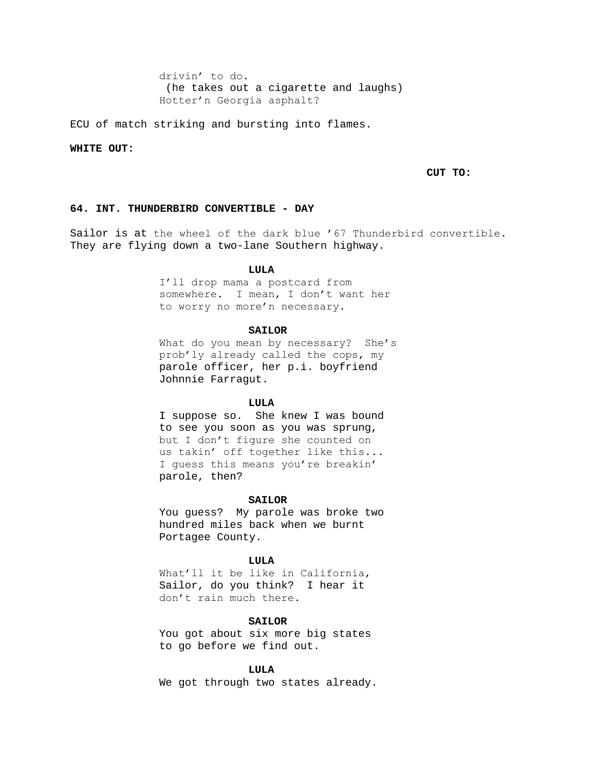drivin' to do. (he takes out a cigarette and laughs) Hotter'n Georgia asphalt?

ECU of match striking and bursting into flames.

### **WHITE OUT:**

## **CUT TO:**

# **64. INT. THUNDERBIRD CONVERTIBLE - DAY**

Sailor is at the wheel of the dark blue '67 Thunderbird convertible. They are flying down a two-lane Southern highway.

#### **LULA**

I'll drop mama a postcard from somewhere. I mean, I don't want her to worry no more'n necessary.

#### **SAILOR**

What do you mean by necessary? She's prob'ly already called the cops, my parole officer, her p.i. boyfriend Johnnie Farragut.

#### **LULA**

I suppose so. She knew I was bound to see you soon as you was sprung, but I don't figure she counted on us takin' off together like this... I guess this means you're breakin' parole, then?

### **SAILOR**

You guess? My parole was broke two hundred miles back when we burnt Portagee County.

# **LULA**

What'll it be like in California, Sailor, do you think? I hear it don't rain much there.

### **SAILOR**

You got about six more big states to go before we find out.

#### **LULA**

We got through two states already.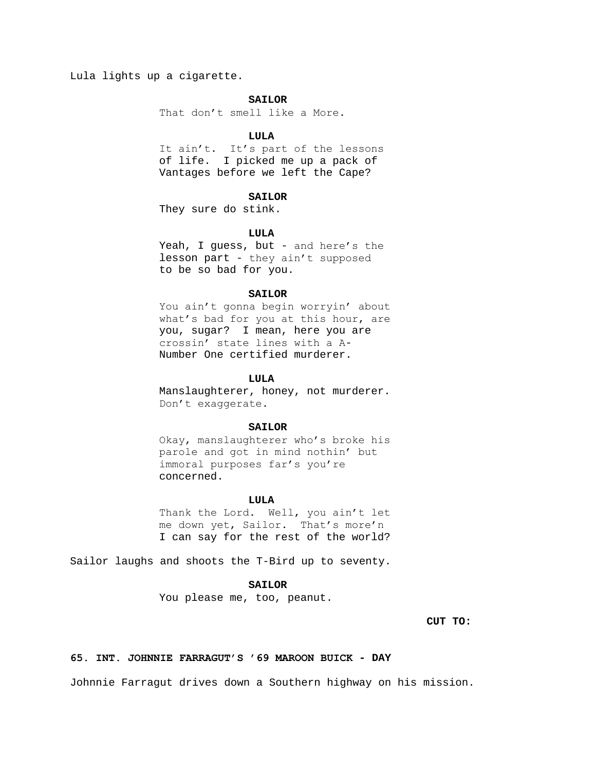Lula lights up a cigarette.

# **SAILOR**

That don't smell like a More.

# **LULA**

It ain't. It's part of the lessons of life. I picked me up a pack of Vantages before we left the Cape?

## **SAILOR**

They sure do stink.

## **LULA**

Yeah, I guess, but - and here's the lesson part - they ain't supposed to be so bad for you.

# **SAILOR**

You ain't gonna begin worryin' about what's bad for you at this hour, are you, sugar? I mean, here you are crossin' state lines with a A-Number One certified murderer.

### **LULA**

Manslaughterer, honey, not murderer. Don't exaggerate.

### **SAILOR**

Okay, manslaughterer who's broke his parole and got in mind nothin' but immoral purposes far's you're concerned.

### **LULA**

Thank the Lord. Well, you ain't let me down yet, Sailor. That's more'n I can say for the rest of the world?

Sailor laughs and shoots the T-Bird up to seventy.

## **SAILOR**

You please me, too, peanut.

# **CUT TO:**

# **65. INT. JOHNNIE FARRAGUT'S '69 MAROON BUICK - DAY**

Johnnie Farragut drives down a Southern highway on his mission.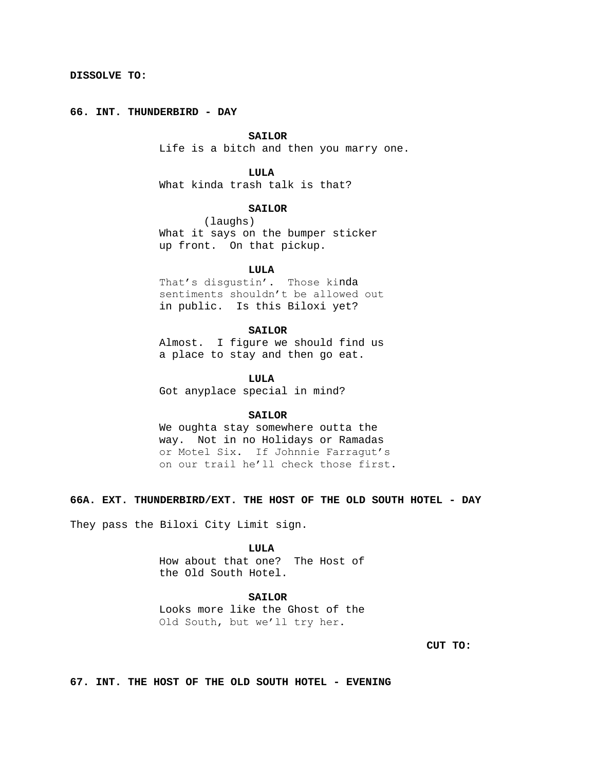# **66. INT. THUNDERBIRD - DAY**

# **SAILOR**

Life is a bitch and then you marry one.

# **LULA**

What kinda trash talk is that?

# **SAILOR**

(laughs) What it says on the bumper sticker up front. On that pickup.

### **LULA**

That's disgustin'. Those kinda sentiments shouldn't be allowed out in public. Is this Biloxi yet?

# **SAILOR**

Almost. I figure we should find us a place to stay and then go eat.

## **LULA**

Got anyplace special in mind?

# **SAILOR**

We oughta stay somewhere outta the way. Not in no Holidays or Ramadas or Motel Six. If Johnnie Farragut's on our trail he'll check those first.

**66A. EXT. THUNDERBIRD/EXT. THE HOST OF THE OLD SOUTH HOTEL - DAY**

They pass the Biloxi City Limit sign.

## **LULA**

How about that one? The Host of the Old South Hotel.

# **SAILOR**

Looks more like the Ghost of the Old South, but we'll try her.

**CUT TO:**

**67. INT. THE HOST OF THE OLD SOUTH HOTEL - EVENING**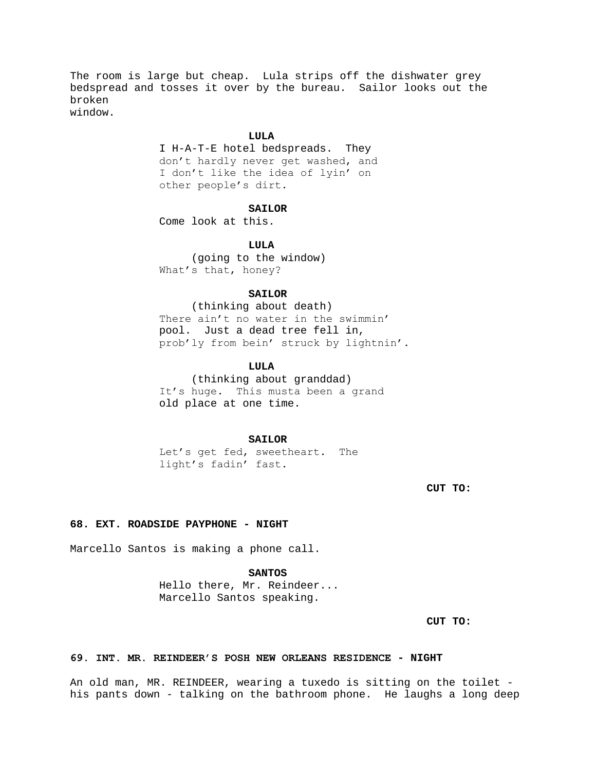The room is large but cheap. Lula strips off the dishwater grey bedspread and tosses it over by the bureau. Sailor looks out the broken window.

### **LULA**

I H-A-T-E hotel bedspreads. They don't hardly never get washed, and I don't like the idea of lyin' on other people's dirt.

# **SAILOR**

Come look at this.

**LULA**

 (going to the window) What's that, honey?

# **SAILOR**

 (thinking about death) There ain't no water in the swimmin' pool. Just a dead tree fell in, prob'ly from bein' struck by lightnin'.

## **LULA**

 (thinking about granddad) It's huge. This musta been a grand old place at one time.

# **SAILOR**

Let's get fed, sweetheart. The light's fadin' fast.

**CUT TO:**

# **68. EXT. ROADSIDE PAYPHONE - NIGHT**

Marcello Santos is making a phone call.

### **SANTOS**

Hello there, Mr. Reindeer... Marcello Santos speaking.

**CUT TO:**

# **69. INT. MR. REINDEER'S POSH NEW ORLEANS RESIDENCE - NIGHT**

An old man, MR. REINDEER, wearing a tuxedo is sitting on the toilet his pants down - talking on the bathroom phone. He laughs a long deep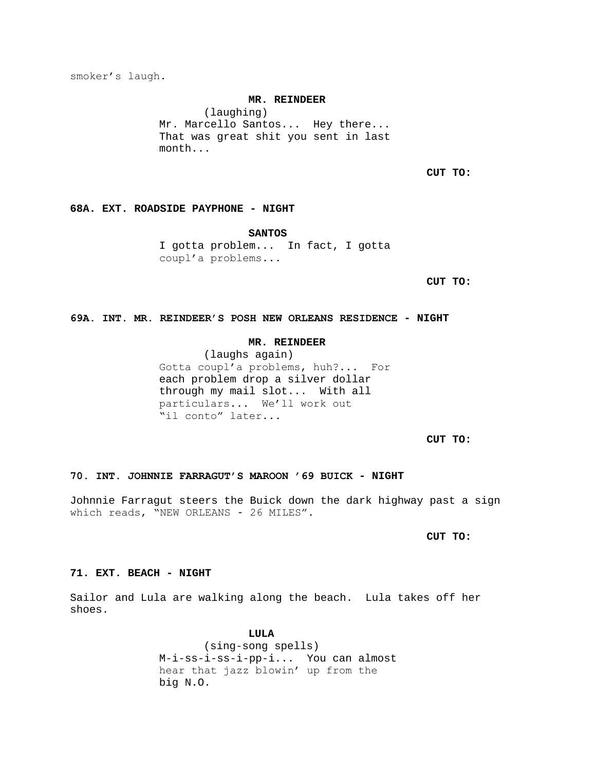smoker's laugh.

#### **MR. REINDEER**

(laughing) Mr. Marcello Santos... Hey there... That was great shit you sent in last month...

**CUT TO:**

# **68A. EXT. ROADSIDE PAYPHONE - NIGHT**

**SANTOS**

I gotta problem... In fact, I gotta coupl'a problems...

**CUT TO:**

# **69A. INT. MR. REINDEER'S POSH NEW ORLEANS RESIDENCE - NIGHT**

# **MR. REINDEER**

(laughs again) Gotta coupl'a problems, huh?... For each problem drop a silver dollar through my mail slot... With all particulars... We'll work out "il conto" later...

**CUT TO:**

# **70. INT. JOHNNIE FARRAGUT'S MAROON '69 BUICK - NIGHT**

Johnnie Farragut steers the Buick down the dark highway past a sign which reads, "NEW ORLEANS - 26 MILES".

**CUT TO:**

# **71. EXT. BEACH - NIGHT**

Sailor and Lula are walking along the beach. Lula takes off her shoes.

> **LULA** (sing-song spells) M-i-ss-i-ss-i-pp-i... You can almost hear that jazz blowin' up from the big N.O.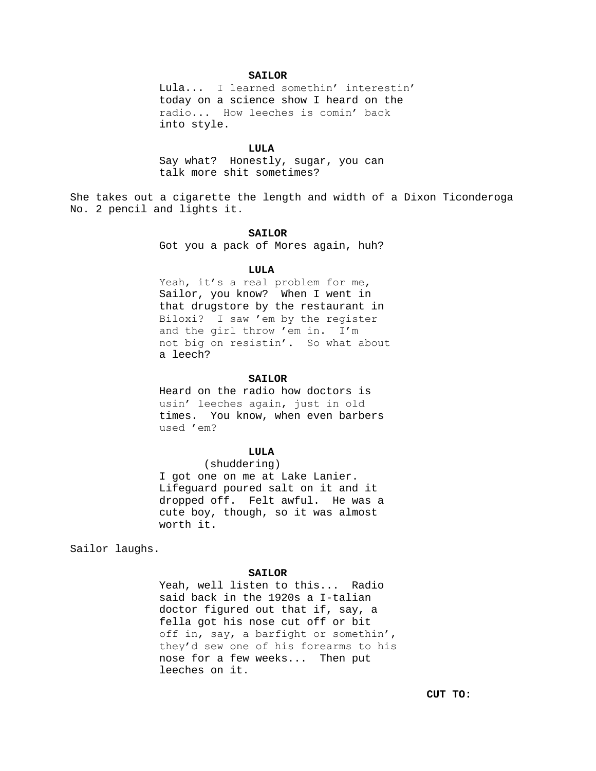# **SAILOR**

Lula... I learned somethin' interestin' today on a science show I heard on the radio... How leeches is comin' back into style.

## **LULA**

Say what? Honestly, sugar, you can talk more shit sometimes?

She takes out a cigarette the length and width of a Dixon Ticonderoga No. 2 pencil and lights it.

#### **SAILOR**

Got you a pack of Mores again, huh?

### **LULA**

Yeah, it's a real problem for me, Sailor, you know? When I went in that drugstore by the restaurant in Biloxi? I saw 'em by the register and the girl throw 'em in. I'm not big on resistin'. So what about a leech?

#### SATLOR

Heard on the radio how doctors is usin' leeches again, just in old times. You know, when even barbers used 'em?

# **LULA**

(shuddering) I got one on me at Lake Lanier. Lifeguard poured salt on it and it dropped off. Felt awful. He was a cute boy, though, so it was almost worth it.

Sailor laughs.

### **SAILOR**

Yeah, well listen to this... Radio said back in the 1920s a I-talian doctor figured out that if, say, a fella got his nose cut off or bit off in, say, a barfight or somethin', they'd sew one of his forearms to his nose for a few weeks... Then put leeches on it.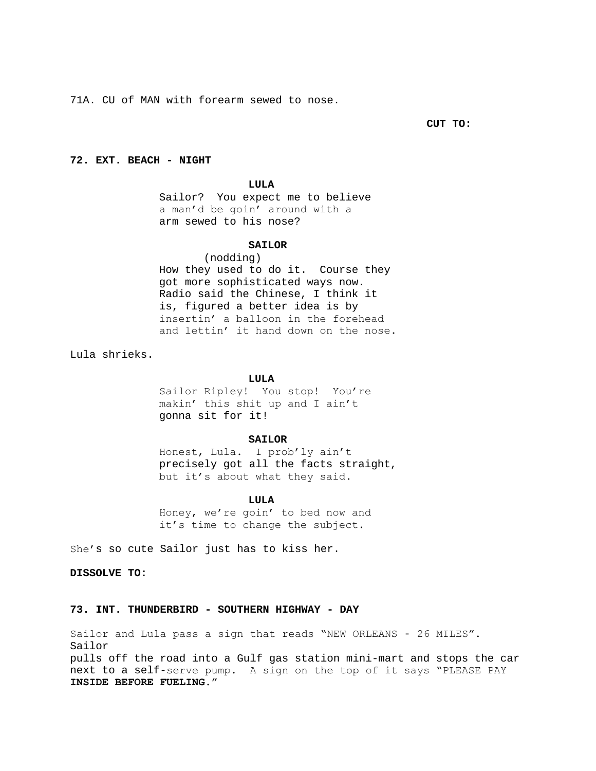71A. CU of MAN with forearm sewed to nose.

**CUT TO:**

# **72. EXT. BEACH - NIGHT**

### **LULA**

Sailor? You expect me to believe a man'd be goin' around with a arm sewed to his nose?

# **SAILOR**

(nodding) How they used to do it. Course they got more sophisticated ways now. Radio said the Chinese, I think it is, figured a better idea is by insertin' a balloon in the forehead and lettin' it hand down on the nose.

Lula shrieks.

### **LULA**

Sailor Ripley! You stop! You're makin' this shit up and I ain't gonna sit for it!

## **SAILOR**

Honest, Lula. I prob'ly ain't precisely got all the facts straight, but it's about what they said.

#### **LULA**

Honey, we're goin' to bed now and it's time to change the subject.

She's so cute Sailor just has to kiss her.

**DISSOLVE TO:**

# **73. INT. THUNDERBIRD - SOUTHERN HIGHWAY - DAY**

Sailor and Lula pass a sign that reads "NEW ORLEANS - 26 MILES". Sailor pulls off the road into a Gulf gas station mini-mart and stops the car next to a self-serve pump. A sign on the top of it says "PLEASE PAY **INSIDE BEFORE FUELING."**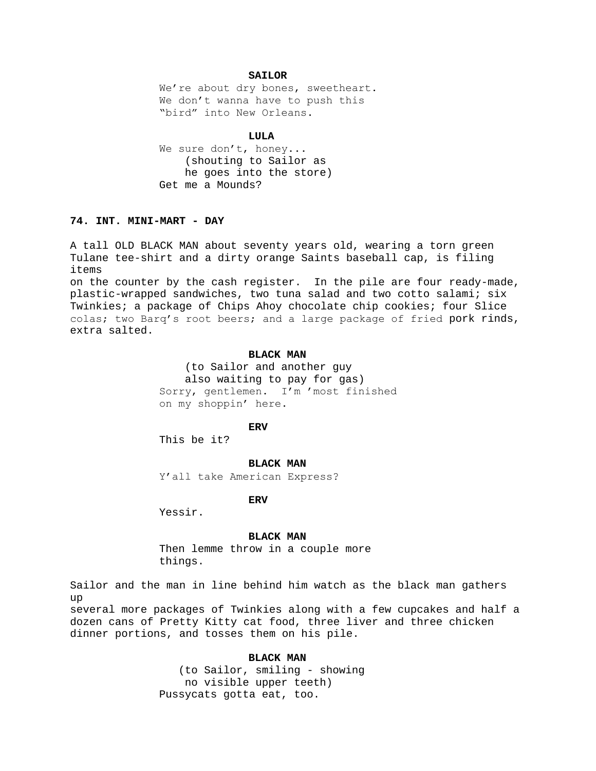# **SAILOR**

We're about dry bones, sweetheart. We don't wanna have to push this "bird" into New Orleans.

## **LULA**

We sure don't, honey... (shouting to Sailor as he goes into the store) Get me a Mounds?

# **74. INT. MINI-MART - DAY**

A tall OLD BLACK MAN about seventy years old, wearing a torn green Tulane tee-shirt and a dirty orange Saints baseball cap, is filing items

on the counter by the cash register. In the pile are four ready-made, plastic-wrapped sandwiches, two tuna salad and two cotto salami; six Twinkies; a package of Chips Ahoy chocolate chip cookies; four Slice colas; two Barq's root beers; and a large package of fried pork rinds, extra salted.

# **BLACK MAN**

 (to Sailor and another guy also waiting to pay for gas) Sorry, gentlemen. I'm 'most finished on my shoppin' here.

**ERV**

This be it?

# **BLACK MAN**

Y'all take American Express?

**ERV**

Yessir.

### **BLACK MAN**

Then lemme throw in a couple more things.

Sailor and the man in line behind him watch as the black man gathers up

several more packages of Twinkies along with a few cupcakes and half a dozen cans of Pretty Kitty cat food, three liver and three chicken dinner portions, and tosses them on his pile.

# **BLACK MAN**

 (to Sailor, smiling - showing no visible upper teeth) Pussycats gotta eat, too.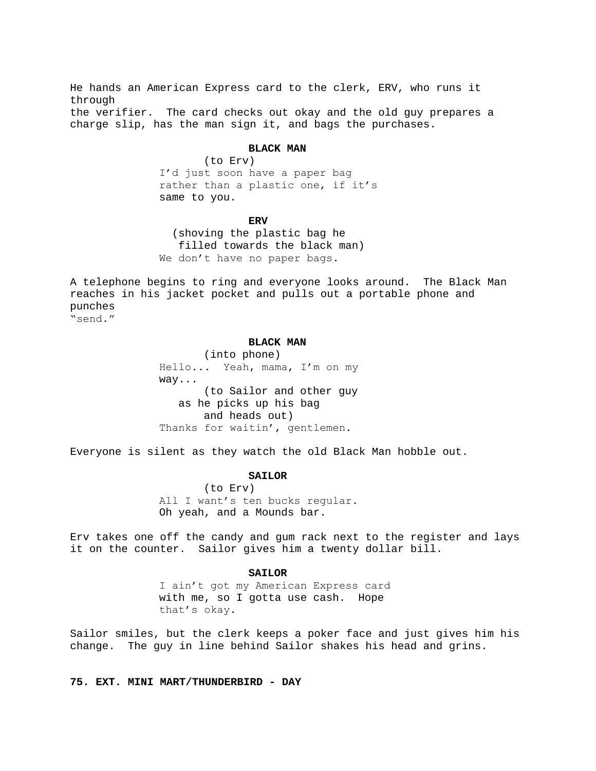He hands an American Express card to the clerk, ERV, who runs it through the verifier. The card checks out okay and the old guy prepares a charge slip, has the man sign it, and bags the purchases.

# **BLACK MAN**

(to Erv) I'd just soon have a paper bag rather than a plastic one, if it's same to you.

#### **ERV**

 (shoving the plastic bag he filled towards the black man) We don't have no paper bags.

A telephone begins to ring and everyone looks around. The Black Man reaches in his jacket pocket and pulls out a portable phone and punches

"send."

# **BLACK MAN**

(into phone) Hello... Yeah, mama, I'm on my way... (to Sailor and other guy as he picks up his bag and heads out) Thanks for waitin', gentlemen.

Everyone is silent as they watch the old Black Man hobble out.

# **SAILOR**

(to Erv) All I want's ten bucks regular. Oh yeah, and a Mounds bar.

Erv takes one off the candy and gum rack next to the register and lays it on the counter. Sailor gives him a twenty dollar bill.

## **SAILOR**

I ain't got my American Express card with me, so I gotta use cash. Hope that's okay.

Sailor smiles, but the clerk keeps a poker face and just gives him his change. The guy in line behind Sailor shakes his head and grins.

**75. EXT. MINI MART/THUNDERBIRD - DAY**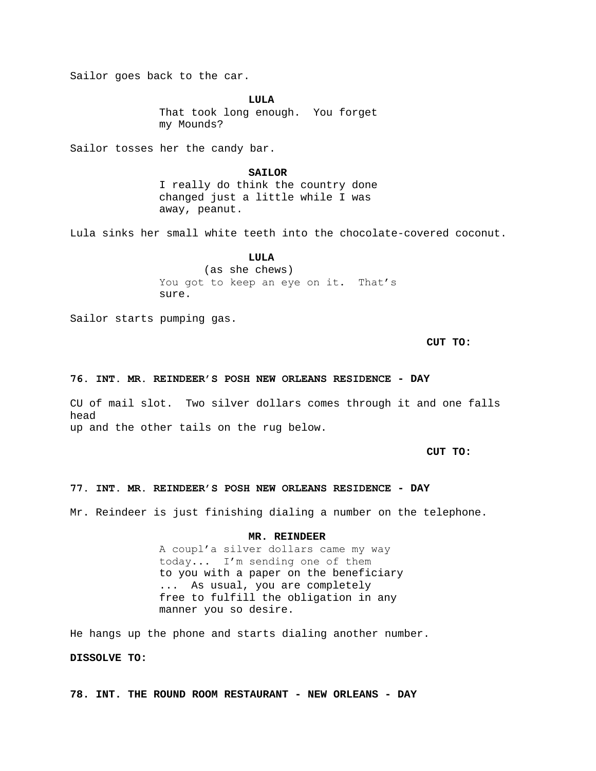Sailor goes back to the car.

**LULA** That took long enough. You forget my Mounds?

Sailor tosses her the candy bar.

# **SAILOR**

I really do think the country done changed just a little while I was away, peanut.

Lula sinks her small white teeth into the chocolate-covered coconut.

# **LULA** (as she chews)

You got to keep an eye on it. That's sure.

Sailor starts pumping gas.

**CUT TO:**

# **76. INT. MR. REINDEER'S POSH NEW ORLEANS RESIDENCE - DAY**

CU of mail slot. Two silver dollars comes through it and one falls head up and the other tails on the rug below.

**CUT TO:**

# **77. INT. MR. REINDEER'S POSH NEW ORLEANS RESIDENCE - DAY**

Mr. Reindeer is just finishing dialing a number on the telephone.

# **MR. REINDEER**

A coupl'a silver dollars came my way today... I'm sending one of them to you with a paper on the beneficiary ... As usual, you are completely free to fulfill the obligation in any manner you so desire.

He hangs up the phone and starts dialing another number.

# **DISSOLVE TO:**

**78. INT. THE ROUND ROOM RESTAURANT - NEW ORLEANS - DAY**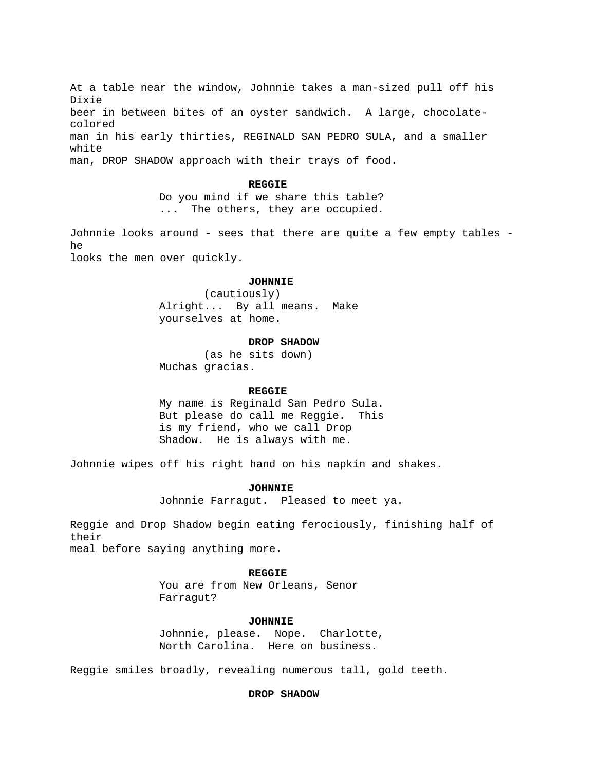At a table near the window, Johnnie takes a man-sized pull off his Dixie beer in between bites of an oyster sandwich. A large, chocolatecolored man in his early thirties, REGINALD SAN PEDRO SULA, and a smaller white man, DROP SHADOW approach with their trays of food.

#### **REGGIE**

Do you mind if we share this table? ... The others, they are occupied.

Johnnie looks around - sees that there are quite a few empty tables he

looks the men over quickly.

#### **JOHNNIE**

(cautiously) Alright... By all means. Make yourselves at home.

# **DROP SHADOW**

(as he sits down) Muchas gracias.

## **REGGIE**

My name is Reginald San Pedro Sula. But please do call me Reggie. This is my friend, who we call Drop Shadow. He is always with me.

Johnnie wipes off his right hand on his napkin and shakes.

### **JOHNNIE**

Johnnie Farragut. Pleased to meet ya.

Reggie and Drop Shadow begin eating ferociously, finishing half of their

meal before saying anything more.

### **REGGIE**

You are from New Orleans, Senor Farragut?

### **JOHNNIE**

Johnnie, please. Nope. Charlotte, North Carolina. Here on business.

Reggie smiles broadly, revealing numerous tall, gold teeth.

## **DROP SHADOW**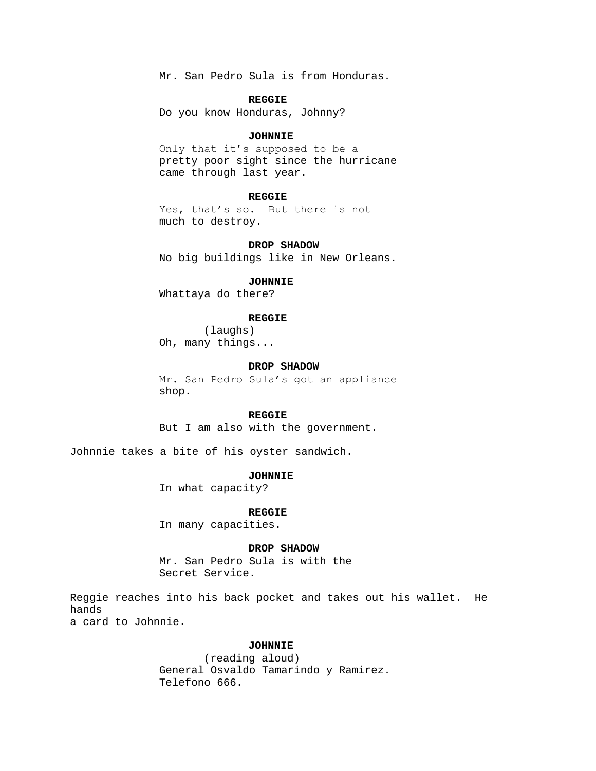Mr. San Pedro Sula is from Honduras.

### **REGGIE**

Do you know Honduras, Johnny?

# **JOHNNIE**

Only that it's supposed to be a pretty poor sight since the hurricane came through last year.

# **REGGIE**

Yes, that's so. But there is not much to destroy.

## **DROP SHADOW**

No big buildings like in New Orleans.

# **JOHNNIE**

Whattaya do there?

# **REGGIE**

(laughs) Oh, many things...

# **DROP SHADOW**

Mr. San Pedro Sula's got an appliance shop.

### **REGGIE**

But I am also with the government.

Johnnie takes a bite of his oyster sandwich.

## **JOHNNIE**

In what capacity?

#### **REGGIE**

In many capacities.

### **DROP SHADOW**

Mr. San Pedro Sula is with the Secret Service.

Reggie reaches into his back pocket and takes out his wallet. He hands a card to Johnnie.

# **JOHNNIE**

(reading aloud) General Osvaldo Tamarindo y Ramirez. Telefono 666.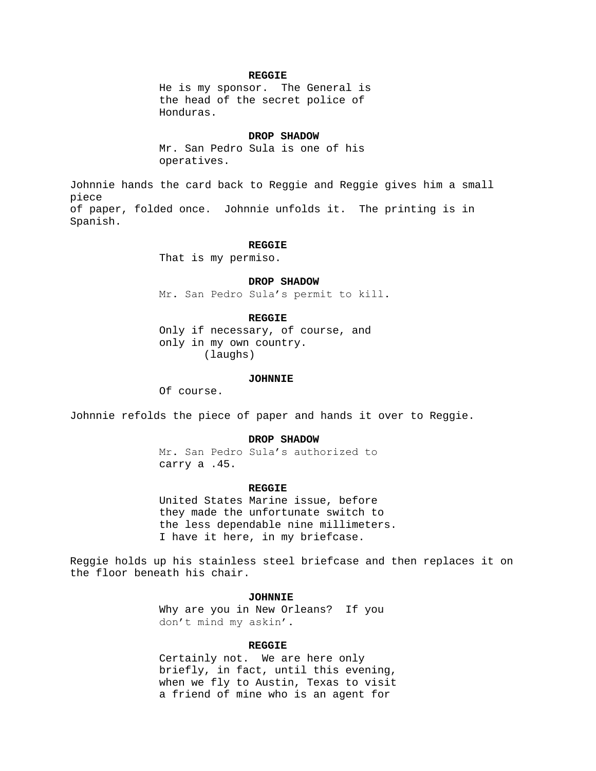## **REGGIE**

He is my sponsor. The General is the head of the secret police of Honduras.

### **DROP SHADOW**

Mr. San Pedro Sula is one of his operatives.

Johnnie hands the card back to Reggie and Reggie gives him a small piece of paper, folded once. Johnnie unfolds it. The printing is in Spanish.

## **REGGIE**

That is my permiso.

## **DROP SHADOW**

Mr. San Pedro Sula's permit to kill.

### **REGGIE**

Only if necessary, of course, and only in my own country. (laughs)

#### **JOHNNIE**

Of course.

Johnnie refolds the piece of paper and hands it over to Reggie.

## **DROP SHADOW**

Mr. San Pedro Sula's authorized to carry a .45.

## **REGGIE**

United States Marine issue, before they made the unfortunate switch to the less dependable nine millimeters. I have it here, in my briefcase.

Reggie holds up his stainless steel briefcase and then replaces it on the floor beneath his chair.

### **JOHNNIE**

Why are you in New Orleans? If you don't mind my askin'.

### **REGGIE**

Certainly not. We are here only briefly, in fact, until this evening, when we fly to Austin, Texas to visit a friend of mine who is an agent for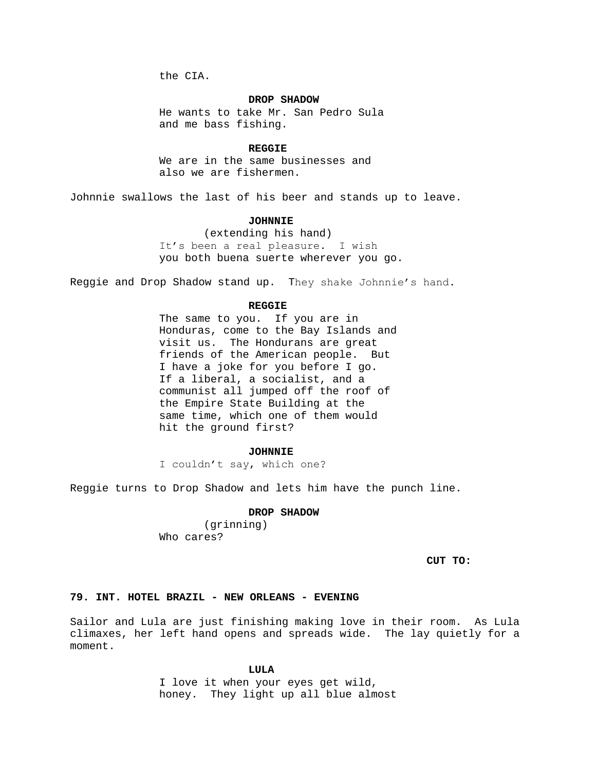the CIA.

### **DROP SHADOW**

He wants to take Mr. San Pedro Sula and me bass fishing.

#### **REGGIE**

We are in the same businesses and also we are fishermen.

Johnnie swallows the last of his beer and stands up to leave.

### **JOHNNIE**

(extending his hand) It's been a real pleasure. I wish you both buena suerte wherever you go.

Reggie and Drop Shadow stand up. They shake Johnnie's hand.

#### **REGGIE**

The same to you. If you are in Honduras, come to the Bay Islands and visit us. The Hondurans are great friends of the American people. But I have a joke for you before I go. If a liberal, a socialist, and a communist all jumped off the roof of the Empire State Building at the same time, which one of them would hit the ground first?

#### **JOHNNIE**

I couldn't say, which one?

Reggie turns to Drop Shadow and lets him have the punch line.

# **DROP SHADOW**

(grinning) Who cares?

**CUT TO:**

### **79. INT. HOTEL BRAZIL - NEW ORLEANS - EVENING**

Sailor and Lula are just finishing making love in their room. As Lula climaxes, her left hand opens and spreads wide. The lay quietly for a moment.

#### **LULA**

I love it when your eyes get wild, honey. They light up all blue almost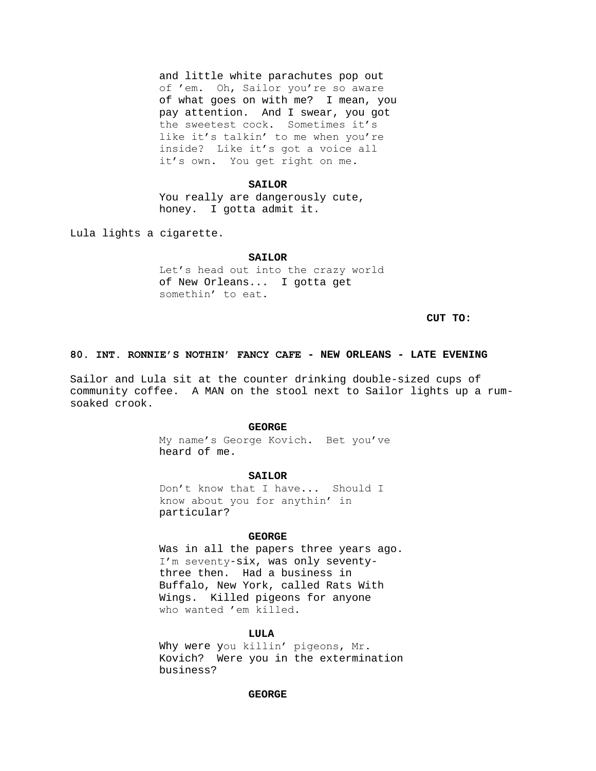and little white parachutes pop out of 'em. Oh, Sailor you're so aware of what goes on with me? I mean, you pay attention. And I swear, you got the sweetest cock. Sometimes it's like it's talkin' to me when you're inside? Like it's got a voice all it's own. You get right on me.

#### **SAILOR**

You really are dangerously cute, honey. I gotta admit it.

Lula lights a cigarette.

### **SAILOR**

Let's head out into the crazy world of New Orleans... I gotta get somethin' to eat.

**CUT TO:**

## **80. INT. RONNIE'S NOTHIN' FANCY CAFE - NEW ORLEANS - LATE EVENING**

Sailor and Lula sit at the counter drinking double-sized cups of community coffee. A MAN on the stool next to Sailor lights up a rumsoaked crook.

# **GEORGE**

My name's George Kovich. Bet you've heard of me.

## **SAILOR**

Don't know that I have... Should I know about you for anythin' in particular?

## **GEORGE**

Was in all the papers three years ago. I'm seventy-six, was only seventythree then. Had a business in Buffalo, New York, called Rats With Wings. Killed pigeons for anyone who wanted 'em killed.

## **LULA**

Why were you killin' pigeons, Mr. Kovich? Were you in the extermination business?

# **GEORGE**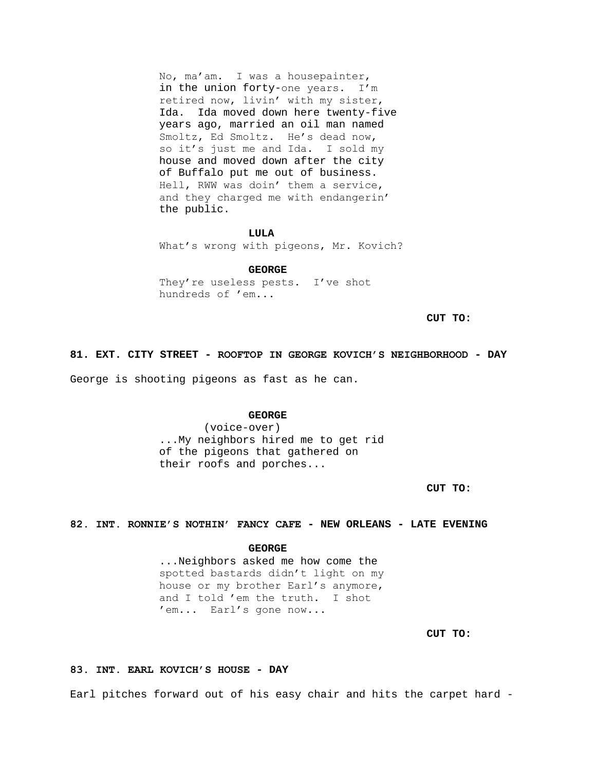No, ma'am. I was a housepainter, in the union forty-one years. I'm retired now, livin' with my sister, Ida. Ida moved down here twenty-five years ago, married an oil man named Smoltz, Ed Smoltz. He's dead now, so it's just me and Ida. I sold my house and moved down after the city of Buffalo put me out of business. Hell, RWW was doin' them a service, and they charged me with endangerin' the public.

#### **LULA**

What's wrong with pigeons, Mr. Kovich?

#### **GEORGE**

They're useless pests. I've shot hundreds of 'em...

**CUT TO:**

#### **81. EXT. CITY STREET - ROOFTOP IN GEORGE KOVICH'S NEIGHBORHOOD - DAY**

George is shooting pigeons as fast as he can.

### **GEORGE**

(voice-over) ...My neighbors hired me to get rid of the pigeons that gathered on their roofs and porches...

**CUT TO:**

# **82. INT. RONNIE'S NOTHIN' FANCY CAFE - NEW ORLEANS - LATE EVENING**

**GEORGE**

...Neighbors asked me how come the spotted bastards didn't light on my house or my brother Earl's anymore, and I told 'em the truth. I shot 'em... Earl's gone now...

**CUT TO:**

## **83. INT. EARL KOVICH'S HOUSE - DAY**

Earl pitches forward out of his easy chair and hits the carpet hard -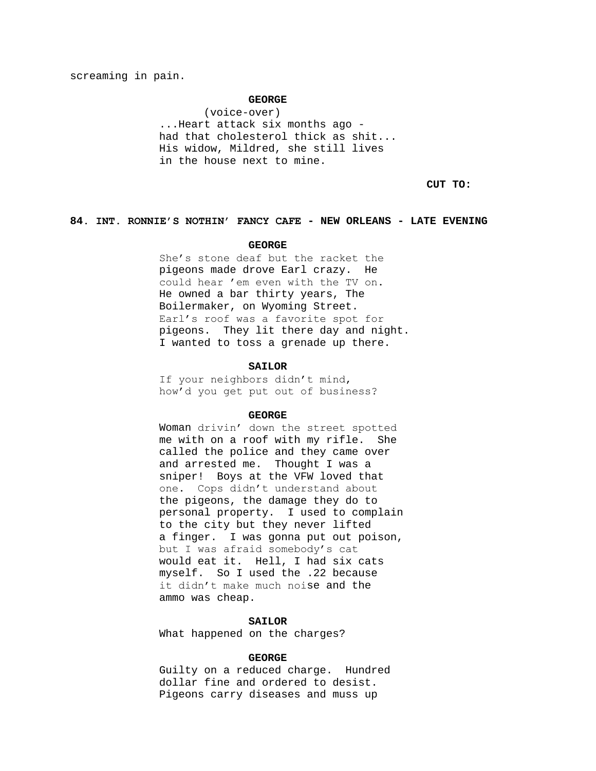screaming in pain.

# **GEORGE**

(voice-over) ...Heart attack six months ago had that cholesterol thick as shit... His widow, Mildred, she still lives in the house next to mine.

**CUT TO:**

## **84. INT. RONNIE'S NOTHIN' FANCY CAFE - NEW ORLEANS - LATE EVENING**

## **GEORGE**

She's stone deaf but the racket the pigeons made drove Earl crazy. He could hear 'em even with the TV on. He owned a bar thirty years, The Boilermaker, on Wyoming Street. Earl's roof was a favorite spot for pigeons. They lit there day and night. I wanted to toss a grenade up there.

## **SAILOR**

If your neighbors didn't mind, how'd you get put out of business?

### **GEORGE**

Woman drivin' down the street spotted me with on a roof with my rifle. She called the police and they came over and arrested me. Thought I was a sniper! Boys at the VFW loved that one. Cops didn't understand about the pigeons, the damage they do to personal property. I used to complain to the city but they never lifted a finger. I was gonna put out poison, but I was afraid somebody's cat would eat it. Hell, I had six cats myself. So I used the .22 because it didn't make much noise and the ammo was cheap.

## **SAILOR**

What happened on the charges?

### **GEORGE**

Guilty on a reduced charge. Hundred dollar fine and ordered to desist. Pigeons carry diseases and muss up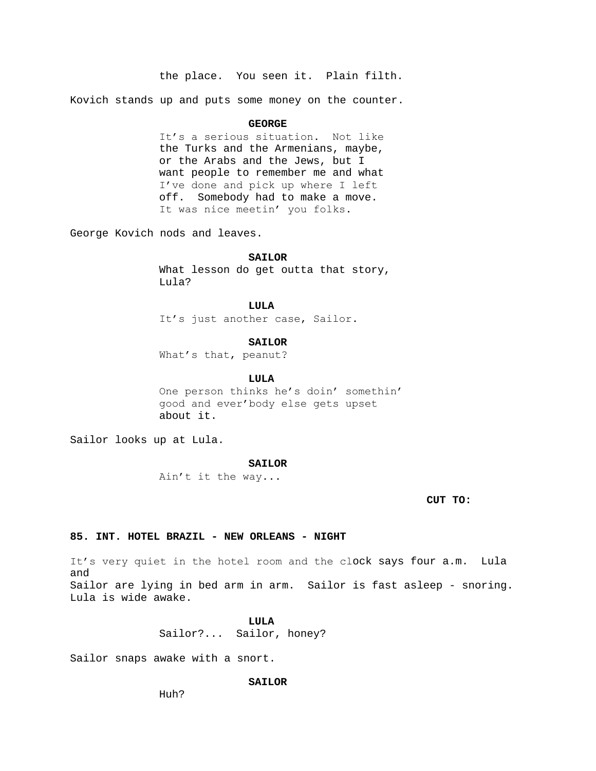the place. You seen it. Plain filth.

Kovich stands up and puts some money on the counter.

### **GEORGE**

It's a serious situation. Not like the Turks and the Armenians, maybe, or the Arabs and the Jews, but I want people to remember me and what I've done and pick up where I left off. Somebody had to make a move. It was nice meetin' you folks.

George Kovich nods and leaves.

**SAILOR**

What lesson do get outta that story, Lula?

**LULA** It's just another case, Sailor.

### **SAILOR**

What's that, peanut?

**LULA**

One person thinks he's doin' somethin' good and ever'body else gets upset about it.

Sailor looks up at Lula.

### **SAILOR**

Ain't it the way...

**CUT TO:**

# **85. INT. HOTEL BRAZIL - NEW ORLEANS - NIGHT**

It's very quiet in the hotel room and the clock says four a.m. Lula and Sailor are lying in bed arm in arm. Sailor is fast asleep - snoring. Lula is wide awake.

**LULA**

Sailor?... Sailor, honey?

Sailor snaps awake with a snort.

## **SAILOR**

Huh?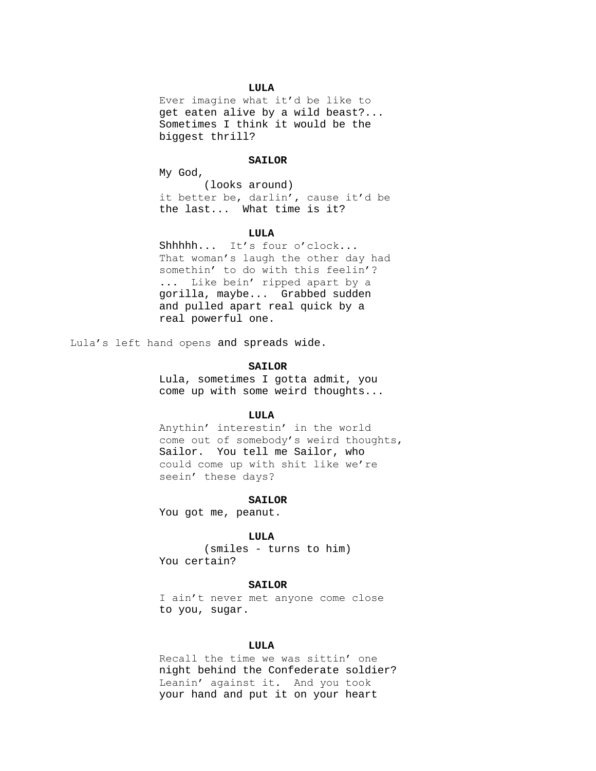# **LULA**

Ever imagine what it'd be like to get eaten alive by a wild beast?... Sometimes I think it would be the biggest thrill?

# **SAILOR**

My God,

(looks around) it better be, darlin', cause it'd be the last... What time is it?

### **LULA**

Shhhhh... It's four o'clock... That woman's laugh the other day had somethin' to do with this feelin'? ... Like bein' ripped apart by a gorilla, maybe... Grabbed sudden and pulled apart real quick by a real powerful one.

Lula's left hand opens and spreads wide.

## **SAILOR**

Lula, sometimes I gotta admit, you come up with some weird thoughts...

### **LULA**

Anythin' interestin' in the world come out of somebody's weird thoughts, Sailor. You tell me Sailor, who could come up with shit like we're seein' these days?

### **SAILOR**

You got me, peanut.

## **LULA**

(smiles - turns to him) You certain?

### **SAILOR**

I ain't never met anyone come close to you, sugar.

## **LULA**

Recall the time we was sittin' one night behind the Confederate soldier? Leanin' against it. And you took your hand and put it on your heart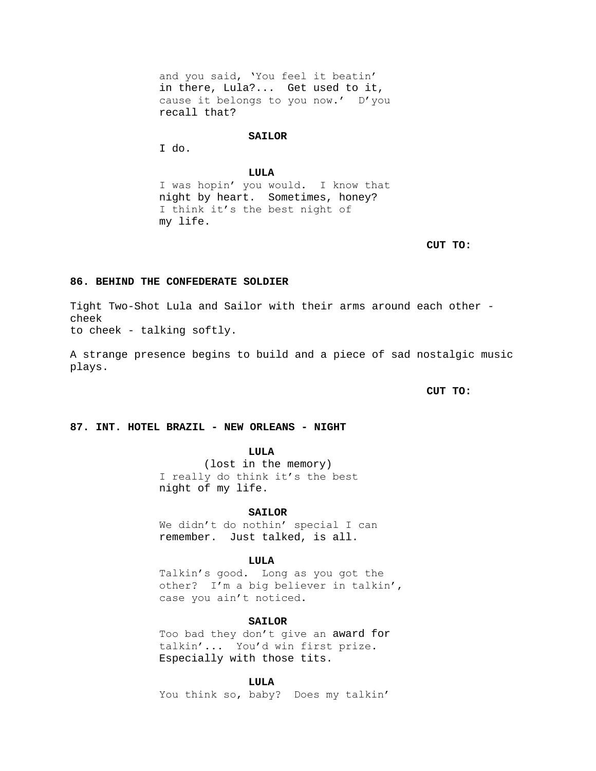and you said, 'You feel it beatin' in there, Lula?... Get used to it, cause it belongs to you now.' D'you recall that?

#### **SAILOR**

I do.

# **LULA**

I was hopin' you would. I know that night by heart. Sometimes, honey? I think it's the best night of my life.

**CUT TO:**

## **86. BEHIND THE CONFEDERATE SOLDIER**

Tight Two-Shot Lula and Sailor with their arms around each other cheek to cheek - talking softly.

A strange presence begins to build and a piece of sad nostalgic music plays.

**CUT TO:**

# **87. INT. HOTEL BRAZIL - NEW ORLEANS - NIGHT**

**LULA**

(lost in the memory) I really do think it's the best night of my life.

#### **SAILOR**

We didn't do nothin' special I can remember. Just talked, is all.

# **LULA**

Talkin's good. Long as you got the other? I'm a big believer in talkin', case you ain't noticed.

### **SAILOR**

Too bad they don't give an award for talkin'... You'd win first prize. Especially with those tits.

### **LULA**

You think so, baby? Does my talkin'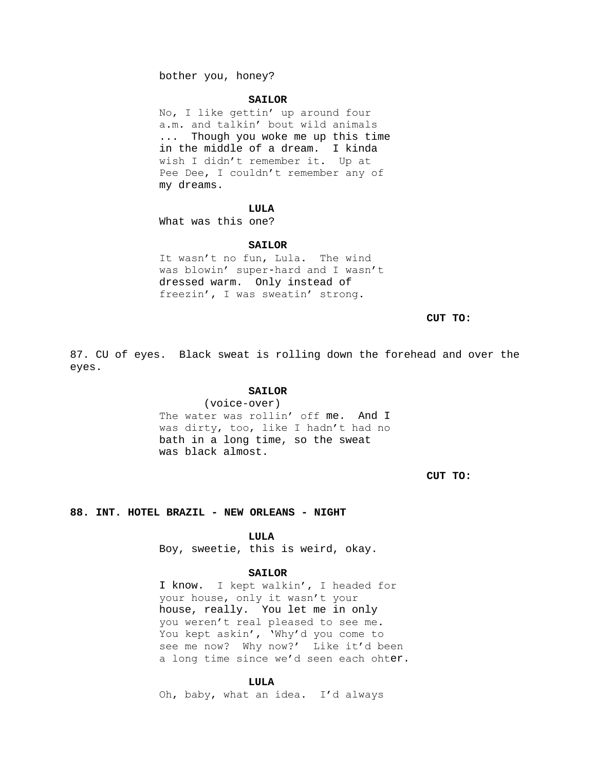bother you, honey?

#### **SAILOR**

No, I like gettin' up around four a.m. and talkin' bout wild animals ... Though you woke me up this time in the middle of a dream. I kinda wish I didn't remember it. Up at Pee Dee, I couldn't remember any of my dreams.

# **LULA**

What was this one?

## **SAILOR**

It wasn't no fun, Lula. The wind was blowin' super-hard and I wasn't dressed warm. Only instead of freezin', I was sweatin' strong.

**CUT TO:**

87. CU of eyes. Black sweat is rolling down the forehead and over the eyes.

# **SAILOR**

(voice-over) The water was rollin' off me. And I was dirty, too, like I hadn't had no bath in a long time, so the sweat was black almost.

**CUT TO:**

### **88. INT. HOTEL BRAZIL - NEW ORLEANS - NIGHT**

**LULA**

Boy, sweetie, this is weird, okay.

### **SAILOR**

I know. I kept walkin', I headed for your house, only it wasn't your house, really. You let me in only you weren't real pleased to see me. You kept askin', 'Why'd you come to see me now? Why now?' Like it'd been a long time since we'd seen each ohter.

#### **LULA**

Oh, baby, what an idea. I'd always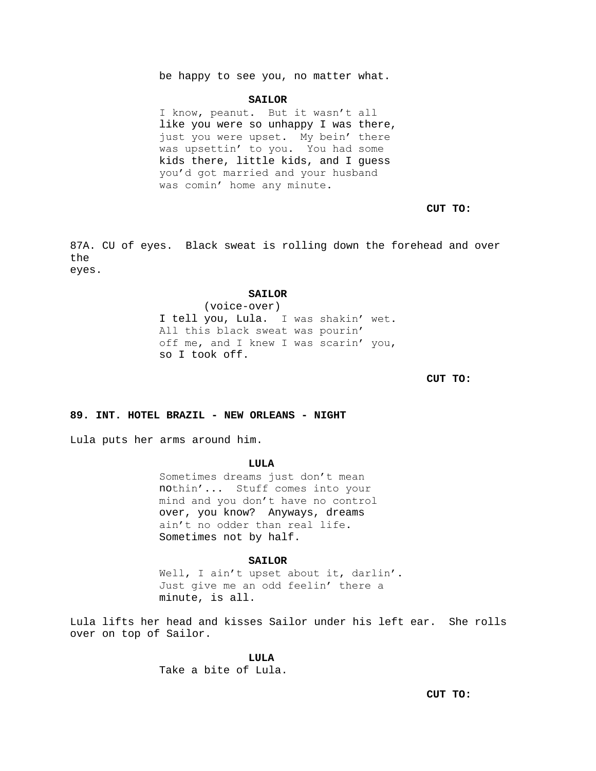be happy to see you, no matter what.

#### **SAILOR**

I know, peanut. But it wasn't all like you were so unhappy I was there, just you were upset. My bein' there was upsettin' to you. You had some kids there, little kids, and I guess you'd got married and your husband was comin' home any minute.

# **CUT TO:**

87A. CU of eyes. Black sweat is rolling down the forehead and over the eyes.

### **SAILOR**

(voice-over) I tell you, Lula. I was shakin' wet. All this black sweat was pourin' off me, and I knew I was scarin' you, so I took off.

**CUT TO:**

# **89. INT. HOTEL BRAZIL - NEW ORLEANS - NIGHT**

Lula puts her arms around him.

## **LULA**

Sometimes dreams just don't mean nothin'... Stuff comes into your mind and you don't have no control over, you know? Anyways, dreams ain't no odder than real life. Sometimes not by half.

# **SAILOR**

Well, I ain't upset about it, darlin'. Just give me an odd feelin' there a minute, is all.

Lula lifts her head and kisses Sailor under his left ear. She rolls over on top of Sailor.

**LULA**

Take a bite of Lula.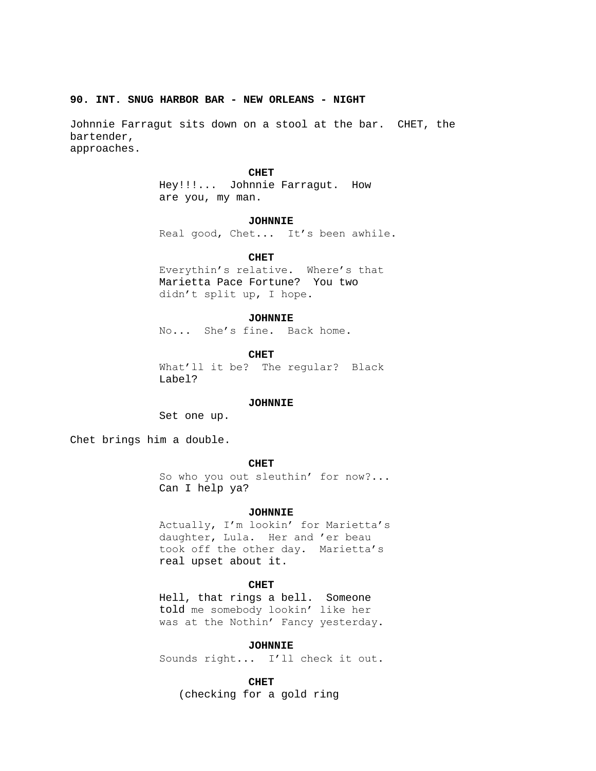### **90. INT. SNUG HARBOR BAR - NEW ORLEANS - NIGHT**

Johnnie Farragut sits down on a stool at the bar. CHET, the bartender, approaches.

### **CHET**

Hey!!!... Johnnie Farragut. How are you, my man.

#### **JOHNNIE**

Real good, Chet... It's been awhile.

## **CHET**

Everythin's relative. Where's that Marietta Pace Fortune? You two didn't split up, I hope.

#### **JOHNNIE**

No... She's fine. Back home.

**CHET**

What'll it be? The regular? Black Label?

### **JOHNNIE**

Set one up.

Chet brings him a double.

# **CHET**

So who you out sleuthin' for now?... Can I help ya?

#### **JOHNNIE**

Actually, I'm lookin' for Marietta's daughter, Lula. Her and 'er beau took off the other day. Marietta's real upset about it.

# **CHET**

Hell, that rings a bell. Someone told me somebody lookin' like her was at the Nothin' Fancy yesterday.

### **JOHNNIE**

Sounds right... I'll check it out.

# **CHET**

(checking for a gold ring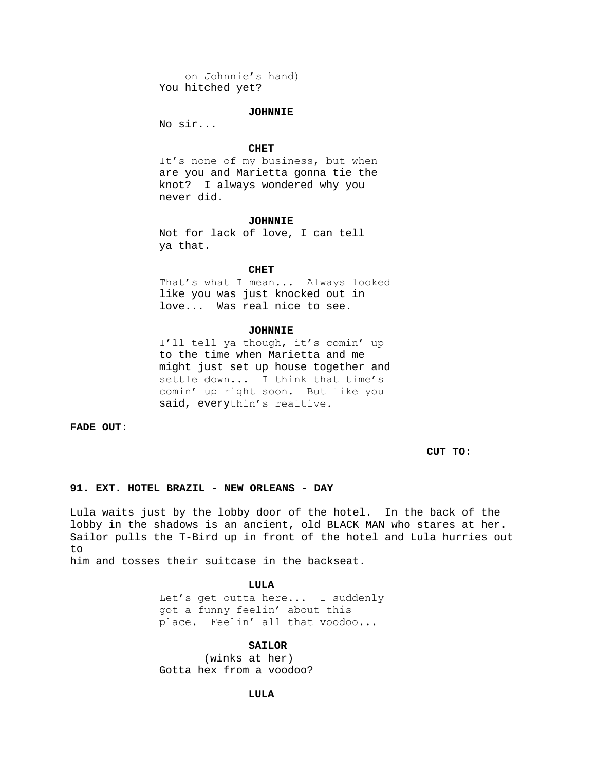on Johnnie's hand) You hitched yet?

## **JOHNNIE**

No sir...

### **CHET**

It's none of my business, but when are you and Marietta gonna tie the knot? I always wondered why you never did.

#### **JOHNNIE**

Not for lack of love, I can tell ya that.

#### **CHET**

That's what I mean... Always looked like you was just knocked out in love... Was real nice to see.

# **JOHNNIE**

I'll tell ya though, it's comin' up to the time when Marietta and me might just set up house together and settle down... I think that time's comin' up right soon. But like you said, everythin's realtive.

**FADE OUT:**

**CUT TO:**

# **91. EXT. HOTEL BRAZIL - NEW ORLEANS - DAY**

Lula waits just by the lobby door of the hotel. In the back of the lobby in the shadows is an ancient, old BLACK MAN who stares at her. Sailor pulls the T-Bird up in front of the hotel and Lula hurries out to him and tosses their suitcase in the backseat.

**LULA**

Let's get outta here... I suddenly got a funny feelin' about this place. Feelin' all that voodoo...

# **SAILOR**

(winks at her) Gotta hex from a voodoo?

## **LULA**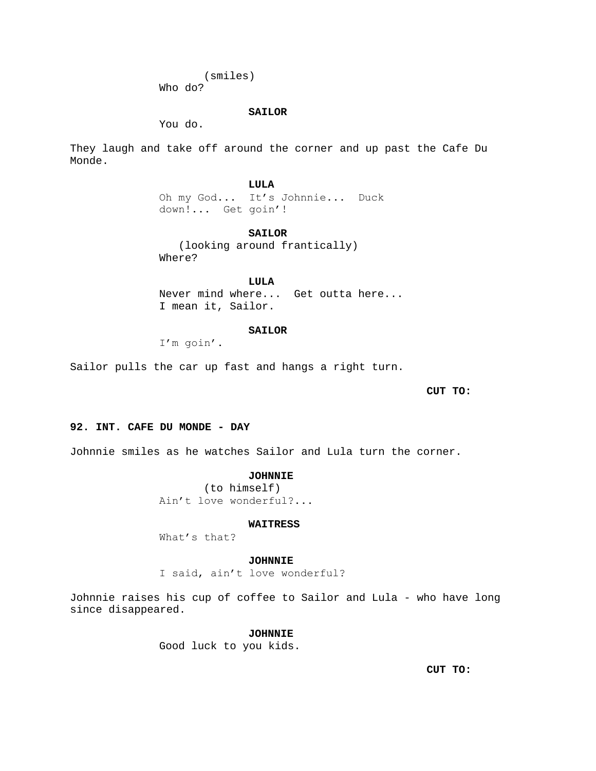(smiles) Who do?

# **SAILOR**

You do.

They laugh and take off around the corner and up past the Cafe Du Monde.

> **LULA** Oh my God... It's Johnnie... Duck down!... Get goin'!

# **SAILOR**

 (looking around frantically) Where?

**LULA**

Never mind where... Get outta here... I mean it, Sailor.

### **SAILOR**

I'm goin'.

Sailor pulls the car up fast and hangs a right turn.

**CUT TO:**

# **92. INT. CAFE DU MONDE - DAY**

Johnnie smiles as he watches Sailor and Lula turn the corner.

## **JOHNNIE**

(to himself) Ain't love wonderful?...

### **WAITRESS**

What's that?

## **JOHNNIE**

I said, ain't love wonderful?

Johnnie raises his cup of coffee to Sailor and Lula - who have long since disappeared.

# **JOHNNIE**

Good luck to you kids.

**CUT TO:**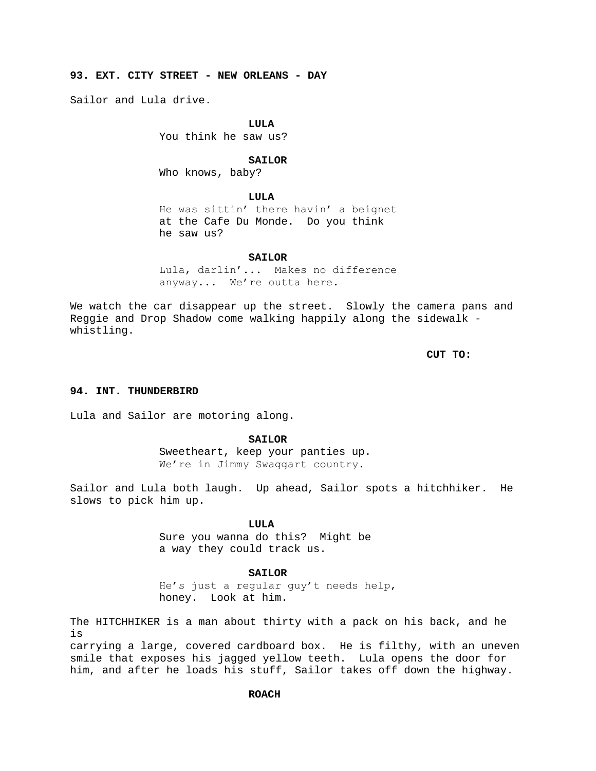**93. EXT. CITY STREET - NEW ORLEANS - DAY**

Sailor and Lula drive.

### **LULA**

You think he saw us?

# **SAILOR**

Who knows, baby?

## **LULA**

He was sittin' there havin' a beignet at the Cafe Du Monde. Do you think he saw us?

**SAILOR**

Lula, darlin'... Makes no difference anyway... We're outta here.

We watch the car disappear up the street. Slowly the camera pans and Reggie and Drop Shadow come walking happily along the sidewalk whistling.

**CUT TO:**

# **94. INT. THUNDERBIRD**

Lula and Sailor are motoring along.

### **SAILOR**

Sweetheart, keep your panties up. We're in Jimmy Swaqqart country.

Sailor and Lula both laugh. Up ahead, Sailor spots a hitchhiker. He slows to pick him up.

# **LULA**

Sure you wanna do this? Might be a way they could track us.

## **SAILOR**

He's just a regular guy't needs help, honey. Look at him.

The HITCHHIKER is a man about thirty with a pack on his back, and he is

carrying a large, covered cardboard box. He is filthy, with an uneven smile that exposes his jagged yellow teeth. Lula opens the door for him, and after he loads his stuff, Sailor takes off down the highway.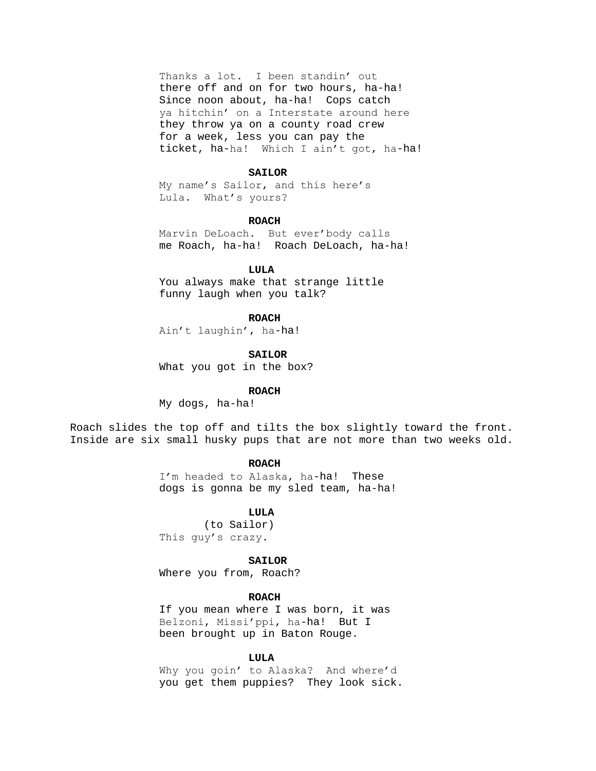Thanks a lot. I been standin' out there off and on for two hours, ha-ha! Since noon about, ha-ha! Cops catch ya hitchin' on a Interstate around here they throw ya on a county road crew for a week, less you can pay the ticket, ha-ha! Which I ain't got, ha-ha!

# **SAILOR**

My name's Sailor, and this here's Lula. What's yours?

#### **ROACH**

Marvin DeLoach. But ever'body calls me Roach, ha-ha! Roach DeLoach, ha-ha!

### **LULA**

You always make that strange little funny laugh when you talk?

### **ROACH**

Ain't laughin', ha-ha!

#### **SAILOR**

What you got in the box?

## **ROACH**

My dogs, ha-ha!

Roach slides the top off and tilts the box slightly toward the front. Inside are six small husky pups that are not more than two weeks old.

# **ROACH**

I'm headed to Alaska, ha-ha! These dogs is gonna be my sled team, ha-ha!

## **LULA**

(to Sailor) This guy's crazy.

## **SAILOR**

Where you from, Roach?

### **ROACH**

If you mean where I was born, it was Belzoni, Missi'ppi, ha-ha! But I been brought up in Baton Rouge.

## **LULA**

Why you goin' to Alaska? And where'd you get them puppies? They look sick.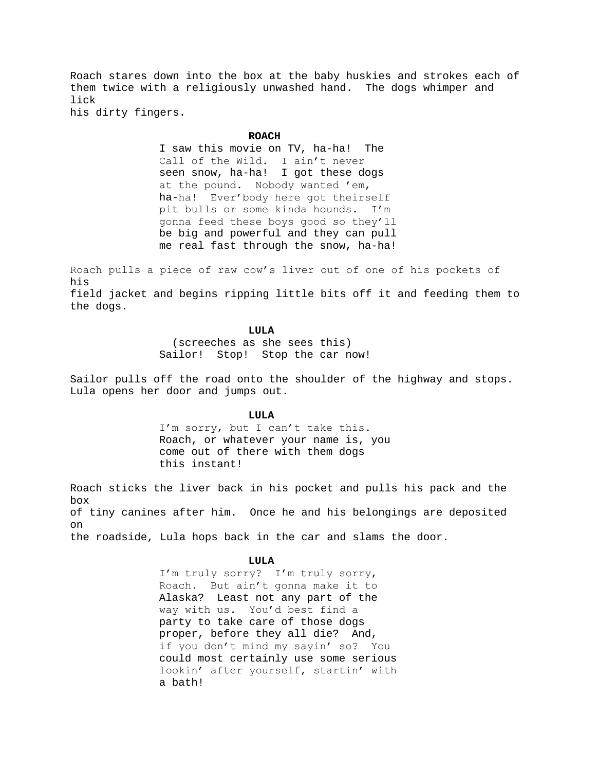Roach stares down into the box at the baby huskies and strokes each of them twice with a religiously unwashed hand. The dogs whimper and lick

his dirty fingers.

### **ROACH**

I saw this movie on TV, ha-ha! The Call of the Wild. I ain't never seen snow, ha-ha! I got these dogs at the pound. Nobody wanted 'em, ha-ha! Ever'body here got theirself pit bulls or some kinda hounds. I'm gonna feed these boys good so they'll be big and powerful and they can pull me real fast through the snow, ha-ha!

Roach pulls a piece of raw cow's liver out of one of his pockets of his field jacket and begins ripping little bits off it and feeding them to the dogs.

## **LULA**

 (screeches as she sees this) Sailor! Stop! Stop the car now!

Sailor pulls off the road onto the shoulder of the highway and stops. Lula opens her door and jumps out.

## **LULA**

I'm sorry, but I can't take this. Roach, or whatever your name is, you come out of there with them dogs this instant!

Roach sticks the liver back in his pocket and pulls his pack and the box of tiny canines after him. Once he and his belongings are deposited on the roadside, Lula hops back in the car and slams the door.

### **LULA**

I'm truly sorry? I'm truly sorry, Roach. But ain't gonna make it to Alaska? Least not any part of the way with us. You'd best find a party to take care of those dogs proper, before they all die? And, if you don't mind my sayin' so? You could most certainly use some serious lookin' after yourself, startin' with a bath!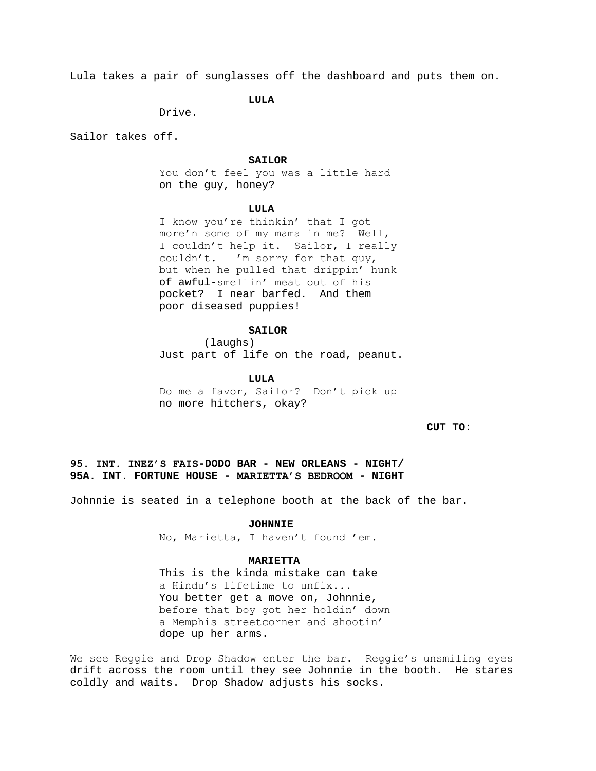Lula takes a pair of sunglasses off the dashboard and puts them on.

# **LULA**

Drive.

Sailor takes off.

# **SAILOR**

You don't feel you was a little hard on the guy, honey?

### **LULA**

I know you're thinkin' that I got more'n some of my mama in me? Well, I couldn't help it. Sailor, I really couldn't. I'm sorry for that guy, but when he pulled that drippin' hunk of awful-smellin' meat out of his pocket? I near barfed. And them poor diseased puppies!

## **SAILOR**

(laughs) Just part of life on the road, peanut.

**LULA**

Do me a favor, Sailor? Don't pick up no more hitchers, okay?

**CUT TO:**

**95. INT. INEZ'S FAIS-DODO BAR - NEW ORLEANS - NIGHT/ 95A. INT. FORTUNE HOUSE - MARIETTA'S BEDROOM - NIGHT**

Johnnie is seated in a telephone booth at the back of the bar.

# **JOHNNIE**

No, Marietta, I haven't found 'em.

# **MARIETTA**

This is the kinda mistake can take a Hindu's lifetime to unfix... You better get a move on, Johnnie, before that boy got her holdin' down a Memphis streetcorner and shootin' dope up her arms.

We see Reggie and Drop Shadow enter the bar. Reggie's unsmiling eyes drift across the room until they see Johnnie in the booth. He stares coldly and waits. Drop Shadow adjusts his socks.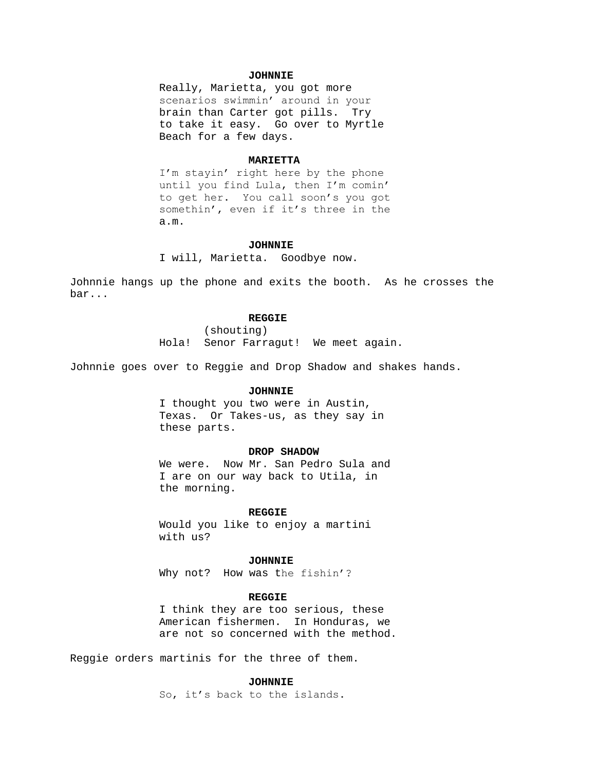# **JOHNNIE**

Really, Marietta, you got more scenarios swimmin' around in your brain than Carter got pills. Try to take it easy. Go over to Myrtle Beach for a few days.

### **MARIETTA**

I'm stayin' right here by the phone until you find Lula, then I'm comin' to get her. You call soon's you got somethin', even if it's three in the a.m.

#### **JOHNNIE**

I will, Marietta. Goodbye now.

Johnnie hangs up the phone and exits the booth. As he crosses the bar...

#### **REGGIE**

(shouting) Hola! Senor Farragut! We meet again.

Johnnie goes over to Reggie and Drop Shadow and shakes hands.

# **JOHNNIE**

I thought you two were in Austin, Texas. Or Takes-us, as they say in these parts.

## **DROP SHADOW**

We were. Now Mr. San Pedro Sula and I are on our way back to Utila, in the morning.

### **REGGIE**

Would you like to enjoy a martini with us?

## **JOHNNIE**

Why not? How was the fishin'?

### **REGGIE**

I think they are too serious, these American fishermen. In Honduras, we are not so concerned with the method.

Reggie orders martinis for the three of them.

# **JOHNNIE**

So, it's back to the islands.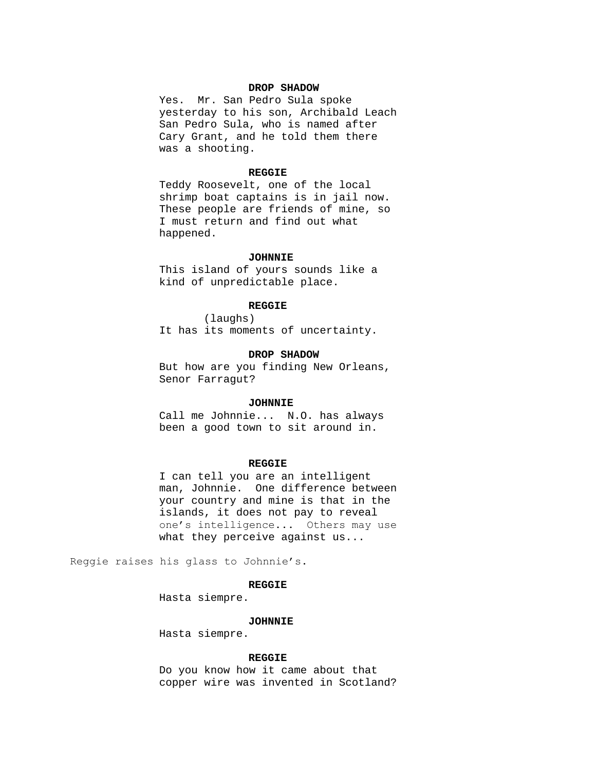# **DROP SHADOW**

Yes. Mr. San Pedro Sula spoke yesterday to his son, Archibald Leach San Pedro Sula, who is named after Cary Grant, and he told them there was a shooting.

## **REGGIE**

Teddy Roosevelt, one of the local shrimp boat captains is in jail now. These people are friends of mine, so I must return and find out what happened.

### **JOHNNIE**

This island of yours sounds like a kind of unpredictable place.

### **REGGIE**

(laughs) It has its moments of uncertainty.

### **DROP SHADOW**

But how are you finding New Orleans, Senor Farragut?

#### **JOHNNIE**

Call me Johnnie... N.O. has always been a good town to sit around in.

# **REGGIE**

I can tell you are an intelligent man, Johnnie. One difference between your country and mine is that in the islands, it does not pay to reveal one's intelligence... Others may use what they perceive against us...

Reggie raises his glass to Johnnie's.

### **REGGIE**

Hasta siempre.

#### **JOHNNIE**

Hasta siempre.

#### **REGGIE**

Do you know how it came about that copper wire was invented in Scotland?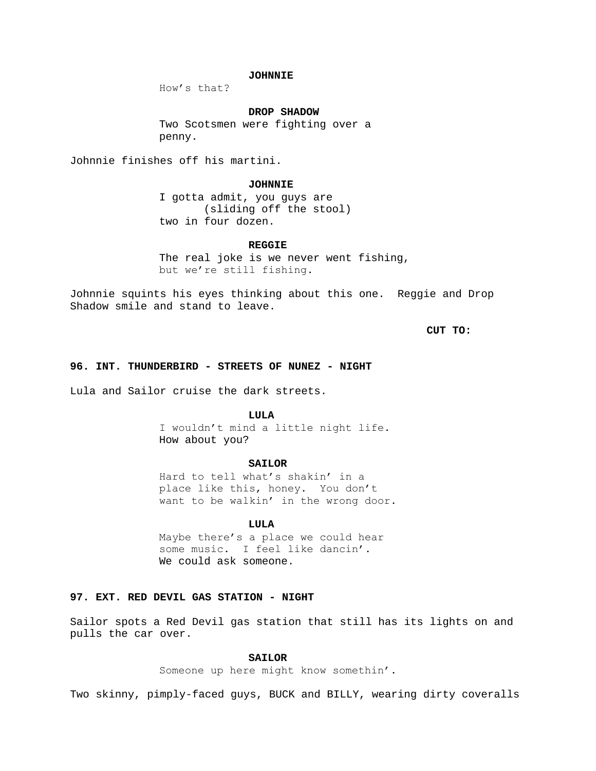# **JOHNNIE**

How's that?

# **DROP SHADOW**

Two Scotsmen were fighting over a penny.

Johnnie finishes off his martini.

#### **JOHNNIE**

I gotta admit, you guys are (sliding off the stool) two in four dozen.

### **REGGIE**

The real joke is we never went fishing, but we're still fishing.

Johnnie squints his eyes thinking about this one. Reggie and Drop Shadow smile and stand to leave.

**CUT TO:**

# **96. INT. THUNDERBIRD - STREETS OF NUNEZ - NIGHT**

Lula and Sailor cruise the dark streets.

#### **LULA**

I wouldn't mind a little night life. How about you?

# **SAILOR**

Hard to tell what's shakin' in a place like this, honey. You don't want to be walkin' in the wrong door.

## **LULA**

Maybe there's a place we could hear some music. I feel like dancin'. We could ask someone.

# **97. EXT. RED DEVIL GAS STATION - NIGHT**

Sailor spots a Red Devil gas station that still has its lights on and pulls the car over.

# **SAILOR**

Someone up here might know somethin'.

Two skinny, pimply-faced guys, BUCK and BILLY, wearing dirty coveralls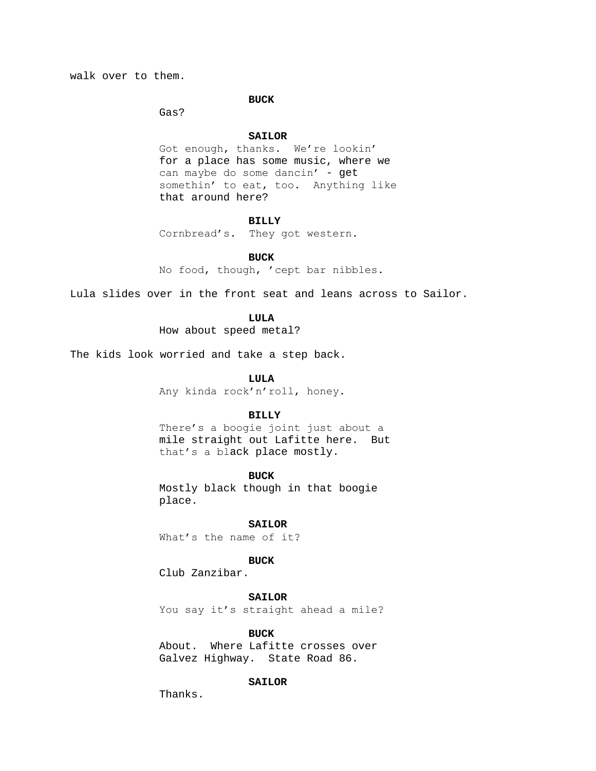walk over to them.

### **BUCK**

Gas?

#### **SAILOR**

Got enough, thanks. We're lookin' for a place has some music, where we can maybe do some dancin' - get somethin' to eat, too. Anything like that around here?

# **BILLY**

Cornbread's. They got western.

**BUCK**

No food, though, 'cept bar nibbles.

Lula slides over in the front seat and leans across to Sailor.

# **LULA**

How about speed metal?

The kids look worried and take a step back.

### **LULA**

Any kinda rock'n'roll, honey.

# **BILLY**

There's a boogie joint just about a mile straight out Lafitte here. But that's a black place mostly.

### **BUCK**

Mostly black though in that boogie place.

# **SAILOR**

What's the name of it?

# **BUCK**

Club Zanzibar.

# **SAILOR**

You say it's straight ahead a mile?

# **BUCK**

About. Where Lafitte crosses over Galvez Highway. State Road 86.

# **SAILOR**

Thanks.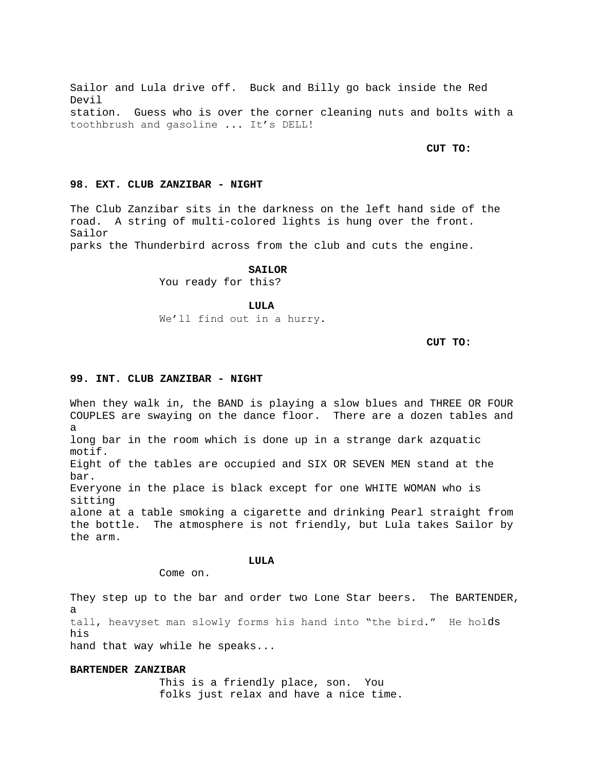Sailor and Lula drive off. Buck and Billy go back inside the Red Devil station. Guess who is over the corner cleaning nuts and bolts with a toothbrush and gasoline ... It's DELL!

**CUT TO:**

# **98. EXT. CLUB ZANZIBAR - NIGHT**

The Club Zanzibar sits in the darkness on the left hand side of the road. A string of multi-colored lights is hung over the front. Sailor

parks the Thunderbird across from the club and cuts the engine.

### **SAILOR**

You ready for this?

**LULA**

We'll find out in a hurry.

**CUT TO:**

### **99. INT. CLUB ZANZIBAR - NIGHT**

When they walk in, the BAND is playing a slow blues and THREE OR FOUR COUPLES are swaying on the dance floor. There are a dozen tables and a long bar in the room which is done up in a strange dark azquatic motif. Eight of the tables are occupied and SIX OR SEVEN MEN stand at the bar. Everyone in the place is black except for one WHITE WOMAN who is sitting alone at a table smoking a cigarette and drinking Pearl straight from the bottle. The atmosphere is not friendly, but Lula takes Sailor by the arm.

**LULA**

Come on.

They step up to the bar and order two Lone Star beers. The BARTENDER, a tall, heavyset man slowly forms his hand into "the bird." He holds his hand that way while he speaks...

#### **BARTENDER ZANZIBAR**

This is a friendly place, son. You folks just relax and have a nice time.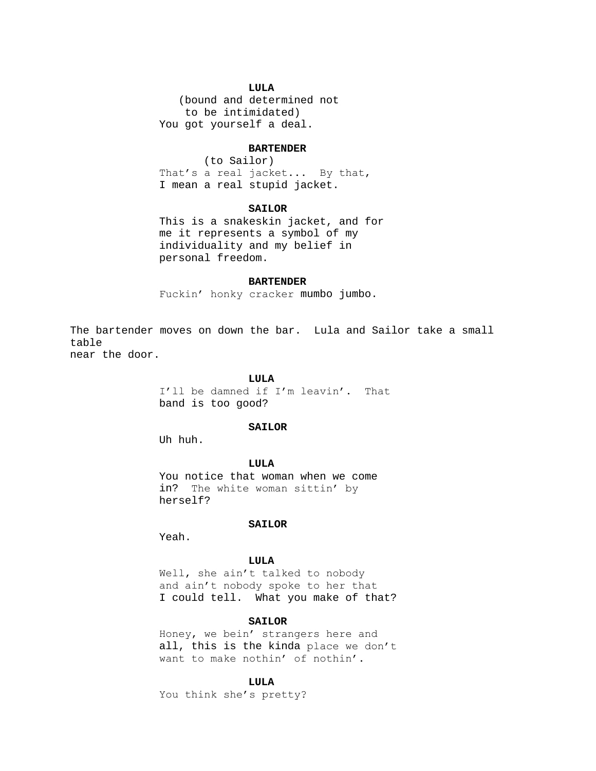# **LULA**

 (bound and determined not to be intimidated) You got yourself a deal.

#### **BARTENDER**

(to Sailor) That's a real jacket... By that, I mean a real stupid jacket.

# **SAILOR**

This is a snakeskin jacket, and for me it represents a symbol of my individuality and my belief in personal freedom.

#### **BARTENDER**

Fuckin' honky cracker mumbo jumbo.

The bartender moves on down the bar. Lula and Sailor take a small table

near the door.

### **LULA**

I'll be damned if I'm leavin'. That band is too good?

# **SAILOR**

Uh huh.

**LULA**

You notice that woman when we come in? The white woman sittin' by herself?

# **SAILOR**

Yeah.

# **LULA**

Well, she ain't talked to nobody and ain't nobody spoke to her that I could tell. What you make of that?

# **SAILOR**

Honey, we bein' strangers here and all, this is the kinda place we don't want to make nothin' of nothin'.

# **LULA**

You think she's pretty?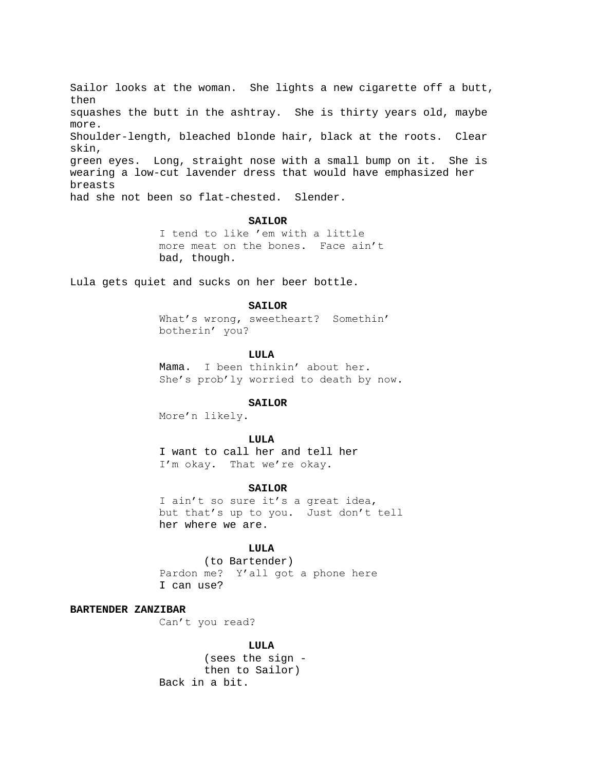Sailor looks at the woman. She lights a new cigarette off a butt, then squashes the butt in the ashtray. She is thirty years old, maybe more. Shoulder-length, bleached blonde hair, black at the roots. Clear skin, green eyes. Long, straight nose with a small bump on it. She is wearing a low-cut lavender dress that would have emphasized her breasts had she not been so flat-chested. Slender.

#### **SAILOR**

I tend to like 'em with a little more meat on the bones. Face ain't bad, though.

Lula gets quiet and sucks on her beer bottle.

#### **SAILOR**

What's wrong, sweetheart? Somethin' botherin' you?

### **LULA**

Mama. I been thinkin' about her. She's prob'ly worried to death by now.

#### **SAILOR**

More'n likely.

# **LULA**

I want to call her and tell her I'm okay. That we're okay.

### **SAILOR**

I ain't so sure it's a great idea, but that's up to you. Just don't tell her where we are.

# **LULA**

(to Bartender) Pardon me? Y'all got a phone here I can use?

# **BARTENDER ZANZIBAR**

Can't you read?

# **LULA**

(sees the sign then to Sailor) Back in a bit.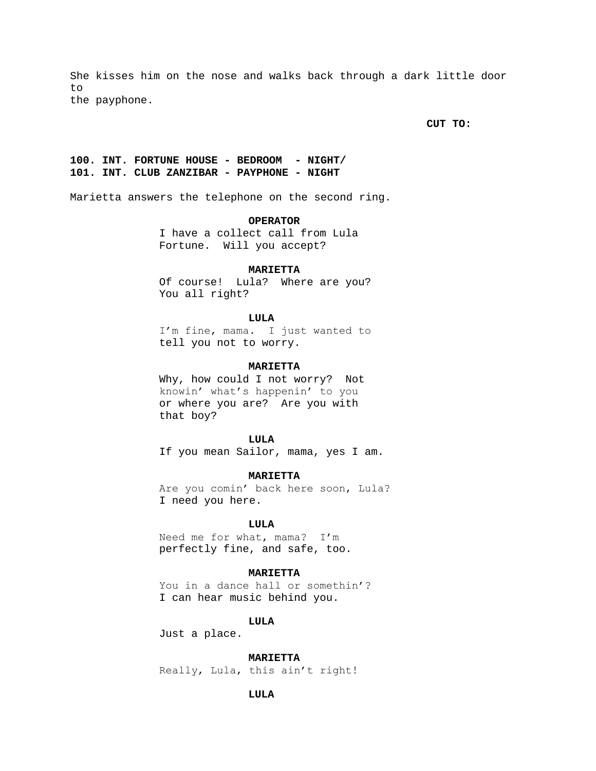She kisses him on the nose and walks back through a dark little door to the payphone.

**CUT TO:**

# **100. INT. FORTUNE HOUSE - BEDROOM - NIGHT/ 101. INT. CLUB ZANZIBAR - PAYPHONE - NIGHT**

Marietta answers the telephone on the second ring.

# **OPERATOR**

I have a collect call from Lula Fortune. Will you accept?

### **MARIETTA**

Of course! Lula? Where are you? You all right?

### **LULA**

I'm fine, mama. I just wanted to tell you not to worry.

# **MARIETTA**

Why, how could I not worry? Not knowin' what's happenin' to you or where you are? Are you with that boy?

# **LULA**

If you mean Sailor, mama, yes I am.

# **MARIETTA**

Are you comin' back here soon, Lula? I need you here.

# **LULA**

Need me for what, mama? I'm perfectly fine, and safe, too.

# **MARIETTA**

You in a dance hall or somethin'? I can hear music behind you.

# **LULA**

Just a place.

### **MARIETTA**

Really, Lula, this ain't right!

# **LULA**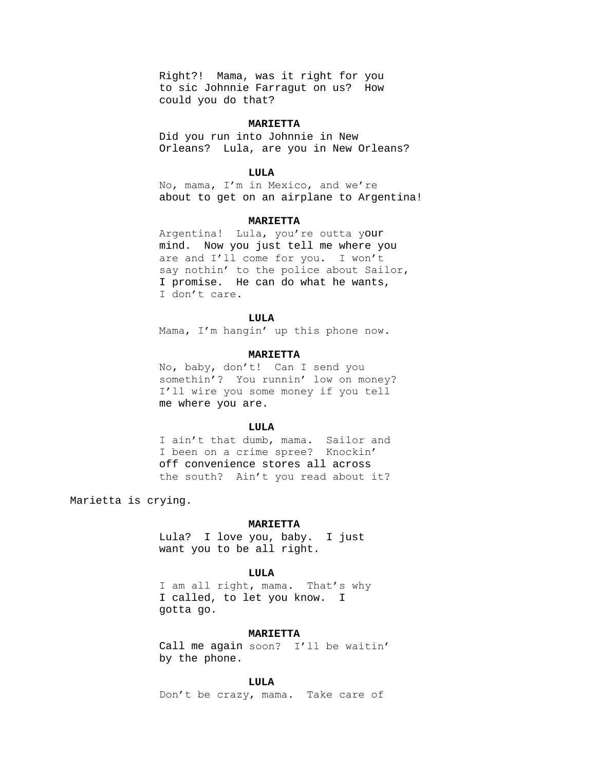Right?! Mama, was it right for you to sic Johnnie Farragut on us? How could you do that?

# **MARIETTA**

Did you run into Johnnie in New Orleans? Lula, are you in New Orleans?

# **LULA**

No, mama, I'm in Mexico, and we're about to get on an airplane to Argentina!

#### **MARIETTA**

Argentina! Lula, you're outta your mind. Now you just tell me where you are and I'll come for you. I won't say nothin' to the police about Sailor, I promise. He can do what he wants, I don't care.

### **LULA**

Mama, I'm hangin' up this phone now.

#### **MARIETTA**

No, baby, don't! Can I send you somethin'? You runnin' low on money? I'll wire you some money if you tell me where you are.

### **LULA**

I ain't that dumb, mama. Sailor and I been on a crime spree? Knockin' off convenience stores all across the south? Ain't you read about it?

Marietta is crying.

# **MARIETTA**

Lula? I love you, baby. I just want you to be all right.

### **LULA**

I am all right, mama. That's why I called, to let you know. I gotta go.

### **MARIETTA**

Call me again soon? I'll be waitin' by the phone.

#### **LULA**

Don't be crazy, mama. Take care of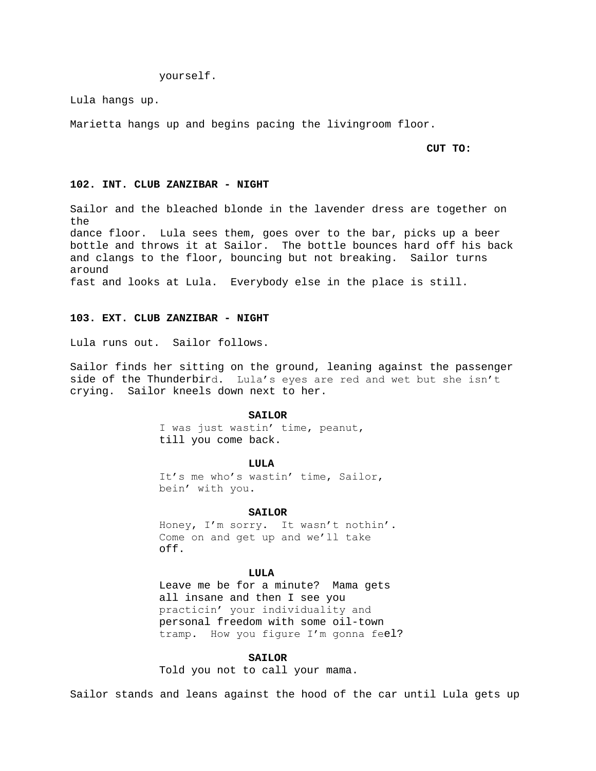yourself.

Lula hangs up.

Marietta hangs up and begins pacing the livingroom floor.

#### **CUT TO:**

### **102. INT. CLUB ZANZIBAR - NIGHT**

Sailor and the bleached blonde in the lavender dress are together on the dance floor. Lula sees them, goes over to the bar, picks up a beer bottle and throws it at Sailor. The bottle bounces hard off his back and clangs to the floor, bouncing but not breaking. Sailor turns around fast and looks at Lula. Everybody else in the place is still.

# **103. EXT. CLUB ZANZIBAR - NIGHT**

Lula runs out. Sailor follows.

Sailor finds her sitting on the ground, leaning against the passenger side of the Thunderbird. Lula's eyes are red and wet but she isn't crying. Sailor kneels down next to her.

### SATLOR

I was just wastin' time, peanut, till you come back.

**LULA**

It's me who's wastin' time, Sailor, bein' with you.

#### **SAILOR**

Honey, I'm sorry. It wasn't nothin'. Come on and get up and we'll take off.

### **LULA**

Leave me be for a minute? Mama gets all insane and then I see you practicin' your individuality and personal freedom with some oil-town tramp. How you figure I'm gonna feel?

### **SAILOR**

Told you not to call your mama.

Sailor stands and leans against the hood of the car until Lula gets up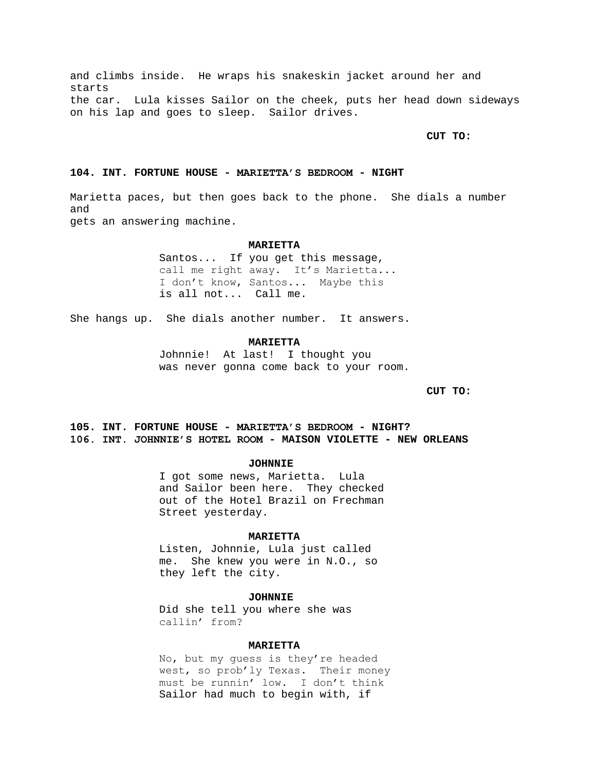and climbs inside. He wraps his snakeskin jacket around her and starts the car. Lula kisses Sailor on the cheek, puts her head down sideways on his lap and goes to sleep. Sailor drives.

**CUT TO:**

# **104. INT. FORTUNE HOUSE - MARIETTA'S BEDROOM - NIGHT**

Marietta paces, but then goes back to the phone. She dials a number and gets an answering machine.

### **MARIETTA**

Santos... If you get this message, call me right away. It's Marietta... I don't know, Santos... Maybe this is all not... Call me.

She hangs up. She dials another number. It answers.

### **MARIETTA**

Johnnie! At last! I thought you was never gonna come back to your room.

**CUT TO:**

# **105. INT. FORTUNE HOUSE - MARIETTA'S BEDROOM - NIGHT? 106. INT. JOHNNIE'S HOTEL ROOM - MAISON VIOLETTE - NEW ORLEANS**

# **JOHNNIE**

I got some news, Marietta. Lula and Sailor been here. They checked out of the Hotel Brazil on Frechman Street yesterday.

### **MARIETTA**

Listen, Johnnie, Lula just called me. She knew you were in N.O., so they left the city.

### **JOHNNIE**

Did she tell you where she was callin' from?

### **MARIETTA**

No, but my guess is they're headed west, so prob'ly Texas. Their money must be runnin' low. I don't think Sailor had much to begin with, if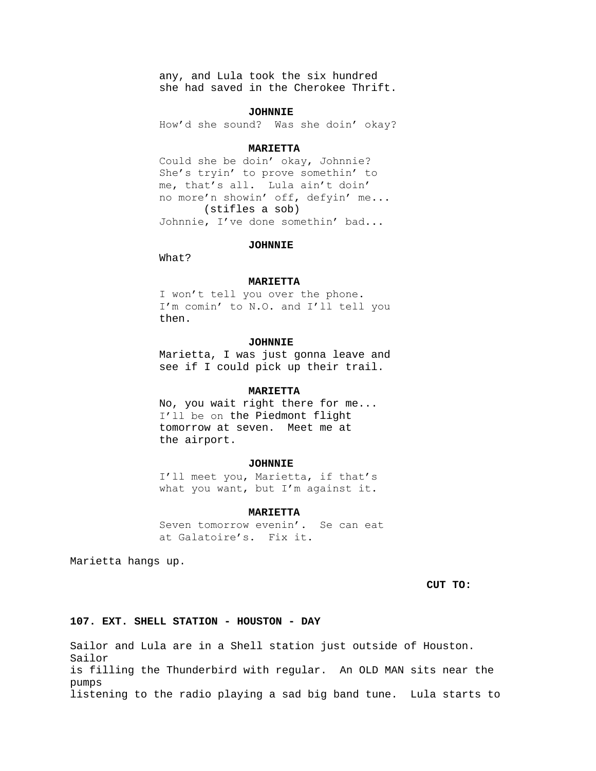any, and Lula took the six hundred she had saved in the Cherokee Thrift.

# **JOHNNIE**

How'd she sound? Was she doin' okay?

#### **MARIETTA**

Could she be doin' okay, Johnnie? She's tryin' to prove somethin' to me, that's all. Lula ain't doin' no more'n showin' off, defyin' me... (stifles a sob) Johnnie, I've done somethin' bad...

### **JOHNNIE**

What?

#### **MARIETTA**

I won't tell you over the phone. I'm comin' to N.O. and I'll tell you then.

# **JOHNNIE**

Marietta, I was just gonna leave and see if I could pick up their trail.

# **MARIETTA**

No, you wait right there for me... I'll be on the Piedmont flight tomorrow at seven. Meet me at the airport.

### **JOHNNIE**

I'll meet you, Marietta, if that's what you want, but I'm against it.

#### **MARIETTA**

Seven tomorrow evenin'. Se can eat at Galatoire's. Fix it.

Marietta hangs up.

**CUT TO:**

# **107. EXT. SHELL STATION - HOUSTON - DAY**

Sailor and Lula are in a Shell station just outside of Houston. Sailor is filling the Thunderbird with regular. An OLD MAN sits near the pumps listening to the radio playing a sad big band tune. Lula starts to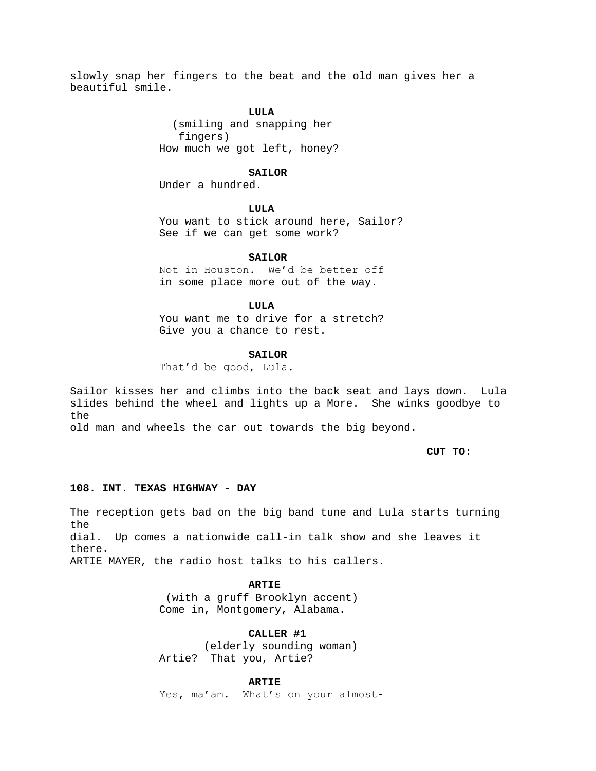slowly snap her fingers to the beat and the old man gives her a beautiful smile.

# **LULA**

 (smiling and snapping her fingers) How much we got left, honey?

#### **SAILOR**

Under a hundred.

# **LULA**

You want to stick around here, Sailor? See if we can get some work?

# **SAILOR**

Not in Houston. We'd be better off in some place more out of the way.

#### **LULA**

You want me to drive for a stretch? Give you a chance to rest.

### **SAILOR**

That'd be good, Lula.

Sailor kisses her and climbs into the back seat and lays down. Lula slides behind the wheel and lights up a More. She winks goodbye to the

old man and wheels the car out towards the big beyond.

### **CUT TO:**

# **108. INT. TEXAS HIGHWAY - DAY**

The reception gets bad on the big band tune and Lula starts turning the dial. Up comes a nationwide call-in talk show and she leaves it there. ARTIE MAYER, the radio host talks to his callers.

# **ARTIE**

(with a gruff Brooklyn accent) Come in, Montgomery, Alabama.

# **CALLER #1**

(elderly sounding woman) Artie? That you, Artie?

### **ARTIE**

Yes, ma'am. What's on your almost-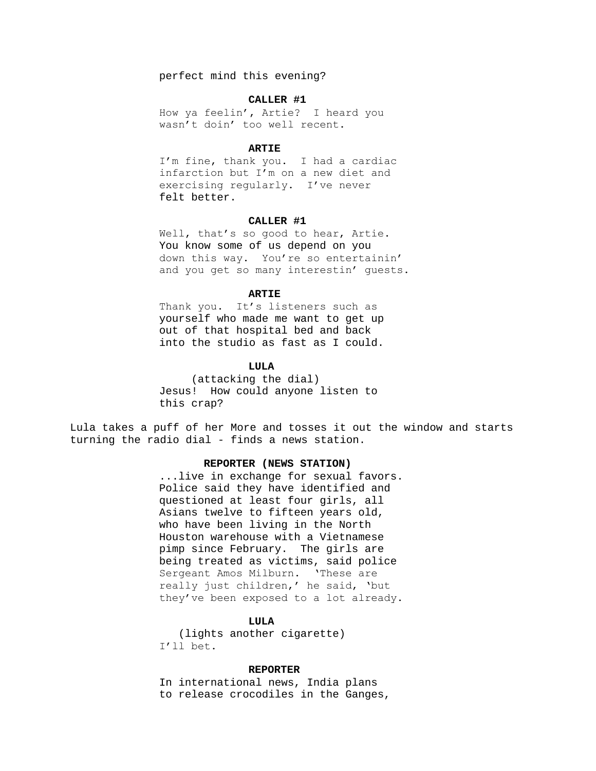perfect mind this evening?

### **CALLER #1**

How ya feelin', Artie? I heard you wasn't doin' too well recent.

#### **ARTIE**

I'm fine, thank you. I had a cardiac infarction but I'm on a new diet and exercising regularly. I've never felt better.

# **CALLER #1**

Well, that's so good to hear, Artie. You know some of us depend on you down this way. You're so entertainin' and you get so many interestin' guests.

# **ARTIE**

Thank you. It's listeners such as yourself who made me want to get up out of that hospital bed and back into the studio as fast as I could.

# **LULA**

 (attacking the dial) Jesus! How could anyone listen to this crap?

Lula takes a puff of her More and tosses it out the window and starts turning the radio dial - finds a news station.

# **REPORTER (NEWS STATION)**

...live in exchange for sexual favors. Police said they have identified and questioned at least four girls, all Asians twelve to fifteen years old, who have been living in the North Houston warehouse with a Vietnamese pimp since February. The girls are being treated as victims, said police Sergeant Amos Milburn. 'These are really just children,' he said, 'but they've been exposed to a lot already.

# **LULA**

 (lights another cigarette) I'll bet.

# **REPORTER**

In international news, India plans to release crocodiles in the Ganges,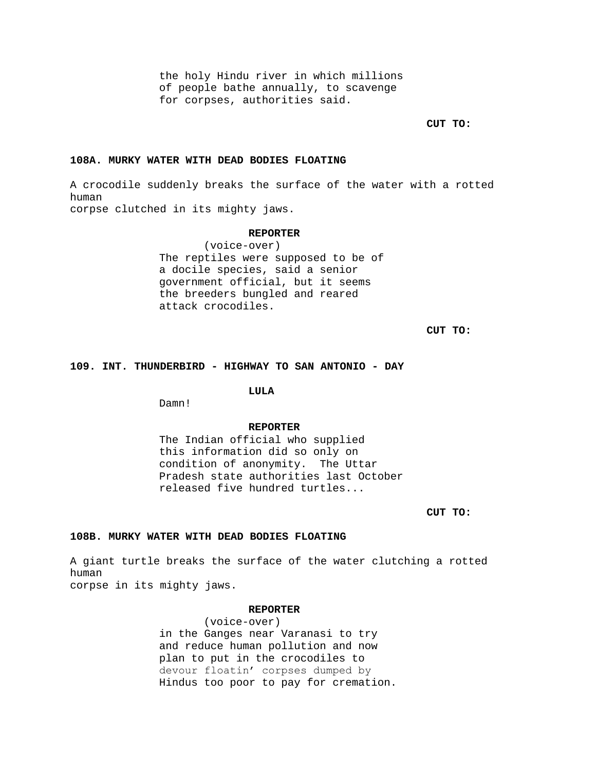the holy Hindu river in which millions of people bathe annually, to scavenge for corpses, authorities said.

**CUT TO:**

# **108A. MURKY WATER WITH DEAD BODIES FLOATING**

A crocodile suddenly breaks the surface of the water with a rotted human corpse clutched in its mighty jaws.

### **REPORTER**

(voice-over) The reptiles were supposed to be of a docile species, said a senior government official, but it seems the breeders bungled and reared attack crocodiles.

**CUT TO:**

# **109. INT. THUNDERBIRD - HIGHWAY TO SAN ANTONIO - DAY**

# **LULA**

Damn!

# **REPORTER**

The Indian official who supplied this information did so only on condition of anonymity. The Uttar Pradesh state authorities last October released five hundred turtles...

**CUT TO:**

# **108B. MURKY WATER WITH DEAD BODIES FLOATING**

A giant turtle breaks the surface of the water clutching a rotted human

corpse in its mighty jaws.

# **REPORTER**

(voice-over) in the Ganges near Varanasi to try and reduce human pollution and now plan to put in the crocodiles to devour floatin' corpses dumped by Hindus too poor to pay for cremation.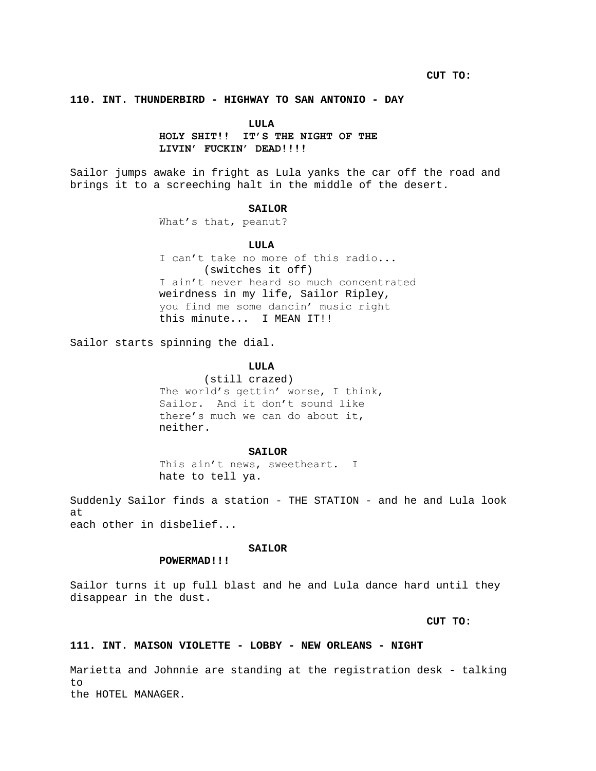# **110. INT. THUNDERBIRD - HIGHWAY TO SAN ANTONIO - DAY**

# **LULA**

# **HOLY SHIT!! IT'S THE NIGHT OF THE LIVIN' FUCKIN' DEAD!!!!**

Sailor jumps awake in fright as Lula yanks the car off the road and brings it to a screeching halt in the middle of the desert.

### **SAILOR**

What's that, peanut?

### **LULA**

I can't take no more of this radio... (switches it off) I ain't never heard so much concentrated weirdness in my life, Sailor Ripley, you find me some dancin' music right this minute... I MEAN IT!!

Sailor starts spinning the dial.

# **LULA**

(still crazed) The world's gettin' worse, I think, Sailor. And it don't sound like there's much we can do about it, neither.

#### **SAILOR**

This ain't news, sweetheart. I hate to tell ya.

Suddenly Sailor finds a station - THE STATION - and he and Lula look at each other in disbelief...

# **SAILOR**

# **POWERMAD!!!**

Sailor turns it up full blast and he and Lula dance hard until they disappear in the dust.

# **CUT TO:**

# **111. INT. MAISON VIOLETTE - LOBBY - NEW ORLEANS - NIGHT**

Marietta and Johnnie are standing at the registration desk - talking to the HOTEL MANAGER.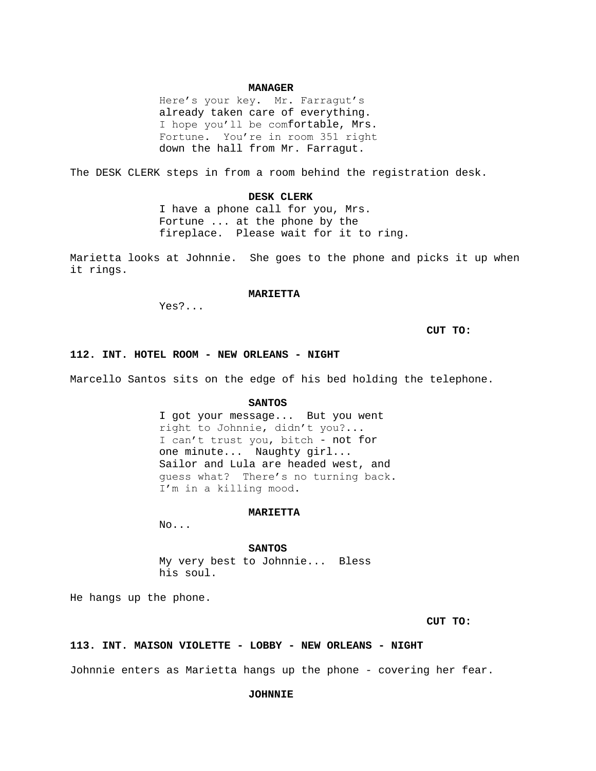# **MANAGER**

Here's your key. Mr. Farragut's already taken care of everything. I hope you'll be comfortable, Mrs. Fortune. You're in room 351 right down the hall from Mr. Farragut.

The DESK CLERK steps in from a room behind the registration desk.

# **DESK CLERK**

I have a phone call for you, Mrs. Fortune ... at the phone by the fireplace. Please wait for it to ring.

Marietta looks at Johnnie. She goes to the phone and picks it up when it rings.

# **MARIETTA**

Yes?...

**CUT TO:**

# **112. INT. HOTEL ROOM - NEW ORLEANS - NIGHT**

Marcello Santos sits on the edge of his bed holding the telephone.

#### **SANTOS**

I got your message... But you went right to Johnnie, didn't you?... I can't trust you, bitch - not for one minute... Naughty girl... Sailor and Lula are headed west, and guess what? There's no turning back. I'm in a killing mood.

# **MARIETTA**

No...

#### **SANTOS**

My very best to Johnnie... Bless his soul.

He hangs up the phone.

# **CUT TO:**

#### **113. INT. MAISON VIOLETTE - LOBBY - NEW ORLEANS - NIGHT**

Johnnie enters as Marietta hangs up the phone - covering her fear.

# **JOHNNIE**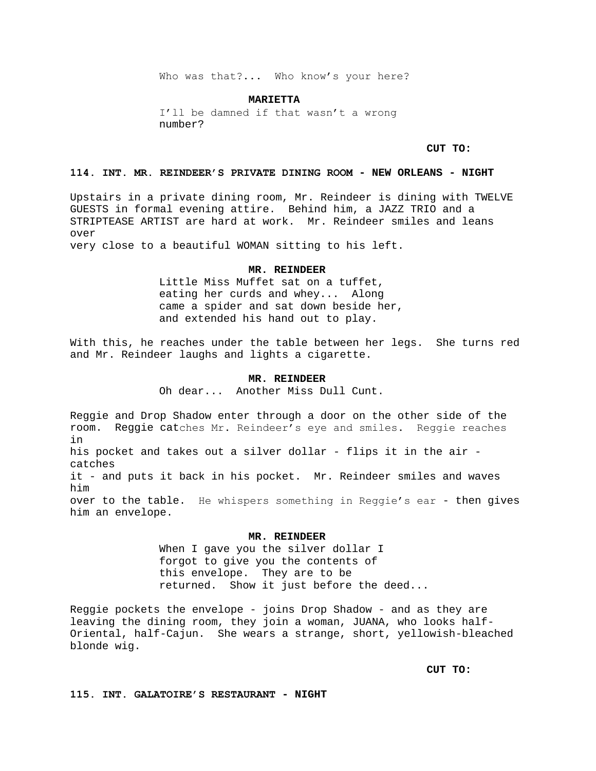Who was that?... Who know's your here?

**MARIETTA**

I'll be damned if that wasn't a wrong number?

**CUT TO:**

# **114. INT. MR. REINDEER'S PRIVATE DINING ROOM - NEW ORLEANS - NIGHT**

Upstairs in a private dining room, Mr. Reindeer is dining with TWELVE GUESTS in formal evening attire. Behind him, a JAZZ TRIO and a STRIPTEASE ARTIST are hard at work. Mr. Reindeer smiles and leans over

very close to a beautiful WOMAN sitting to his left.

#### **MR. REINDEER**

Little Miss Muffet sat on a tuffet, eating her curds and whey... Along came a spider and sat down beside her, and extended his hand out to play.

With this, he reaches under the table between her legs. She turns red and Mr. Reindeer laughs and lights a cigarette.

### **MR. REINDEER**

Oh dear... Another Miss Dull Cunt.

Reggie and Drop Shadow enter through a door on the other side of the room. Reggie catches Mr. Reindeer's eye and smiles. Reggie reaches in his pocket and takes out a silver dollar - flips it in the air catches it - and puts it back in his pocket. Mr. Reindeer smiles and waves him over to the table. He whispers something in Reggie's ear - then gives him an envelope.

### **MR. REINDEER**

When I gave you the silver dollar I forgot to give you the contents of this envelope. They are to be returned. Show it just before the deed...

Reggie pockets the envelope - joins Drop Shadow - and as they are leaving the dining room, they join a woman, JUANA, who looks half-Oriental, half-Cajun. She wears a strange, short, yellowish-bleached blonde wig.

**CUT TO:**

**115. INT. GALATOIRE'S RESTAURANT - NIGHT**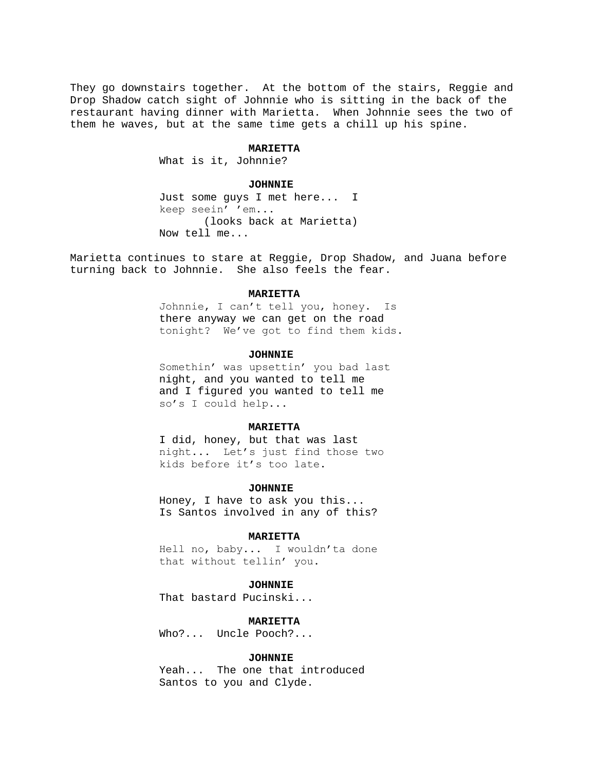They go downstairs together. At the bottom of the stairs, Reggie and Drop Shadow catch sight of Johnnie who is sitting in the back of the restaurant having dinner with Marietta. When Johnnie sees the two of them he waves, but at the same time gets a chill up his spine.

#### **MARIETTA**

What is it, Johnnie?

### **JOHNNIE**

Just some guys I met here... I keep seein' 'em... (looks back at Marietta) Now tell me...

Marietta continues to stare at Reggie, Drop Shadow, and Juana before turning back to Johnnie. She also feels the fear.

### **MARIETTA**

Johnnie, I can't tell you, honey. Is there anyway we can get on the road tonight? We've got to find them kids.

# **JOHNNIE**

Somethin' was upsettin' you bad last night, and you wanted to tell me and I figured you wanted to tell me so's I could help...

# **MARIETTA**

I did, honey, but that was last night... Let's just find those two kids before it's too late.

#### **JOHNNIE**

Honey, I have to ask you this... Is Santos involved in any of this?

### **MARIETTA**

Hell no, baby... I wouldn'ta done that without tellin' you.

### **JOHNNIE**

That bastard Pucinski...

# **MARIETTA**

Who?... Uncle Pooch?...

### **JOHNNIE**

Yeah... The one that introduced Santos to you and Clyde.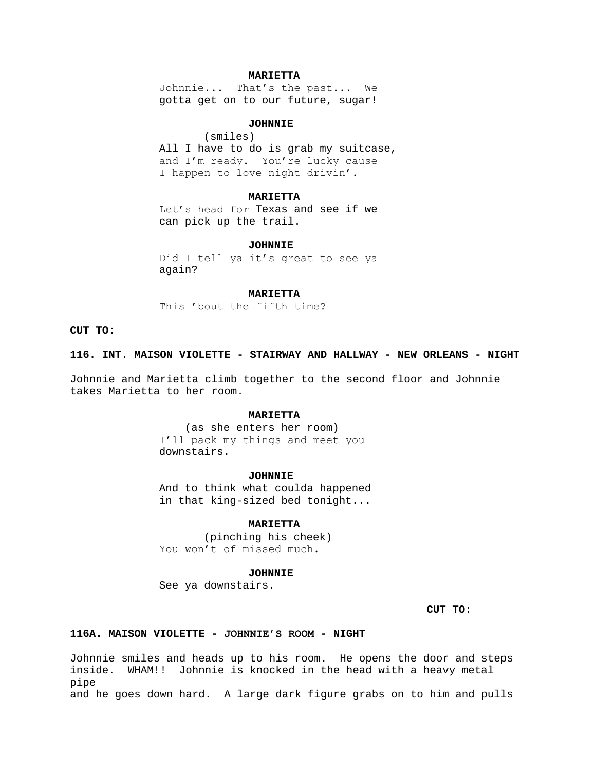# **MARIETTA**

Johnnie... That's the past... We gotta get on to our future, sugar!

# **JOHNNIE**

(smiles) All I have to do is grab my suitcase, and I'm ready. You're lucky cause I happen to love night drivin'.

#### **MARIETTA**

Let's head for Texas and see if we can pick up the trail.

#### **JOHNNIE**

Did I tell ya it's great to see ya again?

# **MARIETTA**

This 'bout the fifth time?

# **CUT TO:**

### **116. INT. MAISON VIOLETTE - STAIRWAY AND HALLWAY - NEW ORLEANS - NIGHT**

Johnnie and Marietta climb together to the second floor and Johnnie takes Marietta to her room.

### **MARIETTA**

 (as she enters her room) I'll pack my things and meet you downstairs.

#### **JOHNNIE**

And to think what coulda happened in that king-sized bed tonight...

# **MARIETTA**

(pinching his cheek) You won't of missed much.

### **JOHNNIE**

See ya downstairs.

**CUT TO:**

# **116A. MAISON VIOLETTE - JOHNNIE'S ROOM - NIGHT**

Johnnie smiles and heads up to his room. He opens the door and steps inside. WHAM!! Johnnie is knocked in the head with a heavy metal pipe and he goes down hard. A large dark figure grabs on to him and pulls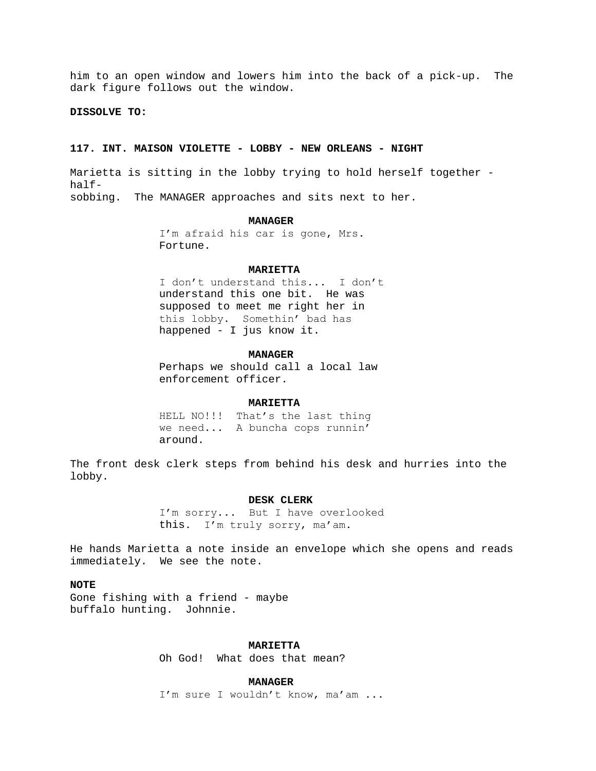him to an open window and lowers him into the back of a pick-up. The dark figure follows out the window.

# **DISSOLVE TO:**

### **117. INT. MAISON VIOLETTE - LOBBY - NEW ORLEANS - NIGHT**

Marietta is sitting in the lobby trying to hold herself together half-

sobbing. The MANAGER approaches and sits next to her.

### **MANAGER**

I'm afraid his car is gone, Mrs. Fortune.

#### **MARIETTA**

I don't understand this... I don't understand this one bit. He was supposed to meet me right her in this lobby. Somethin' bad has happened - I jus know it.

#### **MANAGER**

Perhaps we should call a local law enforcement officer.

#### **MARIETTA**

HELL NO!!! That's the last thing we need... A buncha cops runnin' around.

The front desk clerk steps from behind his desk and hurries into the lobby.

# **DESK CLERK**

I'm sorry... But I have overlooked this. I'm truly sorry, ma'am.

He hands Marietta a note inside an envelope which she opens and reads immediately. We see the note.

# **NOTE**

Gone fishing with a friend - maybe buffalo hunting. Johnnie.

### **MARIETTA**

Oh God! What does that mean?

# **MANAGER**

I'm sure I wouldn't know, ma'am ...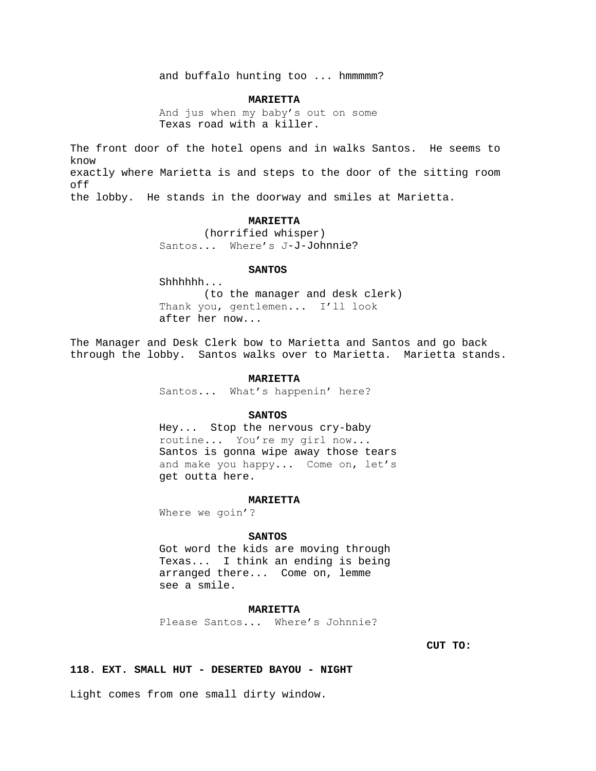and buffalo hunting too ... hmmmmm?

#### **MARIETTA**

And jus when my baby's out on some Texas road with a killer.

The front door of the hotel opens and in walks Santos. He seems to know exactly where Marietta is and steps to the door of the sitting room off the lobby. He stands in the doorway and smiles at Marietta.

# **MARIETTA**

(horrified whisper) Santos... Where's J-J-Johnnie?

#### **SANTOS**

Shhhhhh... (to the manager and desk clerk) Thank you, gentlemen... I'll look after her now...

The Manager and Desk Clerk bow to Marietta and Santos and go back through the lobby. Santos walks over to Marietta. Marietta stands.

### **MARIETTA**

Santos... What's happenin' here?

# **SANTOS**

Hey... Stop the nervous cry-baby routine... You're my girl now... Santos is gonna wipe away those tears and make you happy... Come on, let's get outta here.

### **MARIETTA**

Where we goin'?

# **SANTOS**

Got word the kids are moving through Texas... I think an ending is being arranged there... Come on, lemme see a smile.

# **MARIETTA**

Please Santos... Where's Johnnie?

**CUT TO:**

# **118. EXT. SMALL HUT - DESERTED BAYOU - NIGHT**

Light comes from one small dirty window.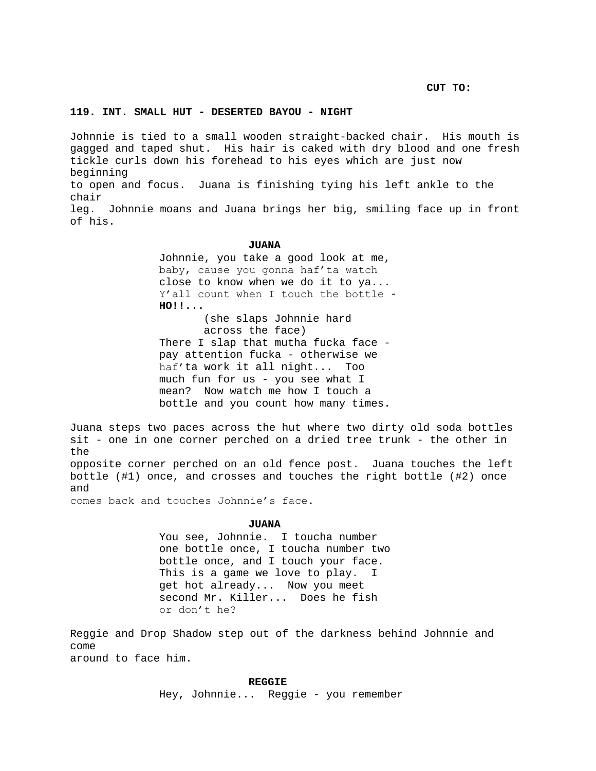**CUT TO:**

# **119. INT. SMALL HUT - DESERTED BAYOU - NIGHT**

Johnnie is tied to a small wooden straight-backed chair. His mouth is gagged and taped shut. His hair is caked with dry blood and one fresh tickle curls down his forehead to his eyes which are just now beginning to open and focus. Juana is finishing tying his left ankle to the chair leg. Johnnie moans and Juana brings her big, smiling face up in front of his.

### **JUANA**

Johnnie, you take a good look at me, baby, cause you gonna haf'ta watch close to know when we do it to ya... Y'all count when I touch the bottle - **HO!!...** (she slaps Johnnie hard across the face) There I slap that mutha fucka face pay attention fucka - otherwise we haf'ta work it all night... Too much fun for us - you see what I mean? Now watch me how I touch a bottle and you count how many times.

Juana steps two paces across the hut where two dirty old soda bottles sit - one in one corner perched on a dried tree trunk - the other in the

opposite corner perched on an old fence post. Juana touches the left bottle (#1) once, and crosses and touches the right bottle (#2) once and

comes back and touches Johnnie's face.

# **JUANA**

You see, Johnnie. I toucha number one bottle once, I toucha number two bottle once, and I touch your face. This is a game we love to play. I get hot already... Now you meet second Mr. Killer... Does he fish or don't he?

Reggie and Drop Shadow step out of the darkness behind Johnnie and come around to face him.

#### **REGGIE**

Hey, Johnnie... Reggie - you remember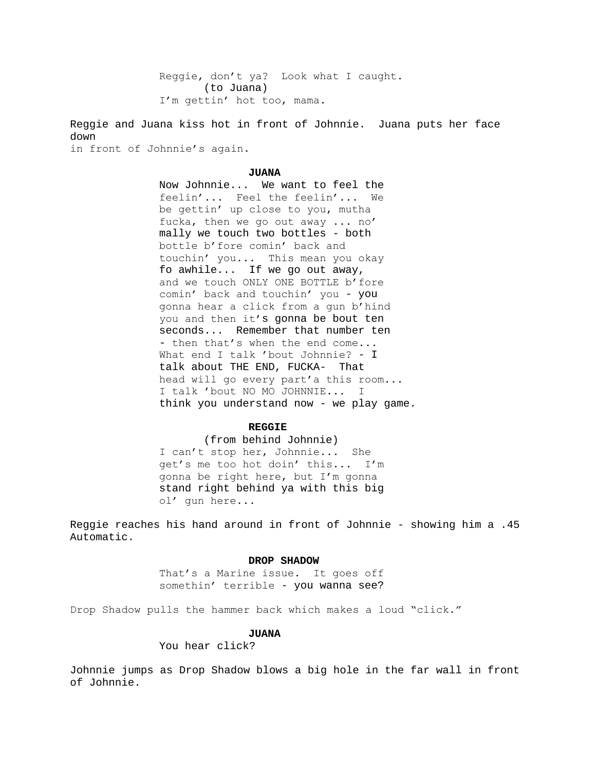Reggie, don't ya? Look what I caught. (to Juana) I'm gettin' hot too, mama.

Reggie and Juana kiss hot in front of Johnnie. Juana puts her face down

in front of Johnnie's again.

### **JUANA**

Now Johnnie... We want to feel the feelin'... Feel the feelin'... We be gettin' up close to you, mutha fucka, then we go out away ... no' mally we touch two bottles - both bottle b'fore comin' back and touchin' you... This mean you okay fo awhile... If we go out away, and we touch ONLY ONE BOTTLE b'fore comin' back and touchin' you - you gonna hear a click from a gun b'hind you and then it's gonna be bout ten seconds... Remember that number ten - then that's when the end come... What end I talk 'bout Johnnie? - I talk about THE END, FUCKA- That head will go every part'a this room... I talk 'bout NO MO JOHNNIE... I think you understand now - we play game.

# **REGGIE**

(from behind Johnnie) I can't stop her, Johnnie... She get's me too hot doin' this... I'm gonna be right here, but I'm gonna stand right behind ya with this big ol' gun here...

Reggie reaches his hand around in front of Johnnie - showing him a .45 Automatic.

### **DROP SHADOW**

That's a Marine issue. It goes off somethin' terrible - you wanna see?

Drop Shadow pulls the hammer back which makes a loud "click."

# **JUANA**

You hear click?

Johnnie jumps as Drop Shadow blows a big hole in the far wall in front of Johnnie.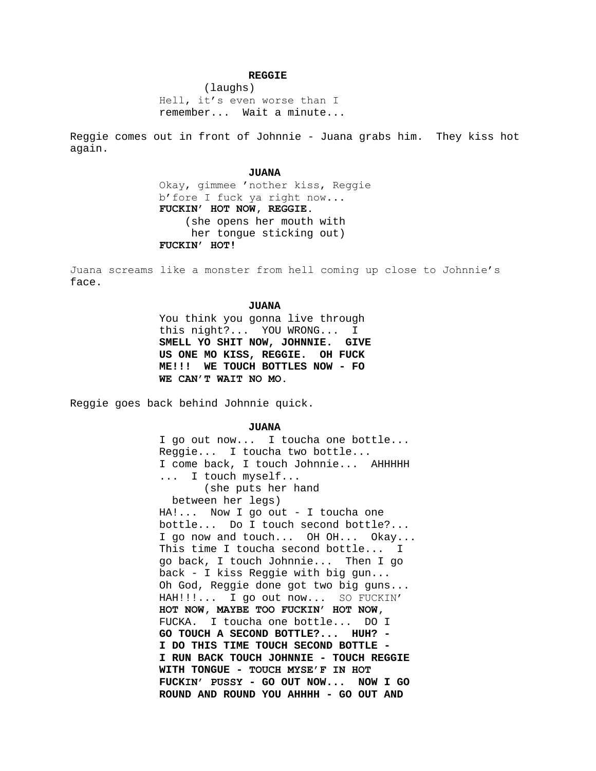# **REGGIE**

(laughs) Hell, it's even worse than I remember... Wait a minute...

Reggie comes out in front of Johnnie - Juana grabs him. They kiss hot again.

# **JUANA**

Okay, gimmee 'nother kiss, Reggie b'fore I fuck ya right now... **FUCKIN' HOT NOW, REGGIE.** (she opens her mouth with her tongue sticking out) **FUCKIN' HOT!**

Juana screams like a monster from hell coming up close to Johnnie's face.

#### **JUANA**

You think you gonna live through this night?... YOU WRONG... **SMELL YO SHIT NOW, JOHNNIE. GIVE US ONE MO KISS, REGGIE. OH FUCK ME!!! WE TOUCH BOTTLES NOW - FO WE CAN'T WAIT NO MO.**

Reggie goes back behind Johnnie quick.

# **JUANA**

I go out now... I toucha one bottle... Reggie... I toucha two bottle... I come back, I touch Johnnie... AHHHHH ... I touch myself... (she puts her hand between her legs) HA!... Now I go out - I toucha one bottle... Do I touch second bottle?... I go now and touch... OH OH... Okay... This time I toucha second bottle... I go back, I touch Johnnie... Then I go back - I kiss Reggie with big gun... Oh God, Reggie done got two big guns... HAH!!!... I go out now... SO FUCKIN' **HOT NOW, MAYBE TOO FUCKIN' HOT NOW,**  FUCKA. I toucha one bottle... DO I **GO TOUCH A SECOND BOTTLE?... HUH? - I DO THIS TIME TOUCH SECOND BOTTLE - I RUN BACK TOUCH JOHNNIE - TOUCH REGGIE WITH TONGUE - TOUCH MYSE'F IN HOT FUCKIN' PUSSY - GO OUT NOW... NOW I GO ROUND AND ROUND YOU AHHHH - GO OUT AND**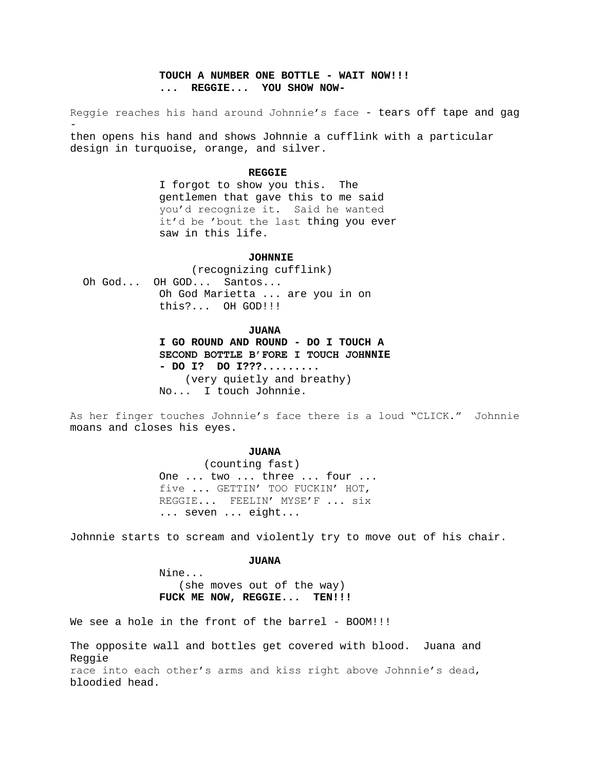# **TOUCH A NUMBER ONE BOTTLE - WAIT NOW!!! ... REGGIE... YOU SHOW NOW-**

Reggie reaches his hand around Johnnie's face - tears off tape and gag then opens his hand and shows Johnnie a cufflink with a particular

**REGGIE**

I forgot to show you this. The gentlemen that gave this to me said you'd recognize it. Said he wanted it'd be 'bout the last thing you ever saw in this life.

# **JOHNNIE**

 (recognizing cufflink) Oh God... OH GOD... Santos... Oh God Marietta ... are you in on this?... OH GOD!!!

design in turquoise, orange, and silver.

**JUANA**

**I GO ROUND AND ROUND - DO I TOUCH A SECOND BOTTLE B'FORE I TOUCH JOHNNIE - DO I? DO I???.........** (very quietly and breathy) No... I touch Johnnie.

As her finger touches Johnnie's face there is a loud "CLICK." Johnnie moans and closes his eyes.

#### **JUANA**

(counting fast) One ... two ... three ... four ... five ... GETTIN' TOO FUCKIN' HOT, REGGIE... FEELIN' MYSE'F ... six ... seven ... eight...

Johnnie starts to scream and violently try to move out of his chair.

# **JUANA**

Nine... (she moves out of the way) **FUCK ME NOW, REGGIE... TEN!!!**

We see a hole in the front of the barrel - BOOM!!!

The opposite wall and bottles get covered with blood. Juana and Reggie race into each other's arms and kiss right above Johnnie's dead, bloodied head.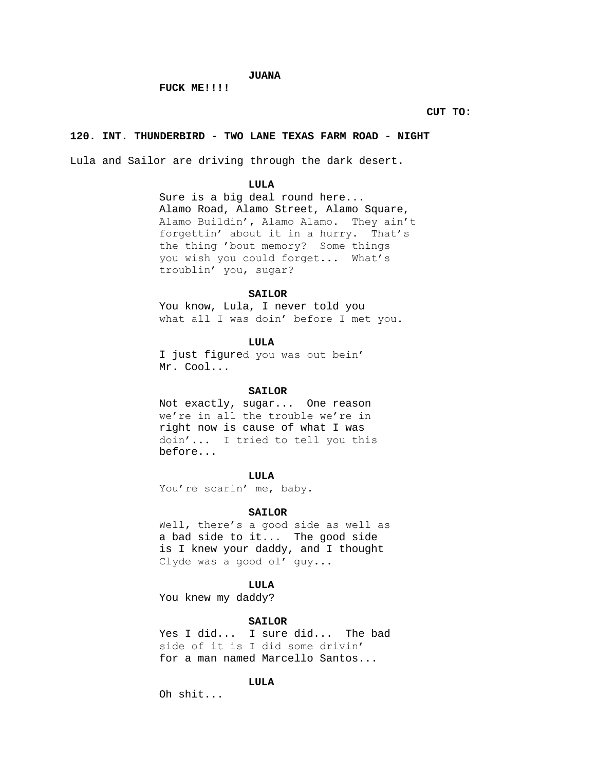# **JUANA**

# **FUCK ME!!!!**

**CUT TO:**

# **120. INT. THUNDERBIRD - TWO LANE TEXAS FARM ROAD - NIGHT**

Lula and Sailor are driving through the dark desert.

### **LULA**

Sure is a big deal round here... Alamo Road, Alamo Street, Alamo Square, Alamo Buildin', Alamo Alamo. They ain't forgettin' about it in a hurry. That's the thing 'bout memory? Some things you wish you could forget... What's troublin' you, sugar?

# **SAILOR**

You know, Lula, I never told you what all I was doin' before I met you.

# **LULA**

I just figured you was out bein' Mr. Cool...

# **SAILOR**

Not exactly, sugar... One reason we're in all the trouble we're in right now is cause of what I was doin'... I tried to tell you this before...

# **LULA**

You're scarin' me, baby.

#### **SAILOR**

Well, there's a good side as well as a bad side to it... The good side is I knew your daddy, and I thought Clyde was a good ol' guy...

# **LULA**

You knew my daddy?

# **SAILOR**

Yes I did... I sure did... The bad side of it is I did some drivin' for a man named Marcello Santos...

# **LULA**

Oh shit...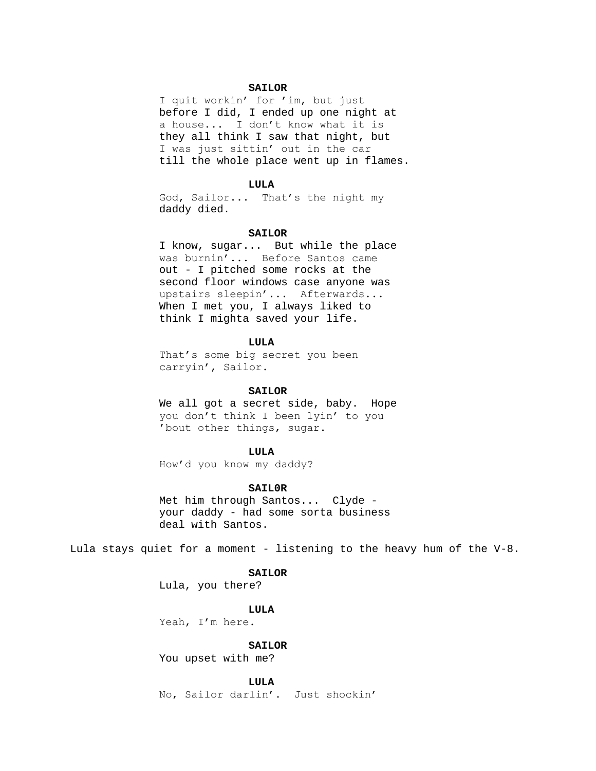### **SAILOR**

I quit workin' for 'im, but just before I did, I ended up one night at a house... I don't know what it is they all think I saw that night, but I was just sittin' out in the car till the whole place went up in flames.

### **LULA**

God, Sailor... That's the night my daddy died.

#### **SAILOR**

I know, sugar... But while the place was burnin'... Before Santos came out - I pitched some rocks at the second floor windows case anyone was upstairs sleepin'... Afterwards... When I met you, I always liked to think I mighta saved your life.

# **LULA**

That's some big secret you been carryin', Sailor.

# **SAILOR**

We all got a secret side, baby. Hope you don't think I been lyin' to you 'bout other things, sugar.

#### **LULA**

How'd you know my daddy?

# **SAIL0R**

Met him through Santos... Clyde your daddy - had some sorta business deal with Santos.

Lula stays quiet for a moment - listening to the heavy hum of the V-8.

# **SAILOR**

Lula, you there?

#### **LULA**

Yeah, I'm here.

### **SAILOR**

You upset with me?

# **LULA**

No, Sailor darlin'. Just shockin'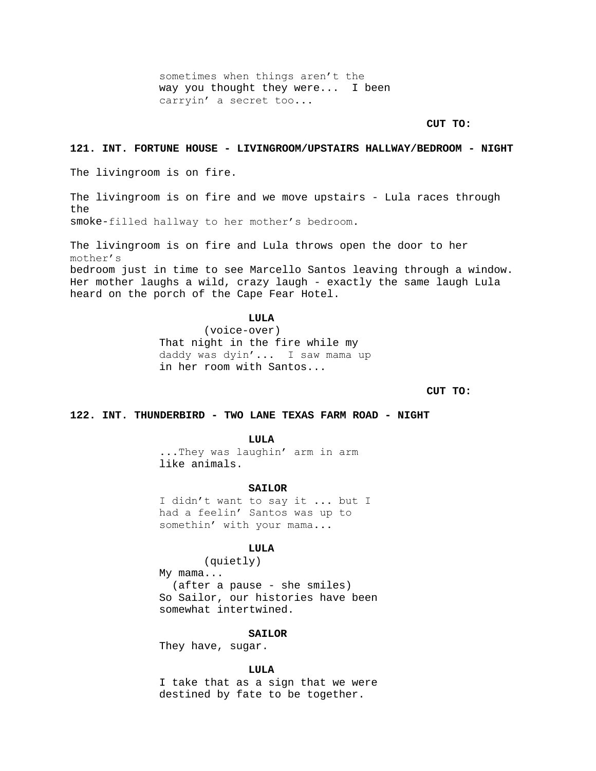sometimes when things aren't the way you thought they were... I been carryin' a secret too...

# **CUT TO:**

# **121. INT. FORTUNE HOUSE - LIVINGROOM/UPSTAIRS HALLWAY/BEDROOM - NIGHT**

The livingroom is on fire.

The livingroom is on fire and we move upstairs - Lula races through the smoke-filled hallway to her mother's bedroom.

The livingroom is on fire and Lula throws open the door to her mother's

bedroom just in time to see Marcello Santos leaving through a window. Her mother laughs a wild, crazy laugh - exactly the same laugh Lula heard on the porch of the Cape Fear Hotel.

#### **LULA**

(voice-over) That night in the fire while my daddy was dyin'... I saw mama up in her room with Santos...

**CUT TO:**

# **122. INT. THUNDERBIRD - TWO LANE TEXAS FARM ROAD - NIGHT**

**LULA**

...They was laughin' arm in arm like animals.

### **SAILOR**

I didn't want to say it ... but I had a feelin' Santos was up to somethin' with your mama...

#### **LULA**

(quietly) My mama... (after a pause - she smiles) So Sailor, our histories have been somewhat intertwined.

### **SAILOR**

They have, sugar.

#### **LULA**

I take that as a sign that we were destined by fate to be together.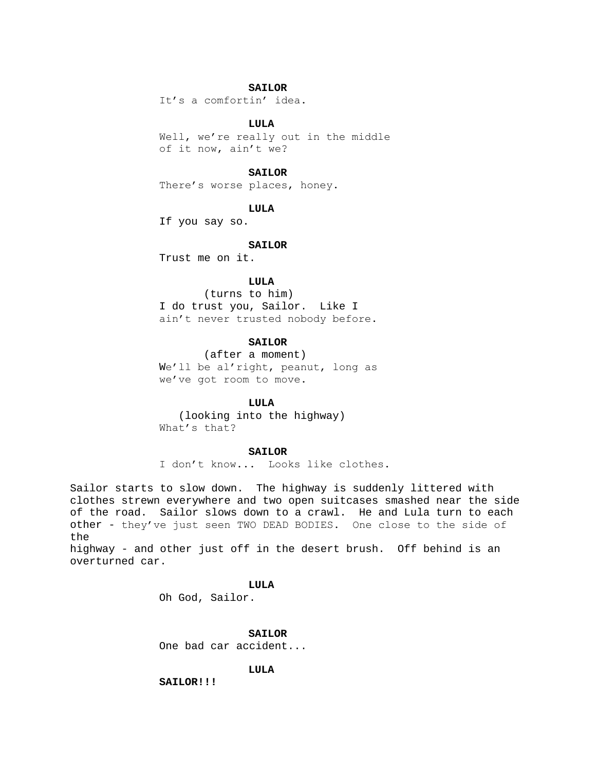# **SAILOR**

It's a comfortin' idea.

### **LULA**

Well, we're really out in the middle of it now, ain't we?

# **SAILOR**

There's worse places, honey.

# **LULA**

If you say so.

#### **SAILOR**

Trust me on it.

# **LULA**

(turns to him) I do trust you, Sailor. Like I ain't never trusted nobody before.

# **SAILOR**

(after a moment) We'll be al'right, peanut, long as we've got room to move.

### **LULA**

 (looking into the highway) What's that?

#### **SAILOR**

I don't know... Looks like clothes.

Sailor starts to slow down. The highway is suddenly littered with clothes strewn everywhere and two open suitcases smashed near the side of the road. Sailor slows down to a crawl. He and Lula turn to each other - they've just seen TWO DEAD BODIES. One close to the side of the

highway - and other just off in the desert brush. Off behind is an overturned car.

# **LULA**

Oh God, Sailor.

# **SAILOR**

One bad car accident...

### **LULA**

**SAILOR!!!**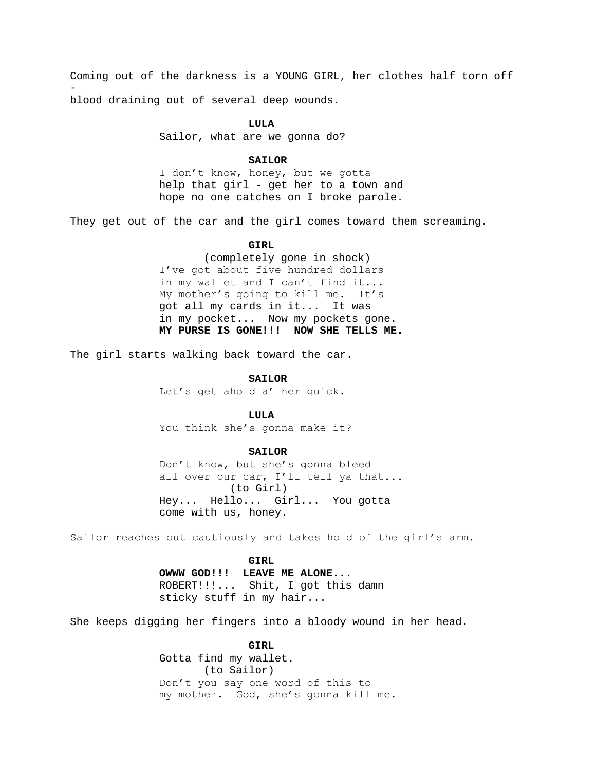Coming out of the darkness is a YOUNG GIRL, her clothes half torn off blood draining out of several deep wounds.

#### **LULA**

Sailor, what are we gonna do?

# **SAILOR**

I don't know, honey, but we gotta help that girl - get her to a town and hope no one catches on I broke parole.

They get out of the car and the girl comes toward them screaming.

# **GIRL**

(completely gone in shock) I've got about five hundred dollars in my wallet and I can't find it... My mother's going to kill me. It's got all my cards in it... It was in my pocket... Now my pockets gone. **MY PURSE IS GONE!!! NOW SHE TELLS ME.**

The girl starts walking back toward the car.

#### **SAILOR**

Let's get ahold a' her quick.

**LULA**

You think she's gonna make it?

#### **SAILOR**

Don't know, but she's gonna bleed all over our car, I'll tell ya that... (to Girl) Hey... Hello... Girl... You gotta come with us, honey.

Sailor reaches out cautiously and takes hold of the girl's arm.

**GIRL**

**OWWW GOD!!! LEAVE ME ALONE...** ROBERT!!!... Shit, I got this damn sticky stuff in my hair...

She keeps digging her fingers into a bloody wound in her head.

### **GIRL**

Gotta find my wallet. (to Sailor) Don't you say one word of this to my mother. God, she's gonna kill me.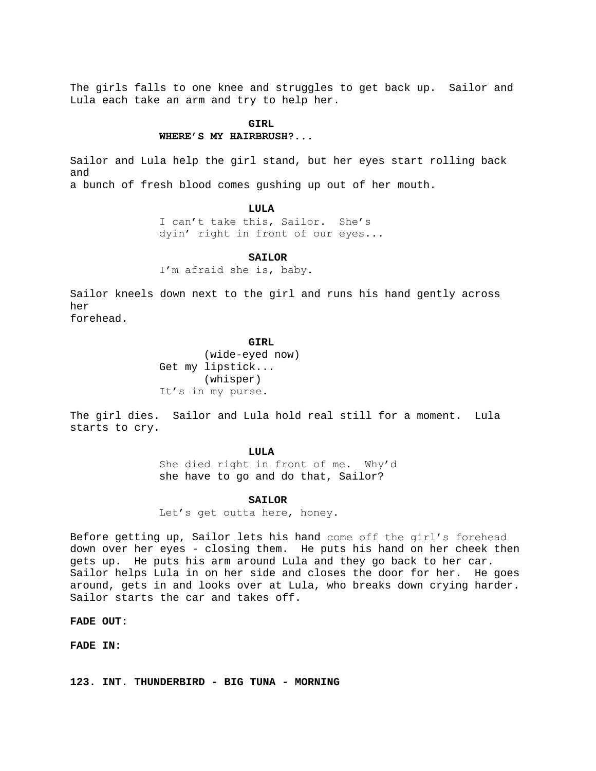The girls falls to one knee and struggles to get back up. Sailor and Lula each take an arm and try to help her.

# **GIRL**

# **WHERE'S MY HAIRBRUSH?...**

Sailor and Lula help the girl stand, but her eyes start rolling back and a bunch of fresh blood comes gushing up out of her mouth.

### **LULA**

I can't take this, Sailor. She's dyin' right in front of our eyes...

### **SAILOR**

I'm afraid she is, baby.

Sailor kneels down next to the girl and runs his hand gently across her forehead.

# **GIRL**

(wide-eyed now) Get my lipstick... (whisper) It's in my purse.

The girl dies. Sailor and Lula hold real still for a moment. Lula starts to cry.

### **LULA**

She died right in front of me. Why'd she have to go and do that, Sailor?

#### **SAILOR**

Let's get outta here, honey.

Before getting up, Sailor lets his hand come off the girl's forehead down over her eyes - closing them. He puts his hand on her cheek then gets up. He puts his arm around Lula and they go back to her car. Sailor helps Lula in on her side and closes the door for her. He goes around, gets in and looks over at Lula, who breaks down crying harder. Sailor starts the car and takes off.

**FADE OUT:**

**FADE IN:**

**123. INT. THUNDERBIRD - BIG TUNA - MORNING**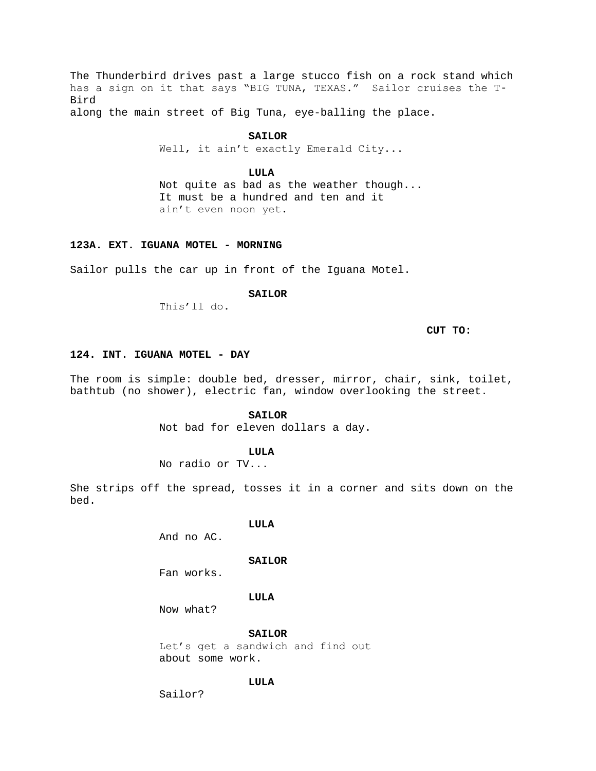The Thunderbird drives past a large stucco fish on a rock stand which has a sign on it that says "BIG TUNA, TEXAS." Sailor cruises the T-Bird

along the main street of Big Tuna, eye-balling the place.

# **SAILOR**

Well, it ain't exactly Emerald City...

# **LULA**

Not quite as bad as the weather though... It must be a hundred and ten and it ain't even noon yet.

# **123A. EXT. IGUANA MOTEL - MORNING**

Sailor pulls the car up in front of the Iguana Motel.

# **SAILOR**

This'll do.

# **CUT TO:**

# **124. INT. IGUANA MOTEL - DAY**

The room is simple: double bed, dresser, mirror, chair, sink, toilet, bathtub (no shower), electric fan, window overlooking the street.

# **SAILOR**

Not bad for eleven dollars a day.

### **LULA**

No radio or TV...

She strips off the spread, tosses it in a corner and sits down on the bed.

# **LULA**

And no AC.

# **SAILOR**

Fan works.

# **LULA**

Now what?

# **SAILOR**

Let's get a sandwich and find out about some work.

# **LULA**

Sailor?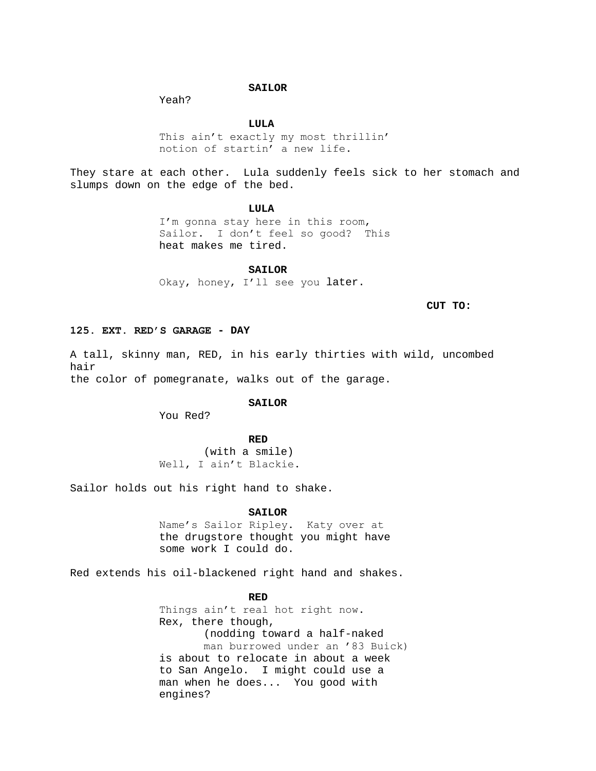# **SAILOR**

Yeah?

# **LULA**

This ain't exactly my most thrillin' notion of startin' a new life.

They stare at each other. Lula suddenly feels sick to her stomach and slumps down on the edge of the bed.

### **LULA**

I'm gonna stay here in this room, Sailor. I don't feel so good? This heat makes me tired.

#### **SAILOR**

Okay, honey, I'll see you later.

# **CUT TO:**

# **125. EXT. RED'S GARAGE - DAY**

A tall, skinny man, RED, in his early thirties with wild, uncombed hair the color of pomegranate, walks out of the garage.

#### **SAILOR**

You Red?

# **RED**

(with a smile) Well, I ain't Blackie.

Sailor holds out his right hand to shake.

#### **SAILOR**

Name's Sailor Ripley. Katy over at the drugstore thought you might have some work I could do.

Red extends his oil-blackened right hand and shakes.

**RED**

Things ain't real hot right now. Rex, there though, (nodding toward a half-naked man burrowed under an '83 Buick) is about to relocate in about a week to San Angelo. I might could use a man when he does... You good with engines?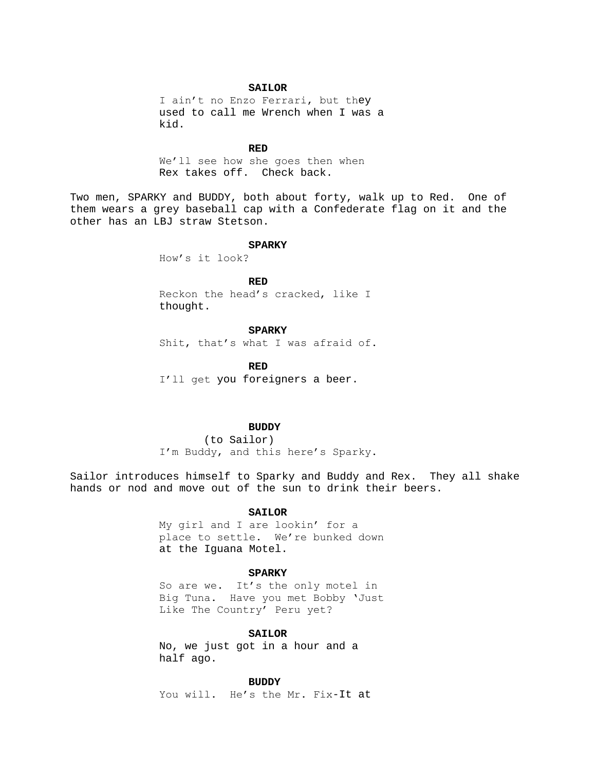### **SAILOR**

I ain't no Enzo Ferrari, but they used to call me Wrench when I was a kid.

#### **RED**

We'll see how she goes then when Rex takes off. Check back.

Two men, SPARKY and BUDDY, both about forty, walk up to Red. One of them wears a grey baseball cap with a Confederate flag on it and the other has an LBJ straw Stetson.

# **SPARKY**

How's it look?

# **RED**

Reckon the head's cracked, like I thought.

# **SPARKY**

Shit, that's what I was afraid of.

**RED** I'll get you foreigners a beer.

### **BUDDY**

(to Sailor) I'm Buddy, and this here's Sparky.

Sailor introduces himself to Sparky and Buddy and Rex. They all shake hands or nod and move out of the sun to drink their beers.

# **SAILOR**

My girl and I are lookin' for a place to settle. We're bunked down at the Iguana Motel.

# **SPARKY**

So are we. It's the only motel in Big Tuna. Have you met Bobby 'Just Like The Country' Peru yet?

### **SAILOR**

No, we just got in a hour and a half ago.

# **BUDDY**

You will. He's the Mr. Fix-It at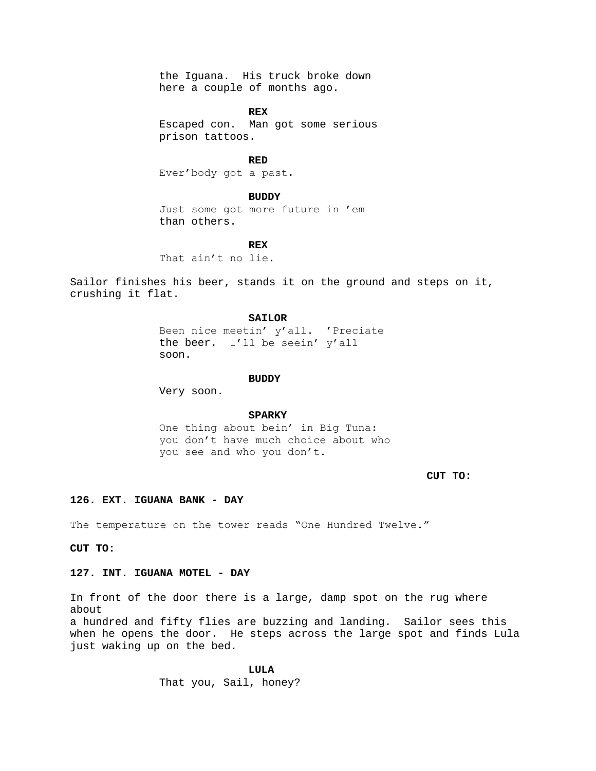the Iguana. His truck broke down here a couple of months ago.

**REX**

Escaped con. Man got some serious prison tattoos.

**RED** Ever'body got a past.

**BUDDY**

Just some got more future in 'em than others.

**REX**

That ain't no lie.

Sailor finishes his beer, stands it on the ground and steps on it, crushing it flat.

#### **SAILOR**

Been nice meetin' y'all. 'Preciate the beer. I'll be seein' y'all soon.

#### **BUDDY**

Very soon.

### **SPARKY**

One thing about bein' in Big Tuna: you don't have much choice about who you see and who you don't.

**CUT TO:**

# **126. EXT. IGUANA BANK - DAY**

The temperature on the tower reads "One Hundred Twelve."

**CUT TO:**

# **127. INT. IGUANA MOTEL - DAY**

In front of the door there is a large, damp spot on the rug where about

a hundred and fifty flies are buzzing and landing. Sailor sees this when he opens the door. He steps across the large spot and finds Lula just waking up on the bed.

> **LULA** That you, Sail, honey?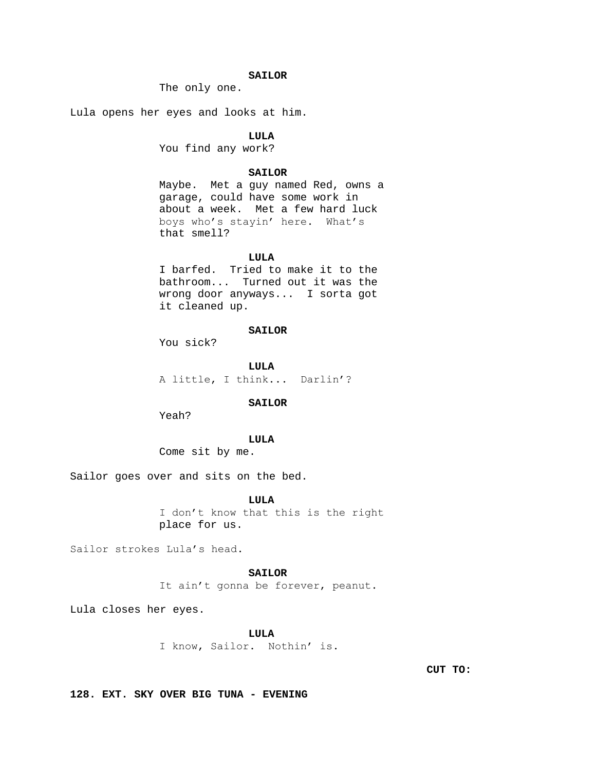# **SAILOR**

The only one.

Lula opens her eyes and looks at him.

# **LULA**

You find any work?

# **SAILOR**

Maybe. Met a guy named Red, owns a garage, could have some work in about a week. Met a few hard luck boys who's stayin' here. What's that smell?

### **LULA**

I barfed. Tried to make it to the bathroom... Turned out it was the wrong door anyways... I sorta got it cleaned up.

# **SAILOR**

You sick?

**LULA** A little, I think... Darlin'?

### **SAILOR**

Yeah?

# **LULA**

Come sit by me.

Sailor goes over and sits on the bed.

### **LULA**

I don't know that this is the right place for us.

Sailor strokes Lula's head.

# **SAILOR**

It ain't gonna be forever, peanut.

Lula closes her eyes.

# **LULA**

I know, Sailor. Nothin' is.

**CUT TO:**

**128. EXT. SKY OVER BIG TUNA - EVENING**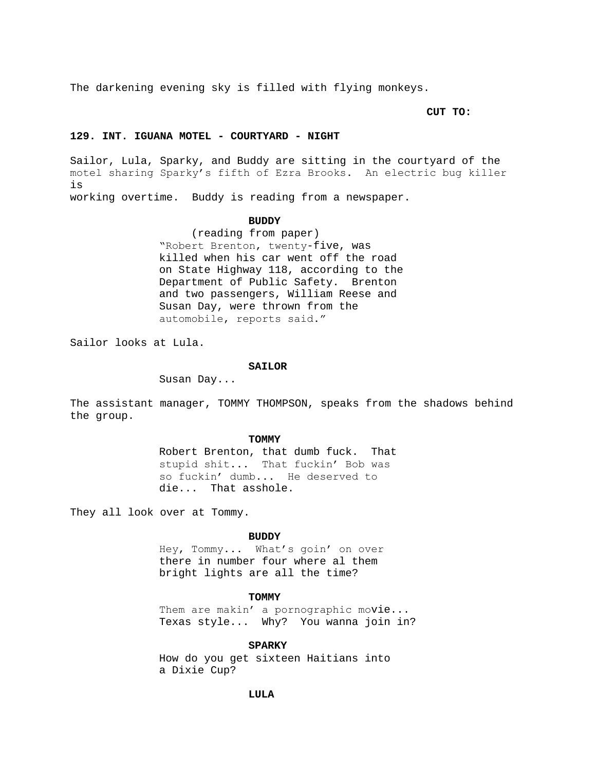The darkening evening sky is filled with flying monkeys.

**CUT TO:**

### **129. INT. IGUANA MOTEL - COURTYARD - NIGHT**

Sailor, Lula, Sparky, and Buddy are sitting in the courtyard of the motel sharing Sparky's fifth of Ezra Brooks. An electric bug killer is

working overtime. Buddy is reading from a newspaper.

#### **BUDDY**

 (reading from paper) "Robert Brenton, twenty-five, was killed when his car went off the road on State Highway 118, according to the Department of Public Safety. Brenton and two passengers, William Reese and Susan Day, were thrown from the automobile, reports said."

Sailor looks at Lula.

#### **SAILOR**

Susan Day...

The assistant manager, TOMMY THOMPSON, speaks from the shadows behind the group.

#### **TOMMY**

Robert Brenton, that dumb fuck. That stupid shit... That fuckin' Bob was so fuckin' dumb... He deserved to die... That asshole.

They all look over at Tommy.

#### **BUDDY**

Hey, Tommy... What's goin' on over there in number four where al them bright lights are all the time?

### **TOMMY**

Them are makin' a pornographic movie... Texas style... Why? You wanna join in?

# **SPARKY**

How do you get sixteen Haitians into a Dixie Cup?

# **LULA**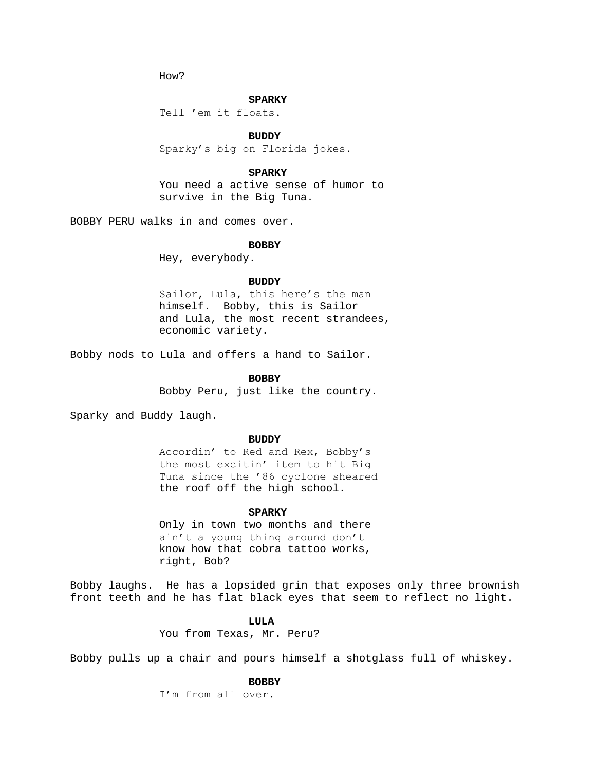How?

### **SPARKY**

Tell 'em it floats.

# **BUDDY**

Sparky's big on Florida jokes.

# **SPARKY**

You need a active sense of humor to survive in the Big Tuna.

BOBBY PERU walks in and comes over.

#### **BOBBY**

Hey, everybody.

#### **BUDDY**

Sailor, Lula, this here's the man himself. Bobby, this is Sailor and Lula, the most recent strandees, economic variety.

Bobby nods to Lula and offers a hand to Sailor.

# **BOBBY**

Bobby Peru, just like the country.

Sparky and Buddy laugh.

#### **BUDDY**

Accordin' to Red and Rex, Bobby's the most excitin' item to hit Big Tuna since the '86 cyclone sheared the roof off the high school.

### **SPARKY**

Only in town two months and there ain't a young thing around don't know how that cobra tattoo works, right, Bob?

Bobby laughs. He has a lopsided grin that exposes only three brownish front teeth and he has flat black eyes that seem to reflect no light.

# **LULA**

You from Texas, Mr. Peru?

Bobby pulls up a chair and pours himself a shotglass full of whiskey.

# **BOBBY**

I'm from all over.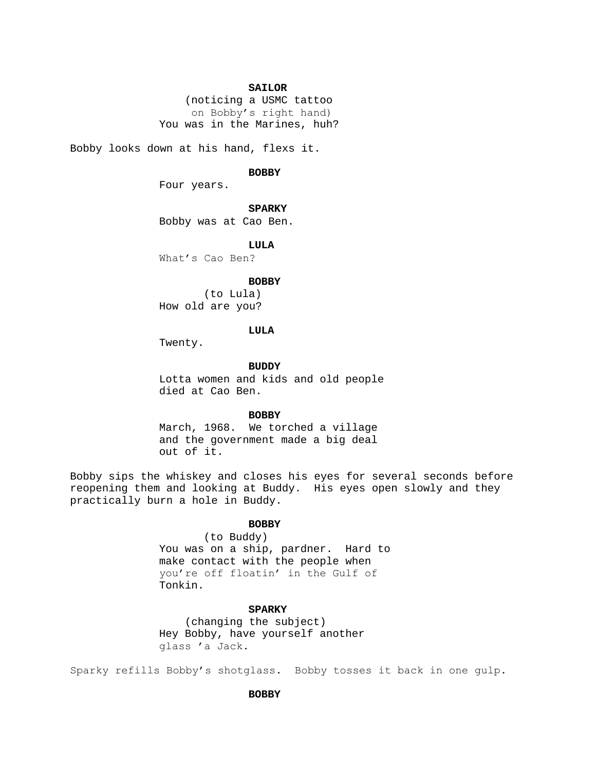## **SAILOR**

 (noticing a USMC tattoo on Bobby's right hand) You was in the Marines, huh?

Bobby looks down at his hand, flexs it.

### **BOBBY**

Four years.

## **SPARKY**

Bobby was at Cao Ben.

#### **LULA**

What's Cao Ben?

#### **BOBBY**

(to Lula) How old are you?

### **LULA**

Twenty.

**BUDDY**

Lotta women and kids and old people died at Cao Ben.

### **BOBBY**

March, 1968. We torched a village and the government made a big deal out of it.

Bobby sips the whiskey and closes his eyes for several seconds before reopening them and looking at Buddy. His eyes open slowly and they practically burn a hole in Buddy.

# **BOBBY**

(to Buddy)

You was on a ship, pardner. Hard to make contact with the people when you're off floatin' in the Gulf of Tonkin.

# **SPARKY**

 (changing the subject) Hey Bobby, have yourself another glass 'a Jack.

Sparky refills Bobby's shotglass. Bobby tosses it back in one gulp.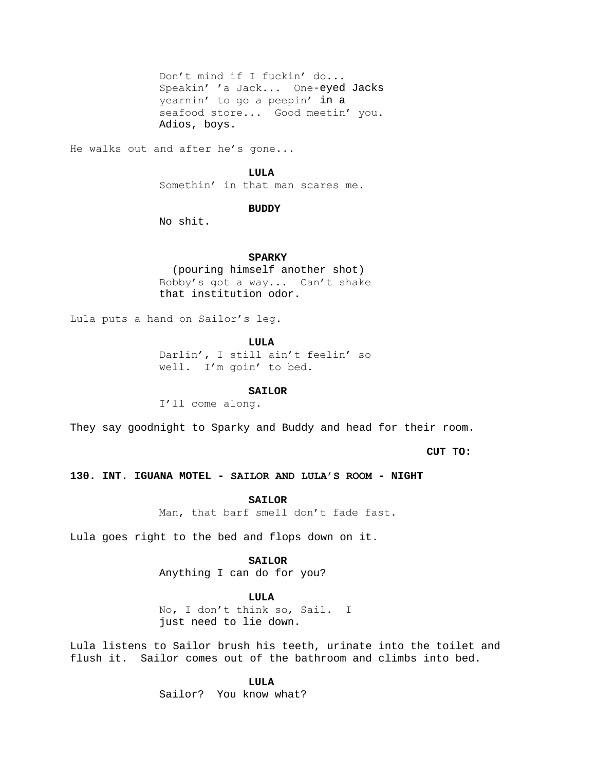Don't mind if I fuckin' do... Speakin' 'a Jack... One-eyed Jacks yearnin' to go a peepin' in a seafood store... Good meetin' you. Adios, boys.

He walks out and after he's gone...

### **LULA**

Somethin' in that man scares me.

# **BUDDY**

No shit.

### **SPARKY**

 (pouring himself another shot) Bobby's got a way... Can't shake that institution odor.

Lula puts a hand on Sailor's leg.

**LULA**

Darlin', I still ain't feelin' so well. I'm goin' to bed.

# **SAILOR**

I'll come along.

They say goodnight to Sparky and Buddy and head for their room.

**CUT TO:**

**130. INT. IGUANA MOTEL - SAILOR AND LULA'S ROOM - NIGHT**

**SAILOR**

Man, that barf smell don't fade fast.

Lula goes right to the bed and flops down on it.

# **SAILOR**

Anything I can do for you?

## **LULA**

No, I don't think so, Sail. I just need to lie down.

Lula listens to Sailor brush his teeth, urinate into the toilet and flush it. Sailor comes out of the bathroom and climbs into bed.

**LULA**

Sailor? You know what?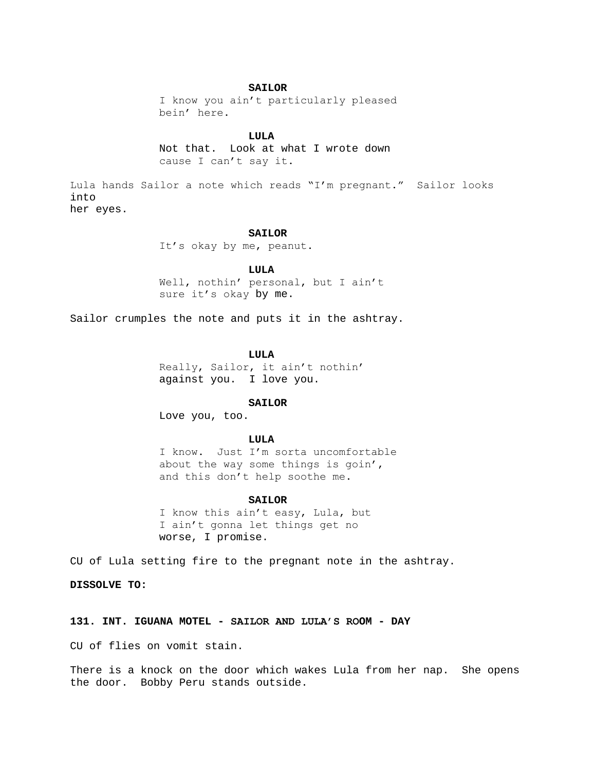## **SAILOR**

I know you ain't particularly pleased bein' here.

## **LULA**

Not that. Look at what I wrote down cause I can't say it.

Lula hands Sailor a note which reads "I'm pregnant." Sailor looks into her eyes.

### **SAILOR**

It's okay by me, peanut.

### **LULA**

Well, nothin' personal, but I ain't sure it's okay by me.

Sailor crumples the note and puts it in the ashtray.

## **LULA**

Really, Sailor, it ain't nothin' against you. I love you.

#### **SAILOR**

Love you, too.

# **LULA**

I know. Just I'm sorta uncomfortable about the way some things is goin', and this don't help soothe me.

#### **SAILOR**

I know this ain't easy, Lula, but I ain't gonna let things get no worse, I promise.

CU of Lula setting fire to the pregnant note in the ashtray.

**DISSOLVE TO:**

## **131. INT. IGUANA MOTEL - SAILOR AND LULA'S ROOM - DAY**

CU of flies on vomit stain.

There is a knock on the door which wakes Lula from her nap. She opens the door. Bobby Peru stands outside.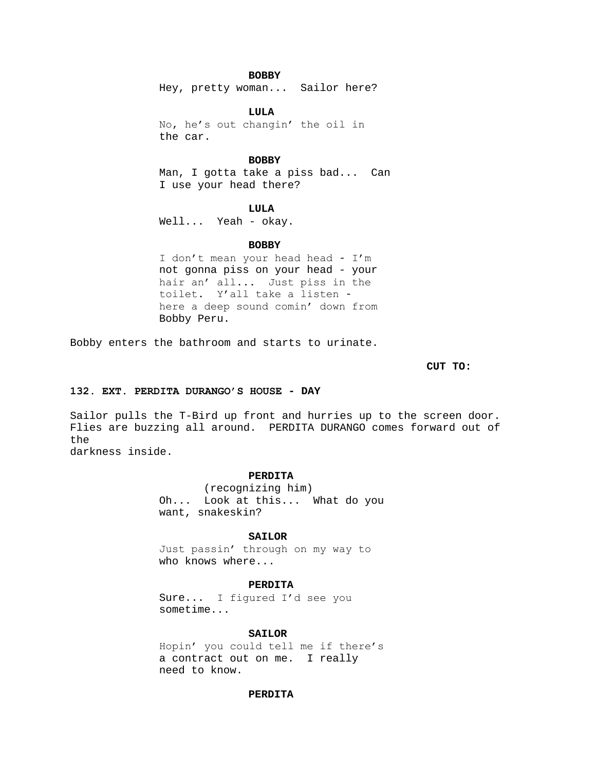# **BOBBY**

Hey, pretty woman... Sailor here?

**LULA** No, he's out changin' the oil in the car.

## **BOBBY**

Man, I gotta take a piss bad... Can I use your head there?

## **LULA**

Well... Yeah - okay.

### **BOBBY**

I don't mean your head head - I'm not gonna piss on your head - your hair an' all... Just piss in the toilet. Y'all take a listen here a deep sound comin' down from Bobby Peru.

Bobby enters the bathroom and starts to urinate.

**CUT TO:**

# **132. EXT. PERDITA DURANGO'S HOUSE - DAY**

Sailor pulls the T-Bird up front and hurries up to the screen door. Flies are buzzing all around. PERDITA DURANGO comes forward out of the

darkness inside.

## **PERDITA**

(recognizing him) Oh... Look at this... What do you want, snakeskin?

### **SAILOR**

Just passin' through on my way to who knows where...

# **PERDITA**

Sure... I figured I'd see you sometime...

### **SAILOR**

Hopin' you could tell me if there's a contract out on me. I really need to know.

## **PERDITA**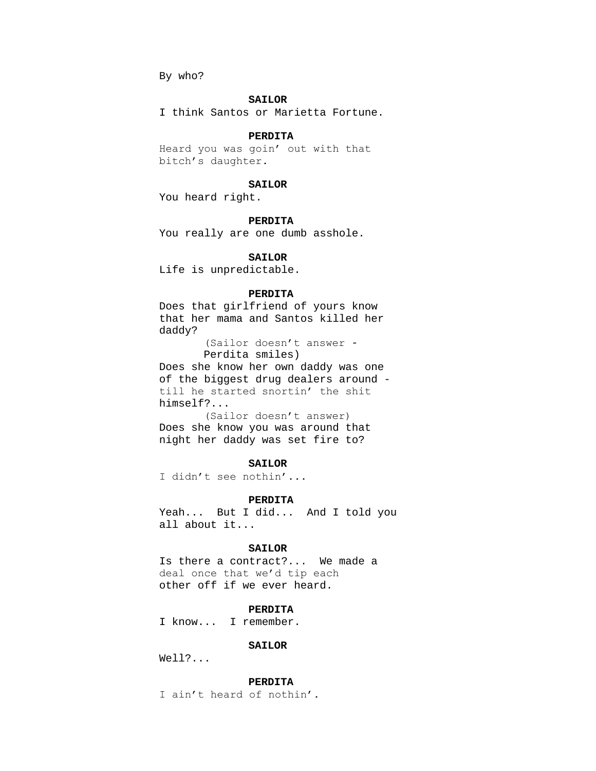By who?

### **SAILOR**

I think Santos or Marietta Fortune.

# **PERDITA**

Heard you was goin' out with that bitch's daughter.

### **SAILOR**

You heard right.

# **PERDITA**

You really are one dumb asshole.

## **SAILOR**

Life is unpredictable.

## **PERDITA**

Does that girlfriend of yours know that her mama and Santos killed her daddy?

(Sailor doesn't answer -

Perdita smiles)

Does she know her own daddy was one of the biggest drug dealers around till he started snortin' the shit himself?...

(Sailor doesn't answer) Does she know you was around that night her daddy was set fire to?

# **SAILOR**

I didn't see nothin'...

#### **PERDITA**

Yeah... But I did... And I told you all about it...

## **SAILOR**

Is there a contract?... We made a deal once that we'd tip each other off if we ever heard.

## **PERDITA**

I know... I remember.

## **SAILOR**

Well?...

### **PERDITA**

I ain't heard of nothin'.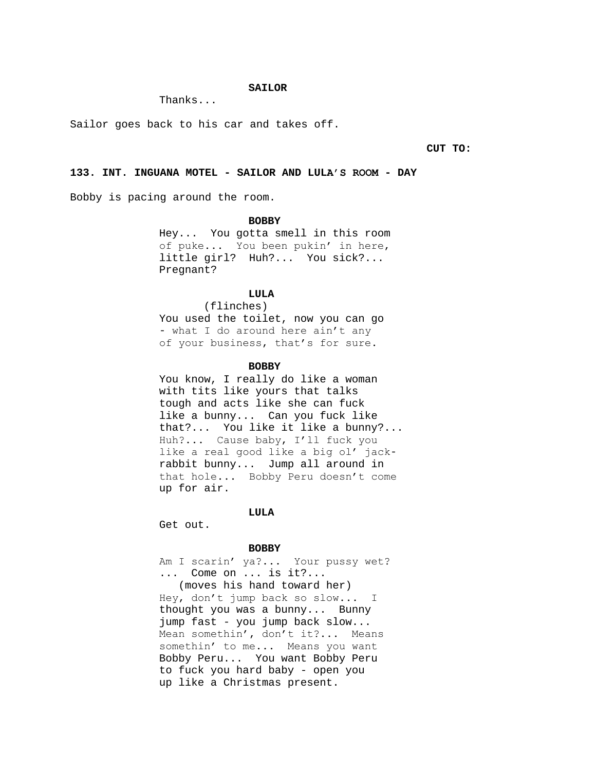## **SAILOR**

Thanks...

Sailor goes back to his car and takes off.

**CUT TO:**

# **133. INT. INGUANA MOTEL - SAILOR AND LULA'S ROOM - DAY**

Bobby is pacing around the room.

#### **BOBBY**

Hey... You gotta smell in this room of puke... You been pukin' in here, little girl? Huh?... You sick?... Pregnant?

# **LULA**

(flinches) You used the toilet, now you can go - what I do around here ain't any of your business, that's for sure.

### **BOBBY**

You know, I really do like a woman with tits like yours that talks tough and acts like she can fuck like a bunny... Can you fuck like that?... You like it like a bunny?... Huh?... Cause baby, I'll fuck you like a real good like a big ol' jackrabbit bunny... Jump all around in that hole... Bobby Peru doesn't come up for air.

### **LULA**

Get out.

#### **BOBBY**

Am I scarin' ya?... Your pussy wet? ... Come on ... is it?... (moves his hand toward her) Hey, don't jump back so slow... I thought you was a bunny... Bunny jump fast - you jump back slow... Mean somethin', don't it?... Means somethin' to me... Means you want Bobby Peru... You want Bobby Peru to fuck you hard baby - open you up like a Christmas present.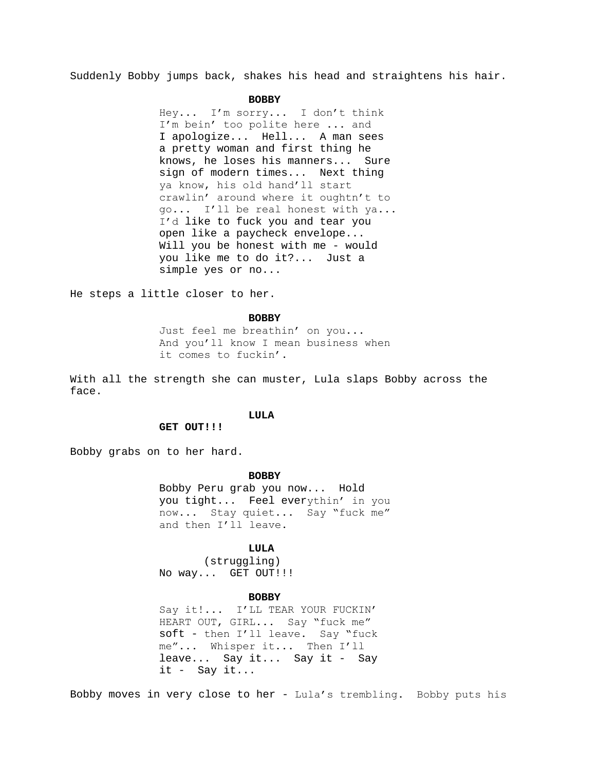Suddenly Bobby jumps back, shakes his head and straightens his hair.

#### **BOBBY**

Hey... I'm sorry... I don't think I'm bein' too polite here ... and I apologize... Hell... A man sees a pretty woman and first thing he knows, he loses his manners... Sure sign of modern times... Next thing ya know, his old hand'll start crawlin' around where it oughtn't to go... I'll be real honest with ya... I'd like to fuck you and tear you open like a paycheck envelope... Will you be honest with me - would you like me to do it?... Just a simple yes or no...

He steps a little closer to her.

### **BOBBY**

Just feel me breathin' on you... And you'll know I mean business when it comes to fuckin'.

With all the strength she can muster, Lula slaps Bobby across the face.

### **LULA**

## **GET OUT!!!**

Bobby grabs on to her hard.

### **BOBBY**

Bobby Peru grab you now... Hold you tight... Feel everythin' in you now... Stay quiet... Say "fuck me" and then I'll leave.

## **LULA**

(struggling) No way... GET OUT!!!

#### **BOBBY**

Say it!... I'LL TEAR YOUR FUCKIN' HEART OUT, GIRL... Say "fuck me" soft - then I'll leave. Say "fuck me"... Whisper it... Then I'll leave... Say it... Say it - Say it - Say it...

Bobby moves in very close to her - Lula's trembling. Bobby puts his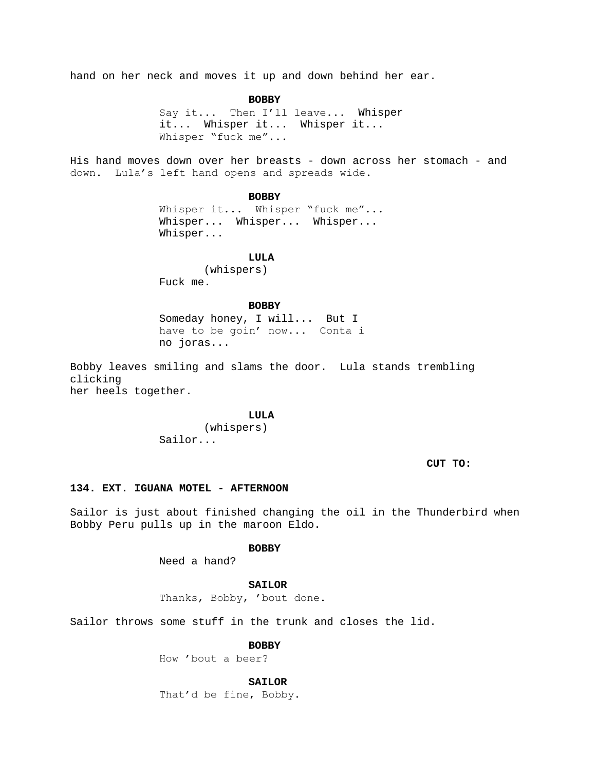hand on her neck and moves it up and down behind her ear.

**BOBBY** Say it... Then I'll leave... Whisper it... Whisper it... Whisper it... Whisper "fuck me"...

His hand moves down over her breasts - down across her stomach - and down. Lula's left hand opens and spreads wide.

**BOBBY**

Whisper it... Whisper "fuck me"... Whisper... Whisper... Whisper... Whisper...

# **LULA**

(whispers) Fuck me.

### **BOBBY**

Someday honey, I will... But I have to be goin' now... Conta i no joras...

Bobby leaves smiling and slams the door. Lula stands trembling clicking her heels together.

**LULA**

(whispers) Sailor...

**CUT TO:**

## **134. EXT. IGUANA MOTEL - AFTERNOON**

Sailor is just about finished changing the oil in the Thunderbird when Bobby Peru pulls up in the maroon Eldo.

**BOBBY**

Need a hand?

## **SAILOR**

Thanks, Bobby, 'bout done.

Sailor throws some stuff in the trunk and closes the lid.

**BOBBY**

How 'bout a beer?

**SAILOR**

That'd be fine, Bobby.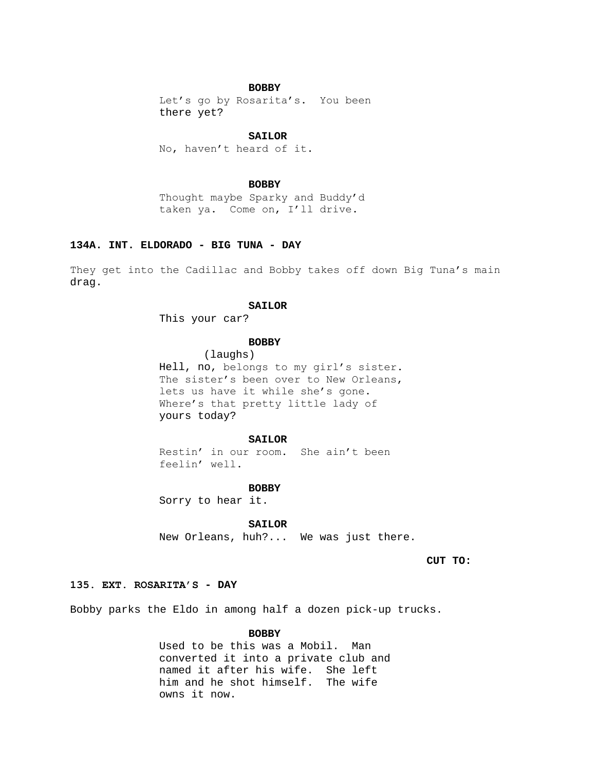## **BOBBY**

Let's go by Rosarita's. You been there yet?

# **SAILOR**

No, haven't heard of it.

### **BOBBY**

Thought maybe Sparky and Buddy'd taken ya. Come on, I'll drive.

# **134A. INT. ELDORADO - BIG TUNA - DAY**

They get into the Cadillac and Bobby takes off down Big Tuna's main drag.

### **SAILOR**

This your car?

# **BOBBY**

(laughs) Hell, no, belongs to my girl's sister. The sister's been over to New Orleans, lets us have it while she's gone. Where's that pretty little lady of yours today?

### **SAILOR**

Restin' in our room. She ain't been feelin' well.

#### **BOBBY**

Sorry to hear it.

### **SAILOR**

New Orleans, huh?... We was just there.

**CUT TO:**

# **135. EXT. ROSARITA'S - DAY**

Bobby parks the Eldo in among half a dozen pick-up trucks.

# **BOBBY**

Used to be this was a Mobil. Man converted it into a private club and named it after his wife. She left him and he shot himself. The wife owns it now.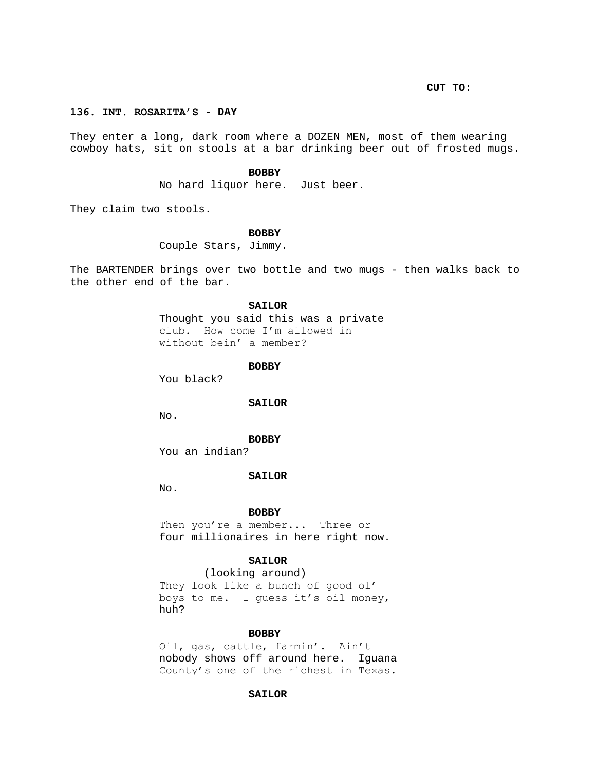**CUT TO:**

# **136. INT. ROSARITA'S - DAY**

They enter a long, dark room where a DOZEN MEN, most of them wearing cowboy hats, sit on stools at a bar drinking beer out of frosted mugs.

### **BOBBY**

No hard liquor here. Just beer.

They claim two stools.

## **BOBBY**

Couple Stars, Jimmy.

The BARTENDER brings over two bottle and two mugs - then walks back to the other end of the bar.

#### **SAILOR**

Thought you said this was a private club. How come I'm allowed in without bein' a member?

#### **BOBBY**

You black?

#### **SAILOR**

No.

#### **BOBBY**

You an indian?

#### **SAILOR**

No.

#### **BOBBY**

Then you're a member... Three or four millionaires in here right now.

## **SAILOR**

(looking around) They look like a bunch of good ol' boys to me. I guess it's oil money, huh?

## **BOBBY**

Oil, gas, cattle, farmin'. Ain't nobody shows off around here. Iguana County's one of the richest in Texas.

## **SAILOR**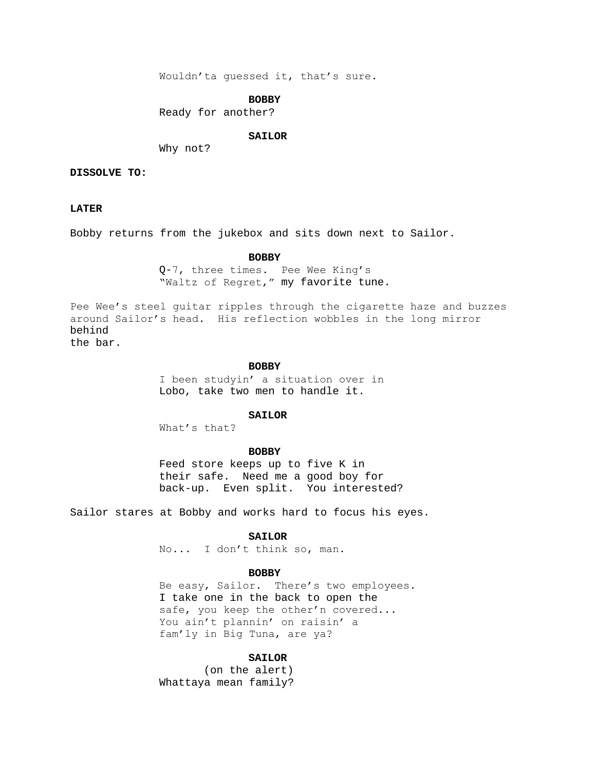Wouldn'ta guessed it, that's sure.

### **BOBBY**

Ready for another?

### **SAILOR**

Why not?

# **DISSOLVE TO:**

# **LATER**

Bobby returns from the jukebox and sits down next to Sailor.

### **BOBBY**

Q-7, three times. Pee Wee King's "Waltz of Regret," my favorite tune.

Pee Wee's steel guitar ripples through the cigarette haze and buzzes around Sailor's head. His reflection wobbles in the long mirror behind the bar.

**BOBBY**

I been studyin' a situation over in Lobo, take two men to handle it.

# **SAILOR**

What's that?

### **BOBBY**

Feed store keeps up to five K in their safe. Need me a good boy for back-up. Even split. You interested?

Sailor stares at Bobby and works hard to focus his eyes.

### **SAILOR**

No... I don't think so, man.

#### **BOBBY**

Be easy, Sailor. There's two employees. I take one in the back to open the safe, you keep the other'n covered... You ain't plannin' on raisin' a fam'ly in Big Tuna, are ya?

### **SAILOR**

(on the alert) Whattaya mean family?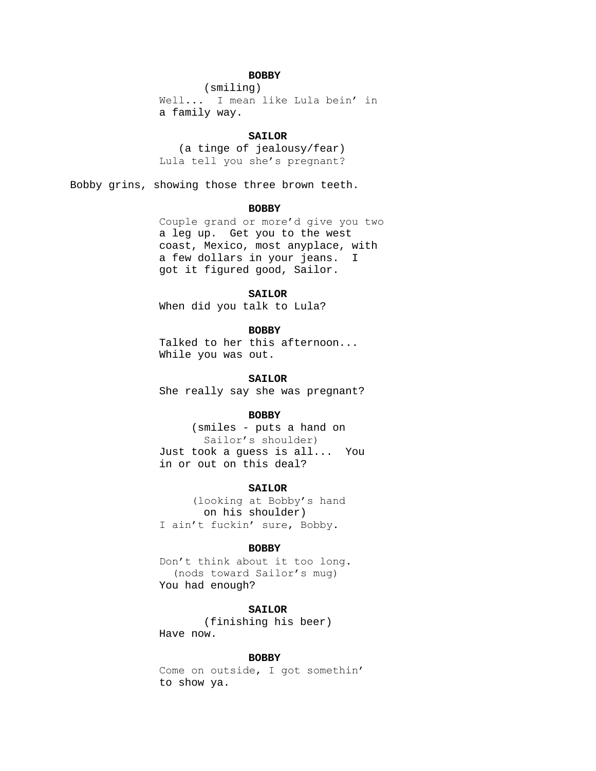# **BOBBY**

(smiling) Well... I mean like Lula bein' in a family way.

### **SAILOR**

 (a tinge of jealousy/fear) Lula tell you she's pregnant?

Bobby grins, showing those three brown teeth.

## **BOBBY**

Couple grand or more'd give you two a leg up. Get you to the west coast, Mexico, most anyplace, with a few dollars in your jeans. I got it figured good, Sailor.

# **SAILOR**

When did you talk to Lula?

# **BOBBY**

Talked to her this afternoon... While you was out.

## **SAILOR**

She really say she was pregnant?

# **BOBBY**

 (smiles - puts a hand on Sailor's shoulder) Just took a guess is all... You in or out on this deal?

### **SAILOR**

 (looking at Bobby's hand on his shoulder) I ain't fuckin' sure, Bobby.

#### **BOBBY**

Don't think about it too long. (nods toward Sailor's mug) You had enough?

### **SAILOR**

(finishing his beer) Have now.

### **BOBBY**

Come on outside, I got somethin' to show ya.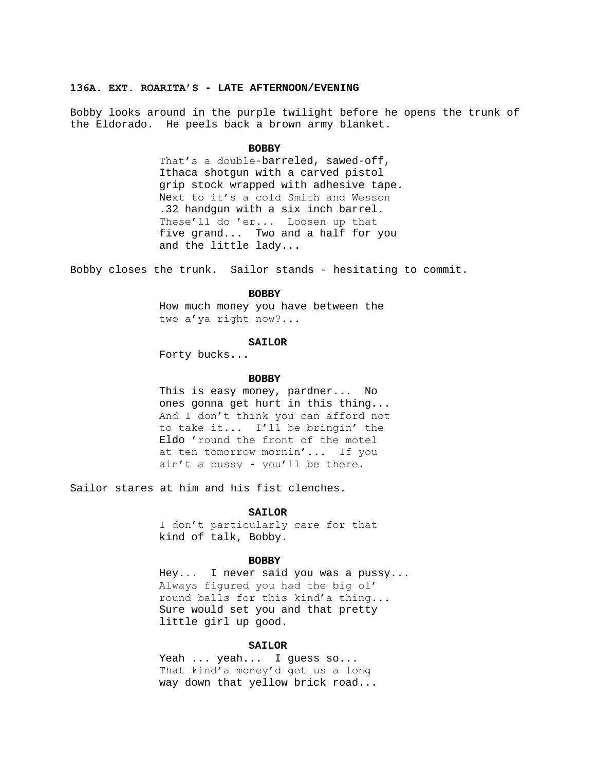### **136A. EXT. ROARITA'S - LATE AFTERNOON/EVENING**

Bobby looks around in the purple twilight before he opens the trunk of the Eldorado. He peels back a brown army blanket.

#### **BOBBY**

That's a double-barreled, sawed-off, Ithaca shotgun with a carved pistol grip stock wrapped with adhesive tape. Next to it's a cold Smith and Wesson .32 handgun with a six inch barrel. These'll do 'er... Loosen up that five grand... Two and a half for you and the little lady...

Bobby closes the trunk. Sailor stands - hesitating to commit.

## **BOBBY**

How much money you have between the two a'ya right now?...

#### **SAILOR**

Forty bucks...

### **BOBBY**

This is easy money, pardner... No ones gonna get hurt in this thing... And I don't think you can afford not to take it... I'll be bringin' the Eldo 'round the front of the motel at ten tomorrow mornin'... If you ain't a pussy - you'll be there.

Sailor stares at him and his fist clenches.

### **SAILOR**

I don't particularly care for that kind of talk, Bobby.

### **BOBBY**

Hey... I never said you was a pussy... Always figured you had the big ol' round balls for this kind'a thing... Sure would set you and that pretty little girl up good.

## **SAILOR**

Yeah ... yeah ... I guess so... That kind'a money'd get us a long way down that yellow brick road...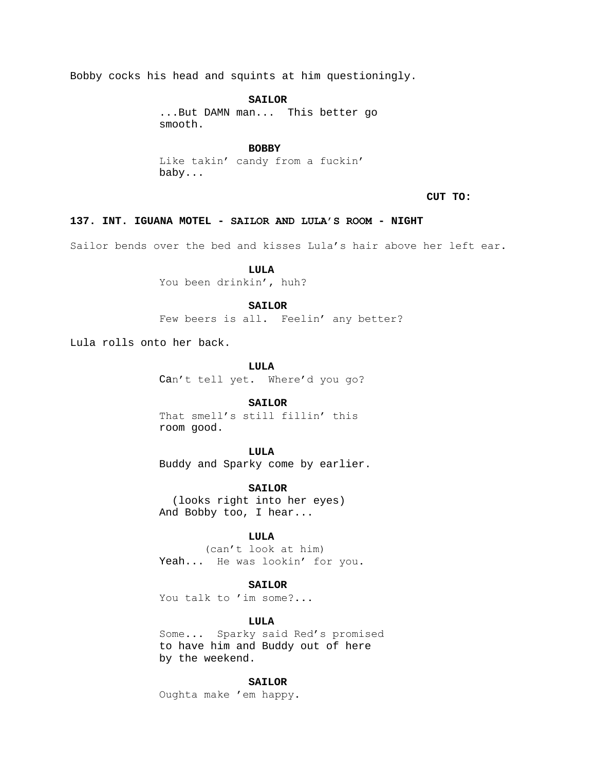Bobby cocks his head and squints at him questioningly.

**SAILOR** ...But DAMN man... This better go smooth.

**BOBBY**

Like takin' candy from a fuckin' baby...

**CUT TO:**

**137. INT. IGUANA MOTEL - SAILOR AND LULA'S ROOM - NIGHT**

Sailor bends over the bed and kisses Lula's hair above her left ear.

**LULA** You been drinkin', huh?

# **SAILOR**

Few beers is all. Feelin' any better?

Lula rolls onto her back.

**LULA** Can't tell yet. Where'd you go?

**SAILOR**

That smell's still fillin' this room good.

**LULA** Buddy and Sparky come by earlier.

**SAILOR** (looks right into her eyes) And Bobby too, I hear...

# **LULA**

(can't look at him) Yeah... He was lookin' for you.

# **SAILOR**

You talk to 'im some?...

# **LULA**

Some... Sparky said Red's promised to have him and Buddy out of here by the weekend.

# **SAILOR**

Oughta make 'em happy.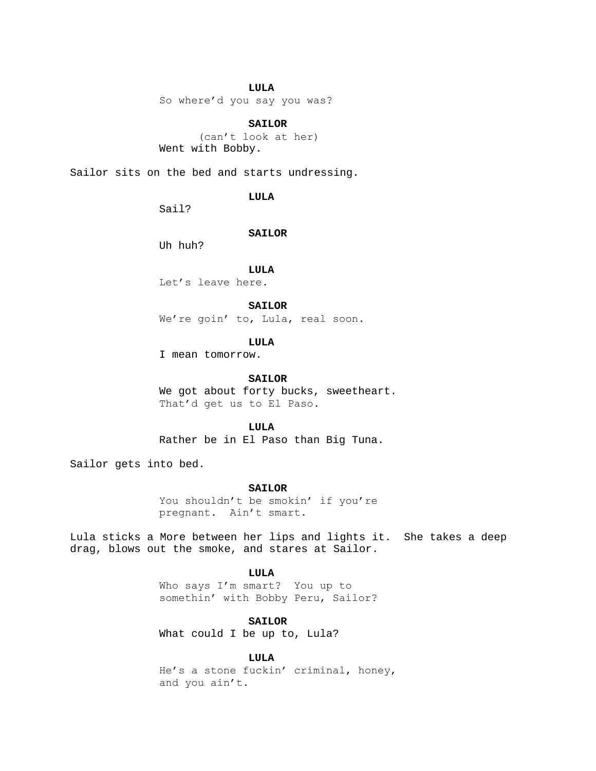# **LULA**

So where'd you say you was?

## **SAILOR**

 (can't look at her) Went with Bobby.

Sailor sits on the bed and starts undressing.

## **LULA**

Sail?

### **SAILOR**

Uh huh?

**LULA**

Let's leave here.

## **SAILOR**

We're goin' to, Lula, real soon.

# **LULA**

I mean tomorrow.

### SATLOR

We got about forty bucks, sweetheart. That'd get us to El Paso.

## **LULA**

Rather be in El Paso than Big Tuna.

Sailor gets into bed.

## **SAILOR**

You shouldn't be smokin' if you're pregnant. Ain't smart.

Lula sticks a More between her lips and lights it. She takes a deep drag, blows out the smoke, and stares at Sailor.

## **LULA**

Who says I'm smart? You up to somethin' with Bobby Peru, Sailor?

# **SAILOR**

What could I be up to, Lula?

### **LULA**

He's a stone fuckin' criminal, honey, and you ain't.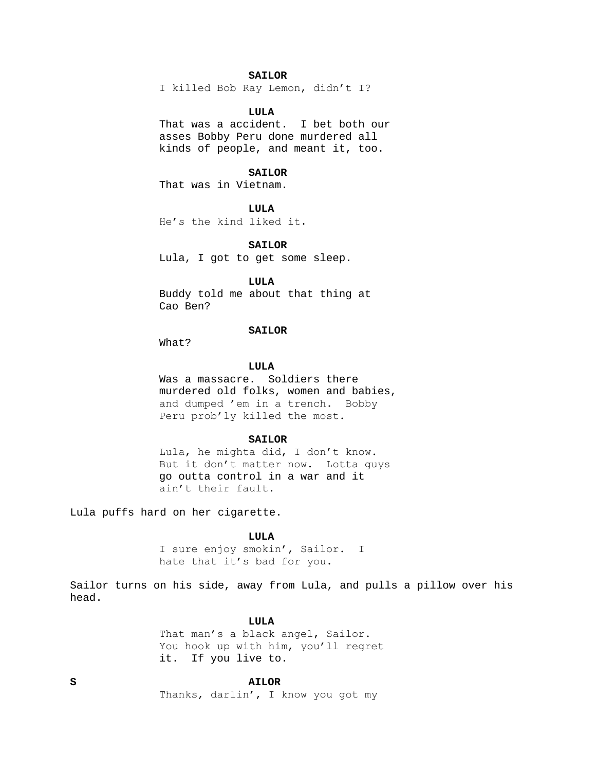# **SAILOR**

I killed Bob Ray Lemon, didn't I?

# **LULA**

That was a accident. I bet both our asses Bobby Peru done murdered all kinds of people, and meant it, too.

## **SAILOR**

That was in Vietnam.

### **LULA**

He's the kind liked it.

### **SAILOR**

Lula, I got to get some sleep.

## **LULA**

Buddy told me about that thing at Cao Ben?

# **SAILOR**

What?

# **LULA**

Was a massacre. Soldiers there murdered old folks, women and babies, and dumped 'em in a trench. Bobby Peru prob'ly killed the most.

### **SAILOR**

Lula, he mighta did, I don't know. But it don't matter now. Lotta guys go outta control in a war and it ain't their fault.

Lula puffs hard on her cigarette.

### **LULA**

I sure enjoy smokin', Sailor. I hate that it's bad for you.

Sailor turns on his side, away from Lula, and pulls a pillow over his head.

## **LULA**

That man's a black angel, Sailor. You hook up with him, you'll regret it. If you live to.

# **S AILOR**

Thanks, darlin', I know you got my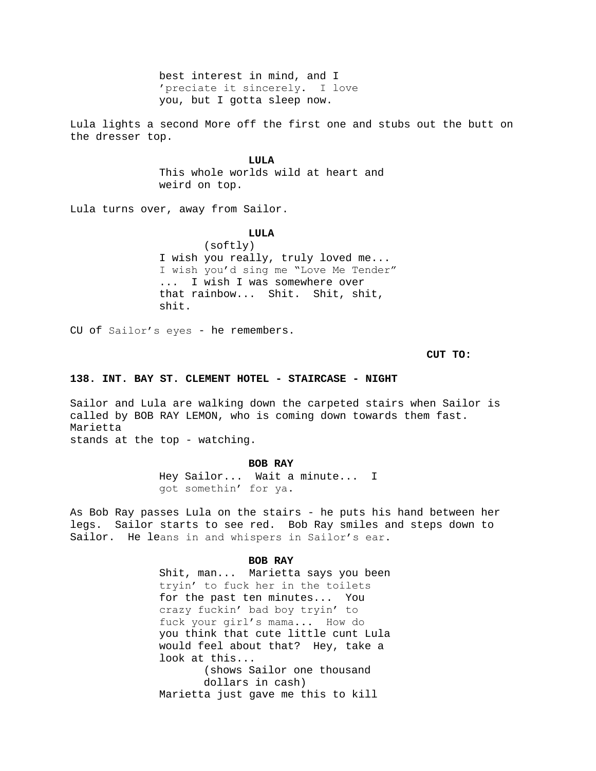best interest in mind, and I 'preciate it sincerely. I love you, but I gotta sleep now.

Lula lights a second More off the first one and stubs out the butt on the dresser top.

**LULA**

This whole worlds wild at heart and weird on top.

Lula turns over, away from Sailor.

### **LULA**

(softly) I wish you really, truly loved me... I wish you'd sing me "Love Me Tender" ... I wish I was somewhere over that rainbow... Shit. Shit, shit, shit.

CU of Sailor's eyes - he remembers.

**CUT TO:**

# **138. INT. BAY ST. CLEMENT HOTEL - STAIRCASE - NIGHT**

Sailor and Lula are walking down the carpeted stairs when Sailor is called by BOB RAY LEMON, who is coming down towards them fast. Marietta stands at the top - watching.

#### **BOB RAY**

Hey Sailor... Wait a minute... I got somethin' for ya.

As Bob Ray passes Lula on the stairs - he puts his hand between her legs. Sailor starts to see red. Bob Ray smiles and steps down to Sailor. He leans in and whispers in Sailor's ear.

# **BOB RAY**

Shit, man... Marietta says you been tryin' to fuck her in the toilets for the past ten minutes... You crazy fuckin' bad boy tryin' to fuck your girl's mama... How do you think that cute little cunt Lula would feel about that? Hey, take a look at this... (shows Sailor one thousand dollars in cash) Marietta just gave me this to kill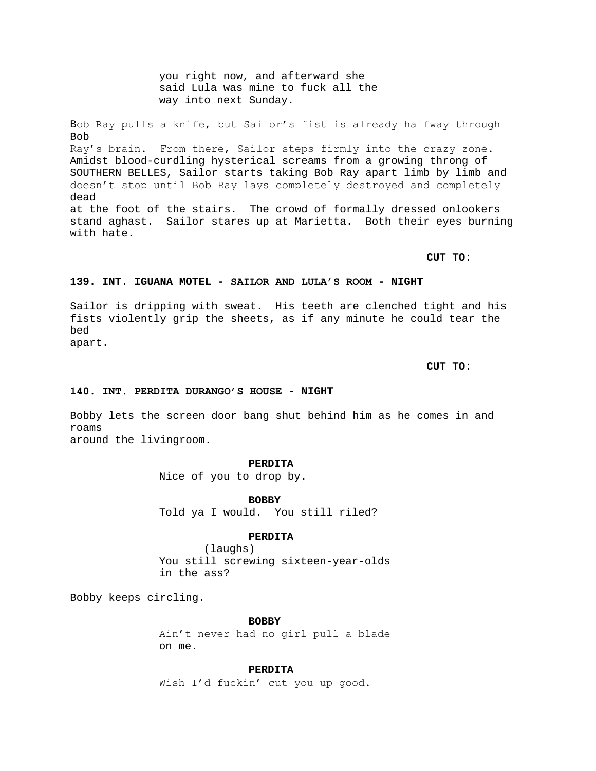you right now, and afterward she said Lula was mine to fuck all the way into next Sunday.

Bob Ray pulls a knife, but Sailor's fist is already halfway through Bob Ray's brain. From there, Sailor steps firmly into the crazy zone. Amidst blood-curdling hysterical screams from a growing throng of SOUTHERN BELLES, Sailor starts taking Bob Ray apart limb by limb and doesn't stop until Bob Ray lays completely destroyed and completely dead at the foot of the stairs. The crowd of formally dressed onlookers stand aghast. Sailor stares up at Marietta. Both their eyes burning with hate.

**CUT TO:**

# **139. INT. IGUANA MOTEL - SAILOR AND LULA'S ROOM - NIGHT**

Sailor is dripping with sweat. His teeth are clenched tight and his fists violently grip the sheets, as if any minute he could tear the bed apart.

**CUT TO:**

## **140. INT. PERDITA DURANGO'S HOUSE - NIGHT**

Bobby lets the screen door bang shut behind him as he comes in and roams around the livingroom.

### **PERDITA**

Nice of you to drop by.

**BOBBY** Told ya I would. You still riled?

## **PERDITA**

(laughs) You still screwing sixteen-year-olds in the ass?

Bobby keeps circling.

**BOBBY**

Ain't never had no girl pull a blade on me.

**PERDITA**

Wish I'd fuckin' cut you up good.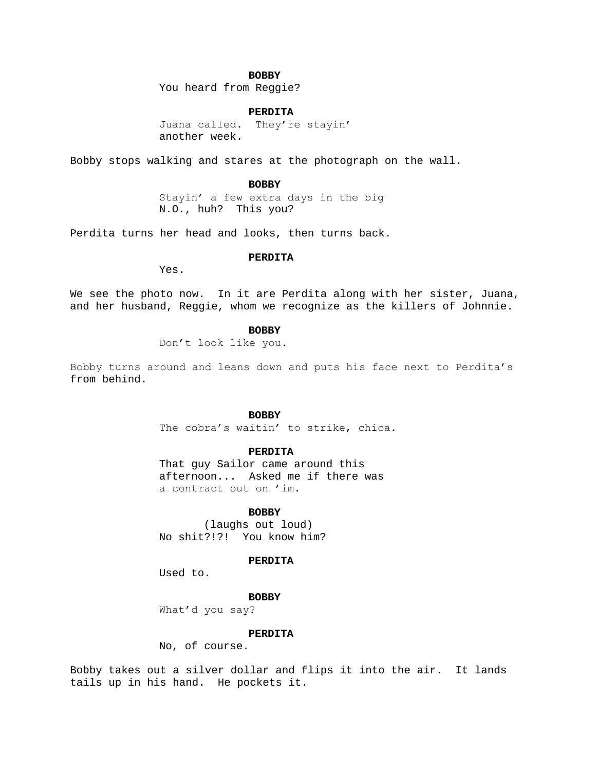# **BOBBY**

You heard from Reggie?

# **PERDITA**

Juana called. They're stayin' another week.

Bobby stops walking and stares at the photograph on the wall.

### **BOBBY**

Stayin' a few extra days in the big N.O., huh? This you?

Perdita turns her head and looks, then turns back.

# **PERDITA**

Yes.

We see the photo now. In it are Perdita along with her sister, Juana, and her husband, Reggie, whom we recognize as the killers of Johnnie.

# **BOBBY**

Don't look like you.

Bobby turns around and leans down and puts his face next to Perdita's from behind.

### **BOBBY**

The cobra's waitin' to strike, chica.

#### **PERDITA**

That guy Sailor came around this afternoon... Asked me if there was a contract out on 'im.

### **BOBBY**

(laughs out loud) No shit?!?! You know him?

## **PERDITA**

Used to.

## **BOBBY**

What'd you say?

# **PERDITA**

No, of course.

Bobby takes out a silver dollar and flips it into the air. It lands tails up in his hand. He pockets it.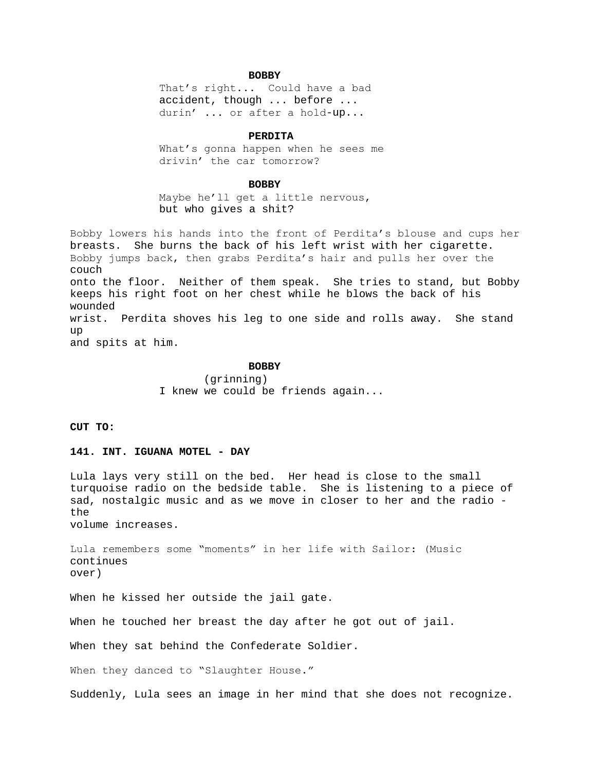# **BOBBY**

That's right... Could have a bad accident, though ... before ... durin' ... or after a hold-up...

### **PERDITA**

What's gonna happen when he sees me drivin' the car tomorrow?

#### **BOBBY**

Maybe he'll get a little nervous, but who gives a shit?

Bobby lowers his hands into the front of Perdita's blouse and cups her breasts. She burns the back of his left wrist with her cigarette. Bobby jumps back, then grabs Perdita's hair and pulls her over the couch onto the floor. Neither of them speak. She tries to stand, but Bobby keeps his right foot on her chest while he blows the back of his wounded wrist. Perdita shoves his leg to one side and rolls away. She stand up and spits at him.

### **BOBBY**

(grinning) I knew we could be friends again...

# **CUT TO:**

# **141. INT. IGUANA MOTEL - DAY**

Lula lays very still on the bed. Her head is close to the small turquoise radio on the bedside table. She is listening to a piece of sad, nostalgic music and as we move in closer to her and the radio the

volume increases.

Lula remembers some "moments" in her life with Sailor: (Music continues over)

When he kissed her outside the jail gate.

When he touched her breast the day after he got out of jail.

When they sat behind the Confederate Soldier.

When they danced to "Slaughter House."

Suddenly, Lula sees an image in her mind that she does not recognize.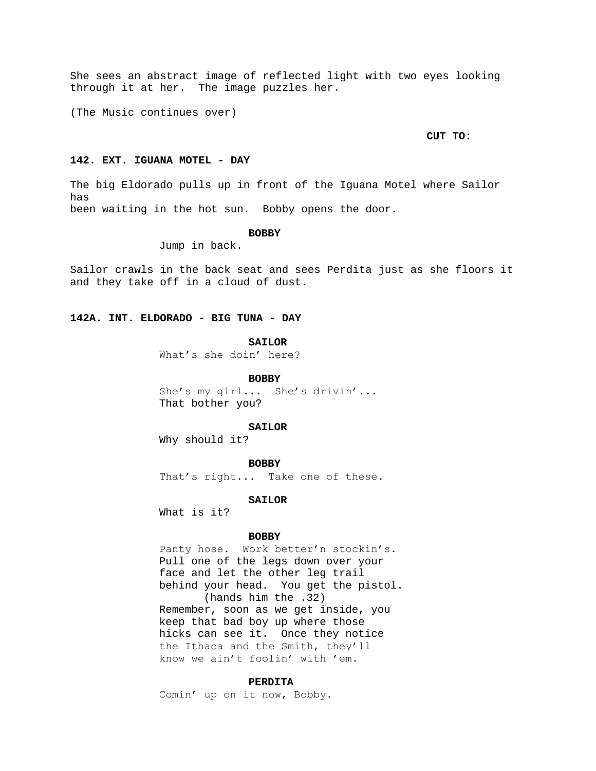She sees an abstract image of reflected light with two eyes looking through it at her. The image puzzles her.

(The Music continues over)

#### **CUT TO:**

# **142. EXT. IGUANA MOTEL - DAY**

The big Eldorado pulls up in front of the Iguana Motel where Sailor has been waiting in the hot sun. Bobby opens the door.

### **BOBBY**

Jump in back.

Sailor crawls in the back seat and sees Perdita just as she floors it and they take off in a cloud of dust.

### **142A. INT. ELDORADO - BIG TUNA - DAY**

**SAILOR**

What's she doin' here?

**BOBBY**

She's my girl... She's drivin'... That bother you?

#### **SAILOR**

Why should it?

### **BOBBY**

That's right... Take one of these.

**SAILOR**

What is it?

## **BOBBY**

Panty hose. Work better'n stockin's. Pull one of the legs down over your face and let the other leg trail behind your head. You get the pistol. (hands him the .32) Remember, soon as we get inside, you keep that bad boy up where those hicks can see it. Once they notice the Ithaca and the Smith, they'll know we ain't foolin' with 'em.

## **PERDITA**

Comin' up on it now, Bobby.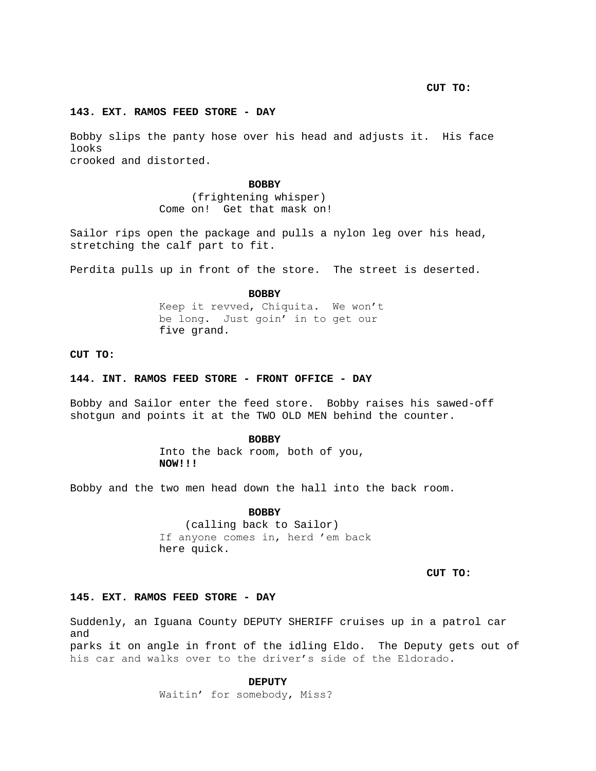**CUT TO:**

# **143. EXT. RAMOS FEED STORE - DAY**

Bobby slips the panty hose over his head and adjusts it. His face looks crooked and distorted.

**BOBBY**

 (frightening whisper) Come on! Get that mask on!

Sailor rips open the package and pulls a nylon leg over his head, stretching the calf part to fit.

Perdita pulls up in front of the store. The street is deserted.

**BOBBY**

Keep it revved, Chiquita. We won't be long. Just goin' in to get our five grand.

**CUT TO:**

### **144. INT. RAMOS FEED STORE - FRONT OFFICE - DAY**

Bobby and Sailor enter the feed store. Bobby raises his sawed-off shotgun and points it at the TWO OLD MEN behind the counter.

#### **BOBBY**

Into the back room, both of you, **NOW!!!**

Bobby and the two men head down the hall into the back room.

**BOBBY**

 (calling back to Sailor) If anyone comes in, herd 'em back here quick.

**CUT TO:**

## **145. EXT. RAMOS FEED STORE - DAY**

Suddenly, an Iguana County DEPUTY SHERIFF cruises up in a patrol car and

parks it on angle in front of the idling Eldo. The Deputy gets out of his car and walks over to the driver's side of the Eldorado.

**DEPUTY**

Waitin' for somebody, Miss?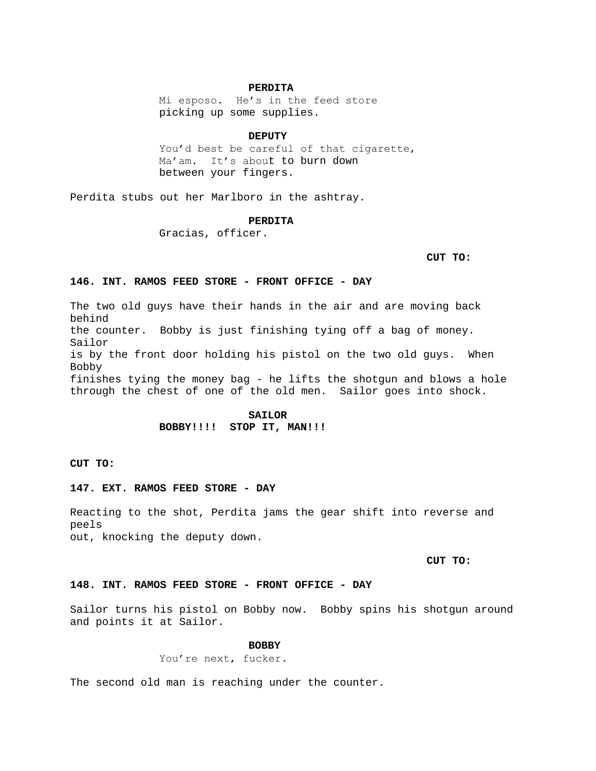#### **PERDITA**

Mi esposo. He's in the feed store picking up some supplies.

#### **DEPUTY**

You'd best be careful of that cigarette, Ma'am. It's about to burn down between your fingers.

Perdita stubs out her Marlboro in the ashtray.

### **PERDITA**

Gracias, officer.

**CUT TO:**

# **146. INT. RAMOS FEED STORE - FRONT OFFICE - DAY**

The two old guys have their hands in the air and are moving back behind the counter. Bobby is just finishing tying off a bag of money. Sailor is by the front door holding his pistol on the two old guys. When Bobby finishes tying the money bag - he lifts the shotgun and blows a hole through the chest of one of the old men. Sailor goes into shock.

# **SAILOR BOBBY!!!! STOP IT, MAN!!!**

**CUT TO:**

# **147. EXT. RAMOS FEED STORE - DAY**

Reacting to the shot, Perdita jams the gear shift into reverse and peels out, knocking the deputy down.

**CUT TO:**

### **148. INT. RAMOS FEED STORE - FRONT OFFICE - DAY**

Sailor turns his pistol on Bobby now. Bobby spins his shotgun around and points it at Sailor.

## **BOBBY**

You're next, fucker.

The second old man is reaching under the counter.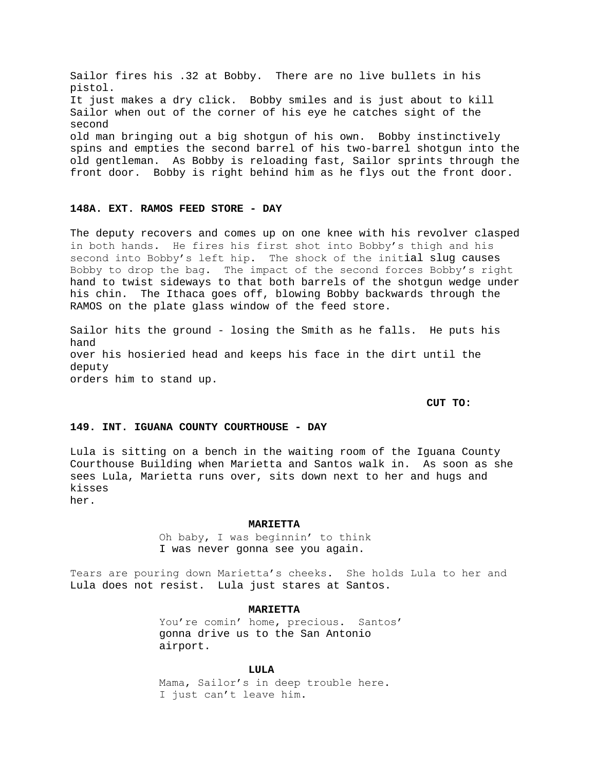Sailor fires his .32 at Bobby. There are no live bullets in his pistol. It just makes a dry click. Bobby smiles and is just about to kill Sailor when out of the corner of his eye he catches sight of the second old man bringing out a big shotgun of his own. Bobby instinctively spins and empties the second barrel of his two-barrel shotgun into the old gentleman. As Bobby is reloading fast, Sailor sprints through the front door. Bobby is right behind him as he flys out the front door.

# **148A. EXT. RAMOS FEED STORE - DAY**

The deputy recovers and comes up on one knee with his revolver clasped in both hands. He fires his first shot into Bobby's thigh and his second into Bobby's left hip. The shock of the initial slug causes Bobby to drop the bag. The impact of the second forces Bobby's right hand to twist sideways to that both barrels of the shotgun wedge under his chin. The Ithaca goes off, blowing Bobby backwards through the RAMOS on the plate glass window of the feed store.

Sailor hits the ground - losing the Smith as he falls. He puts his hand over his hosieried head and keeps his face in the dirt until the deputy orders him to stand up.

**CUT TO:**

# **149. INT. IGUANA COUNTY COURTHOUSE - DAY**

Lula is sitting on a bench in the waiting room of the Iguana County Courthouse Building when Marietta and Santos walk in. As soon as she sees Lula, Marietta runs over, sits down next to her and hugs and kisses her.

**MARIETTA**

Oh baby, I was beginnin' to think I was never gonna see you again.

Tears are pouring down Marietta's cheeks. She holds Lula to her and Lula does not resist. Lula just stares at Santos.

**MARIETTA**

You're comin' home, precious. Santos' gonna drive us to the San Antonio airport.

**LULA**

Mama, Sailor's in deep trouble here. I just can't leave him.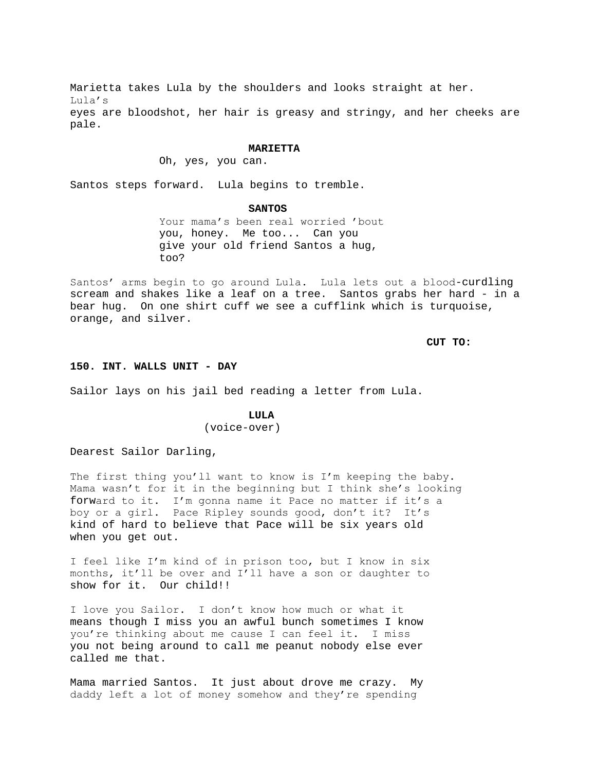Marietta takes Lula by the shoulders and looks straight at her. Lula's eyes are bloodshot, her hair is greasy and stringy, and her cheeks are pale.

### **MARIETTA**

Oh, yes, you can.

Santos steps forward. Lula begins to tremble.

### **SANTOS**

Your mama's been real worried 'bout you, honey. Me too... Can you give your old friend Santos a hug, too?

Santos' arms begin to go around Lula. Lula lets out a blood-curdling scream and shakes like a leaf on a tree. Santos grabs her hard - in a bear hug. On one shirt cuff we see a cufflink which is turquoise, orange, and silver.

**CUT TO:**

### **150. INT. WALLS UNIT - DAY**

Sailor lays on his jail bed reading a letter from Lula.

# **LULA**

(voice-over)

Dearest Sailor Darling,

The first thing you'll want to know is I'm keeping the baby. Mama wasn't for it in the beginning but I think she's looking forward to it. I'm gonna name it Pace no matter if it's a boy or a girl. Pace Ripley sounds good, don't it? It's kind of hard to believe that Pace will be six years old when you get out.

I feel like I'm kind of in prison too, but I know in six months, it'll be over and I'll have a son or daughter to show for it. Our child!!

I love you Sailor. I don't know how much or what it means though I miss you an awful bunch sometimes I know you're thinking about me cause I can feel it. I miss you not being around to call me peanut nobody else ever called me that.

Mama married Santos. It just about drove me crazy. My daddy left a lot of money somehow and they're spending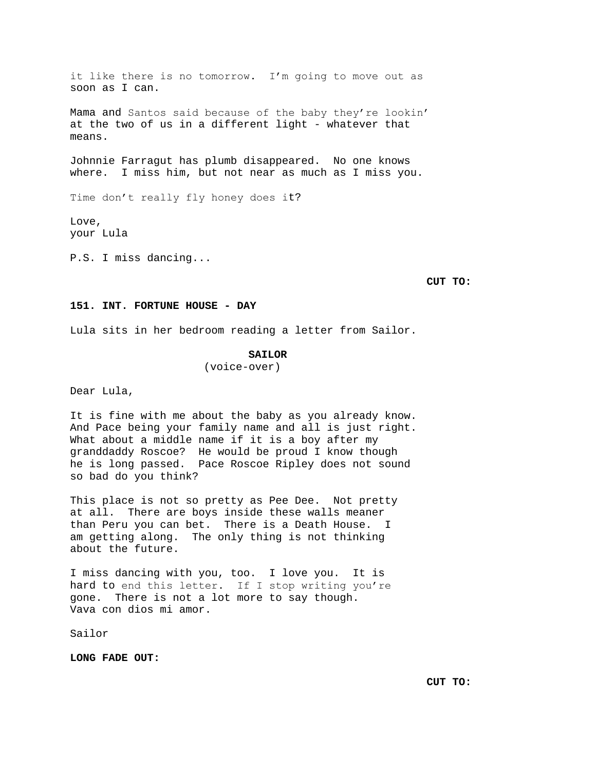it like there is no tomorrow. I'm going to move out as soon as I can.

Mama and Santos said because of the baby they're lookin' at the two of us in a different light - whatever that means.

Johnnie Farragut has plumb disappeared. No one knows where. I miss him, but not near as much as I miss you.

Time don't really fly honey does it?

Love, your Lula

P.S. I miss dancing...

**CUT TO:**

# **151. INT. FORTUNE HOUSE - DAY**

Lula sits in her bedroom reading a letter from Sailor.

# **SAILOR**

(voice-over)

Dear Lula,

It is fine with me about the baby as you already know. And Pace being your family name and all is just right. What about a middle name if it is a boy after my granddaddy Roscoe? He would be proud I know though he is long passed. Pace Roscoe Ripley does not sound so bad do you think?

This place is not so pretty as Pee Dee. Not pretty at all. There are boys inside these walls meaner than Peru you can bet. There is a Death House. I am getting along. The only thing is not thinking about the future.

I miss dancing with you, too. I love you. It is hard to end this letter. If I stop writing you're gone. There is not a lot more to say though. Vava con dios mi amor.

Sailor

**LONG FADE OUT:**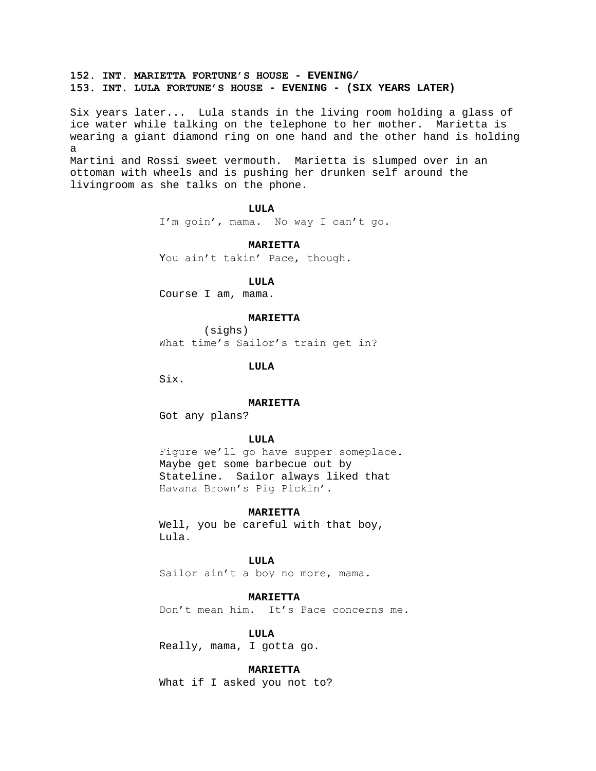# **152. INT. MARIETTA FORTUNE'S HOUSE - EVENING/ 153. INT. LULA FORTUNE'S HOUSE - EVENING - (SIX YEARS LATER)**

Six years later... Lula stands in the living room holding a glass of ice water while talking on the telephone to her mother. Marietta is wearing a giant diamond ring on one hand and the other hand is holding a Martini and Rossi sweet vermouth. Marietta is slumped over in an ottoman with wheels and is pushing her drunken self around the livingroom as she talks on the phone.

**LULA**

I'm goin', mama. No way I can't go.

**MARIETTA**

You ain't takin' Pace, though.

**LULA**

Course I am, mama.

## **MARIETTA**

(sighs) What time's Sailor's train get in?

**LULA**

Six.

### **MARIETTA**

Got any plans?

## **LULA**

Figure we'll go have supper someplace. Maybe get some barbecue out by Stateline. Sailor always liked that Havana Brown's Pig Pickin'.

### **MARIETTA**

Well, you be careful with that boy, Lula.

# **LULA**

Sailor ain't a boy no more, mama.

## **MARIETTA**

Don't mean him. It's Pace concerns me.

### **LULA**

Really, mama, I gotta go.

## **MARIETTA**

What if I asked you not to?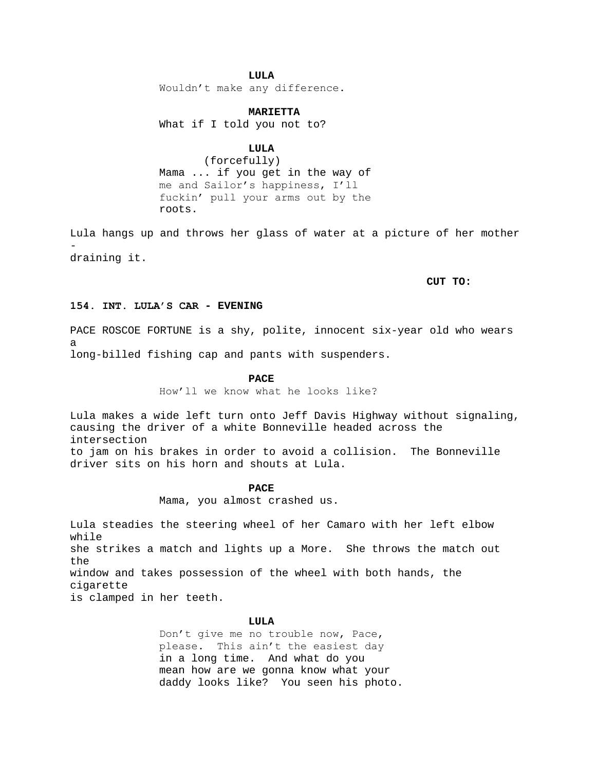# **LULA**

Wouldn't make any difference.

## **MARIETTA**

What if I told you not to?

# **LULA**

(forcefully) Mama ... if you get in the way of me and Sailor's happiness, I'll fuckin' pull your arms out by the roots.

Lula hangs up and throws her glass of water at a picture of her mother draining it.

## **CUT TO:**

# **154. INT. LULA'S CAR - EVENING**

PACE ROSCOE FORTUNE is a shy, polite, innocent six-year old who wears a

long-billed fishing cap and pants with suspenders.

### **PACE**

How'll we know what he looks like?

Lula makes a wide left turn onto Jeff Davis Highway without signaling, causing the driver of a white Bonneville headed across the intersection to jam on his brakes in order to avoid a collision. The Bonneville driver sits on his horn and shouts at Lula.

**PACE**

Mama, you almost crashed us.

Lula steadies the steering wheel of her Camaro with her left elbow while she strikes a match and lights up a More. She throws the match out the window and takes possession of the wheel with both hands, the cigarette is clamped in her teeth.

### **LULA**

Don't give me no trouble now, Pace, please. This ain't the easiest day in a long time. And what do you mean how are we gonna know what your daddy looks like? You seen his photo.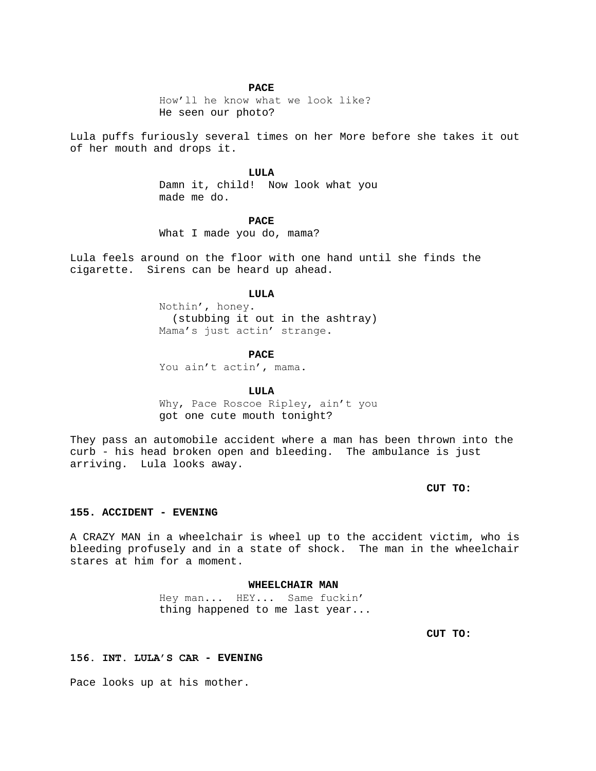### **PACE**

How'll he know what we look like? He seen our photo?

Lula puffs furiously several times on her More before she takes it out of her mouth and drops it.

## **LULA**

Damn it, child! Now look what you made me do.

### **PACE**

What I made you do, mama?

Lula feels around on the floor with one hand until she finds the cigarette. Sirens can be heard up ahead.

## **LULA**

Nothin', honey. (stubbing it out in the ashtray) Mama's just actin' strange.

#### **PACE**

You ain't actin', mama.

# **LULA**

Why, Pace Roscoe Ripley, ain't you got one cute mouth tonight?

They pass an automobile accident where a man has been thrown into the curb - his head broken open and bleeding. The ambulance is just arriving. Lula looks away.

**CUT TO:**

## **155. ACCIDENT - EVENING**

A CRAZY MAN in a wheelchair is wheel up to the accident victim, who is bleeding profusely and in a state of shock. The man in the wheelchair stares at him for a moment.

## **WHEELCHAIR MAN**

Hey man... HEY... Same fuckin' thing happened to me last year...

**CUT TO:**

# **156. INT. LULA'S CAR - EVENING**

Pace looks up at his mother.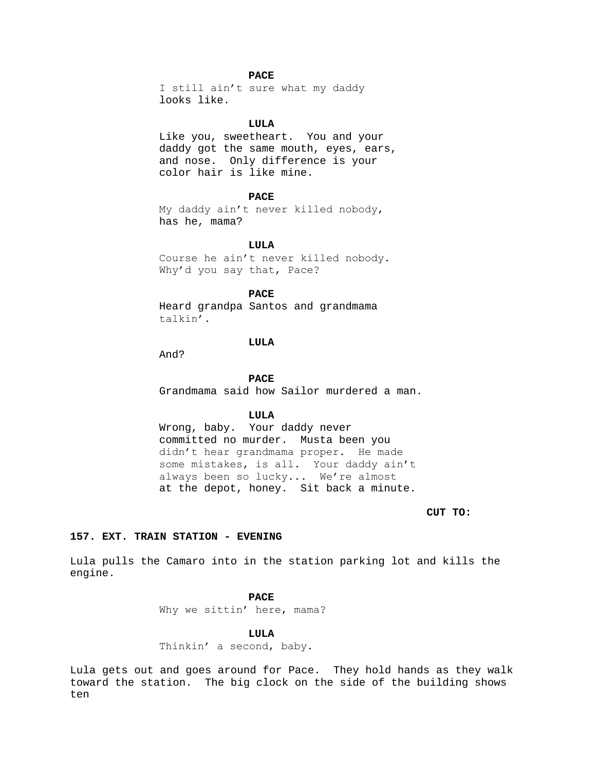## **PACE**

I still ain't sure what my daddy looks like.

## **LULA**

Like you, sweetheart. You and your daddy got the same mouth, eyes, ears, and nose. Only difference is your color hair is like mine.

## **PACE**

My daddy ain't never killed nobody, has he, mama?

### **LULA**

Course he ain't never killed nobody. Why'd you say that, Pace?

# **PACE**

Heard grandpa Santos and grandmama talkin'.

# **LULA**

And?

### **PACE**

Grandmama said how Sailor murdered a man.

## **LULA**

Wrong, baby. Your daddy never committed no murder. Musta been you didn't hear grandmama proper. He made some mistakes, is all. Your daddy ain't always been so lucky... We're almost at the depot, honey. Sit back a minute.

# **CUT TO:**

# **157. EXT. TRAIN STATION - EVENING**

Lula pulls the Camaro into in the station parking lot and kills the engine.

## **PACE**

Why we sittin' here, mama?

## **LULA**

Thinkin' a second, baby.

Lula gets out and goes around for Pace. They hold hands as they walk toward the station. The big clock on the side of the building shows ten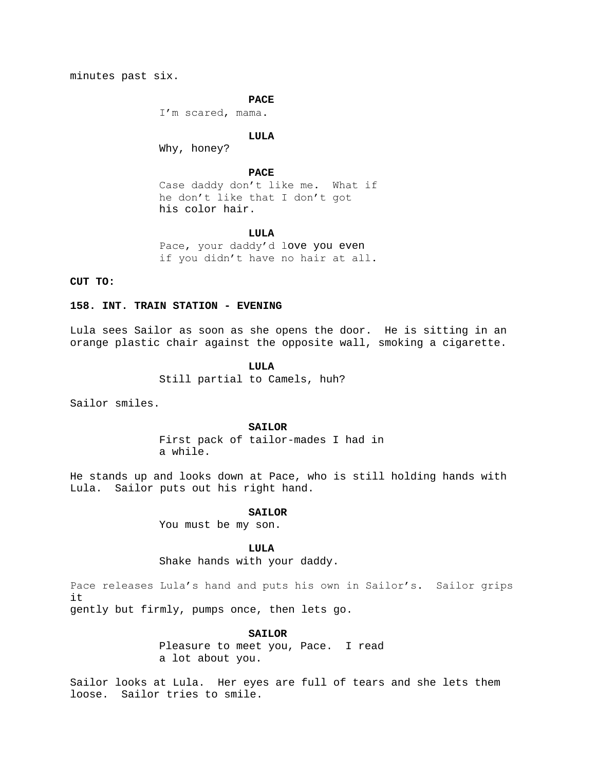minutes past six.

### **PACE**

I'm scared, mama.

#### **LULA**

Why, honey?

# **PACE**

Case daddy don't like me. What if he don't like that I don't got his color hair.

## **LULA**

Pace, your daddy'd love you even if you didn't have no hair at all.

# **CUT TO:**

## **158. INT. TRAIN STATION - EVENING**

Lula sees Sailor as soon as she opens the door. He is sitting in an orange plastic chair against the opposite wall, smoking a cigarette.

# **LULA**

Still partial to Camels, huh?

Sailor smiles.

### **SAILOR**

First pack of tailor-mades I had in a while.

He stands up and looks down at Pace, who is still holding hands with Lula. Sailor puts out his right hand.

### **SAILOR**

You must be my son.

### **LULA**

Shake hands with your daddy.

Pace releases Lula's hand and puts his own in Sailor's. Sailor grips it

gently but firmly, pumps once, then lets go.

# **SAILOR**

Pleasure to meet you, Pace. I read a lot about you.

Sailor looks at Lula. Her eyes are full of tears and she lets them loose. Sailor tries to smile.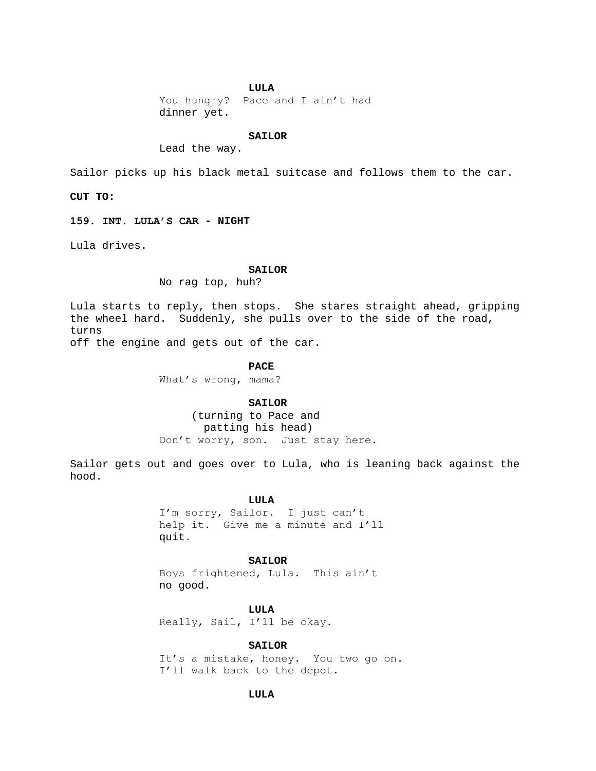### **LULA**

You hungry? Pace and I ain't had dinner yet.

#### **SAILOR**

Lead the way.

Sailor picks up his black metal suitcase and follows them to the car.

**CUT TO:**

**159. INT. LULA'S CAR - NIGHT**

Lula drives.

#### **SAILOR**

No rag top, huh?

Lula starts to reply, then stops. She stares straight ahead, gripping the wheel hard. Suddenly, she pulls over to the side of the road, turns off the engine and gets out of the car.

**PACE**

What's wrong, mama?

#### **SAILOR**

 (turning to Pace and patting his head) Don't worry, son. Just stay here.

Sailor gets out and goes over to Lula, who is leaning back against the hood.

#### **LULA**

I'm sorry, Sailor. I just can't help it. Give me a minute and I'll quit.

# **SAILOR**

Boys frightened, Lula. This ain't no good.

**LULA** Really, Sail, I'll be okay.

**SAILOR**

It's a mistake, honey. You two go on. I'll walk back to the depot.

## **LULA**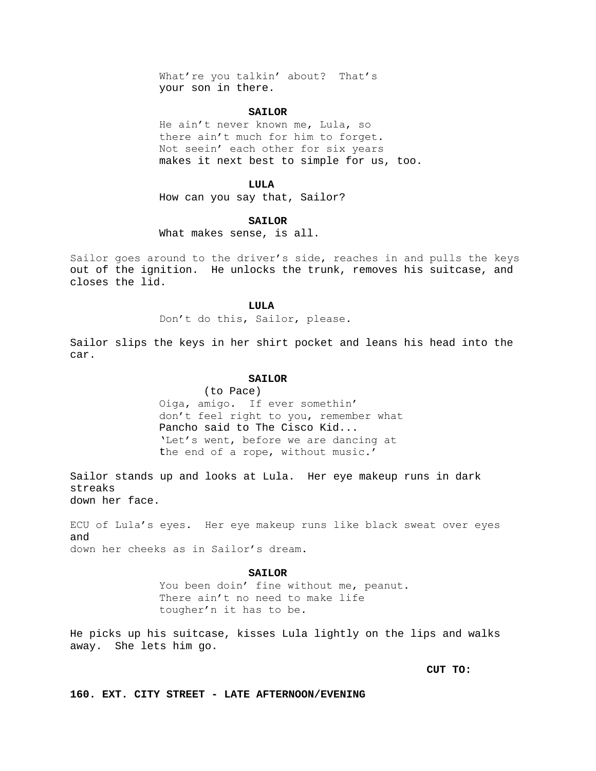What're you talkin' about? That's your son in there.

### **SAILOR**

He ain't never known me, Lula, so there ain't much for him to forget. Not seein' each other for six years makes it next best to simple for us, too.

#### **LULA**

How can you say that, Sailor?

### **SAILOR**

What makes sense, is all.

Sailor goes around to the driver's side, reaches in and pulls the keys out of the ignition. He unlocks the trunk, removes his suitcase, and closes the lid.

## **LULA**

Don't do this, Sailor, please.

Sailor slips the keys in her shirt pocket and leans his head into the car.

#### **SAILOR**

(to Pace) Oiga, amigo. If ever somethin' don't feel right to you, remember what Pancho said to The Cisco Kid... 'Let's went, before we are dancing at the end of a rope, without music.'

Sailor stands up and looks at Lula. Her eye makeup runs in dark streaks down her face.

ECU of Lula's eyes. Her eye makeup runs like black sweat over eyes and down her cheeks as in Sailor's dream.

#### **SAILOR**

You been doin' fine without me, peanut. There ain't no need to make life tougher'n it has to be.

He picks up his suitcase, kisses Lula lightly on the lips and walks away. She lets him go.

**CUT TO:**

**160. EXT. CITY STREET - LATE AFTERNOON/EVENING**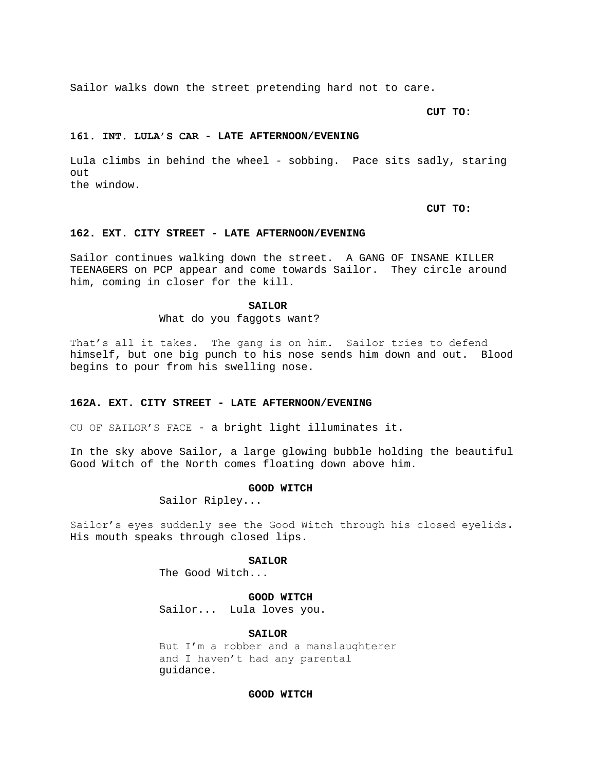Sailor walks down the street pretending hard not to care.

**CUT TO:**

#### **161. INT. LULA'S CAR - LATE AFTERNOON/EVENING**

Lula climbs in behind the wheel - sobbing. Pace sits sadly, staring out the window.

**CUT TO:**

### **162. EXT. CITY STREET - LATE AFTERNOON/EVENING**

Sailor continues walking down the street. A GANG OF INSANE KILLER TEENAGERS on PCP appear and come towards Sailor. They circle around him, coming in closer for the kill.

#### **SAILOR**

What do you faggots want?

That's all it takes. The gang is on him. Sailor tries to defend himself, but one big punch to his nose sends him down and out. Blood begins to pour from his swelling nose.

### **162A. EXT. CITY STREET - LATE AFTERNOON/EVENING**

CU OF SAILOR'S FACE - a bright light illuminates it.

In the sky above Sailor, a large glowing bubble holding the beautiful Good Witch of the North comes floating down above him.

### **GOOD WITCH**

Sailor Ripley...

Sailor's eyes suddenly see the Good Witch through his closed eyelids. His mouth speaks through closed lips.

## **SAILOR**

The Good Witch...

**GOOD WITCH**

Sailor... Lula loves you.

### **SAILOR**

But I'm a robber and a manslaughterer and I haven't had any parental guidance.

## **GOOD WITCH**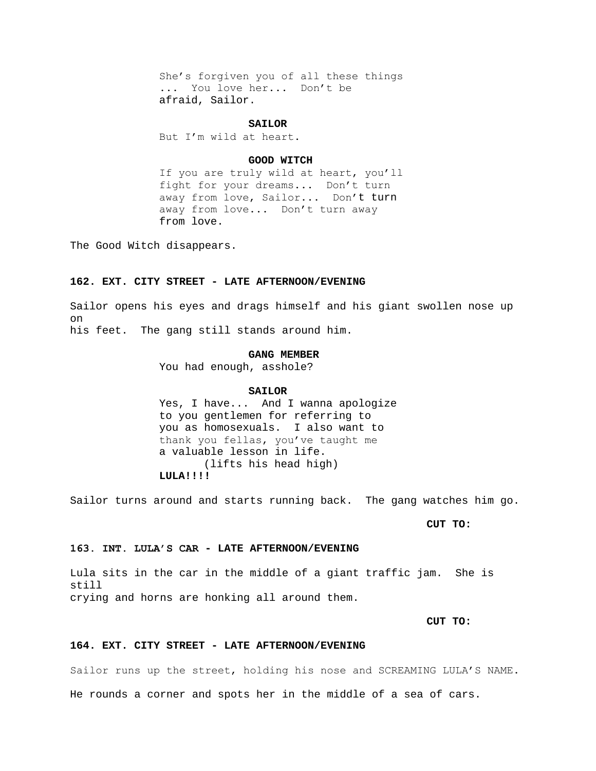She's forgiven you of all these things ... You love her... Don't be afraid, Sailor.

### **SAILOR**

But I'm wild at heart.

## **GOOD WITCH**

If you are truly wild at heart, you'll fight for your dreams... Don't turn away from love, Sailor... Don't turn away from love... Don't turn away from love.

The Good Witch disappears.

# **162. EXT. CITY STREET - LATE AFTERNOON/EVENING**

Sailor opens his eyes and drags himself and his giant swollen nose up on his feet. The gang still stands around him.

# **GANG MEMBER**

You had enough, asshole?

### **SAILOR**

Yes, I have... And I wanna apologize to you gentlemen for referring to you as homosexuals. I also want to thank you fellas, you've taught me a valuable lesson in life. (lifts his head high) **LULA!!!!**

Sailor turns around and starts running back. The gang watches him go.

**CUT TO:**

# **163. INT. LULA'S CAR - LATE AFTERNOON/EVENING**

Lula sits in the car in the middle of a giant traffic jam. She is still crying and horns are honking all around them.

# **CUT TO:**

### **164. EXT. CITY STREET - LATE AFTERNOON/EVENING**

Sailor runs up the street, holding his nose and SCREAMING LULA'S NAME.

He rounds a corner and spots her in the middle of a sea of cars.